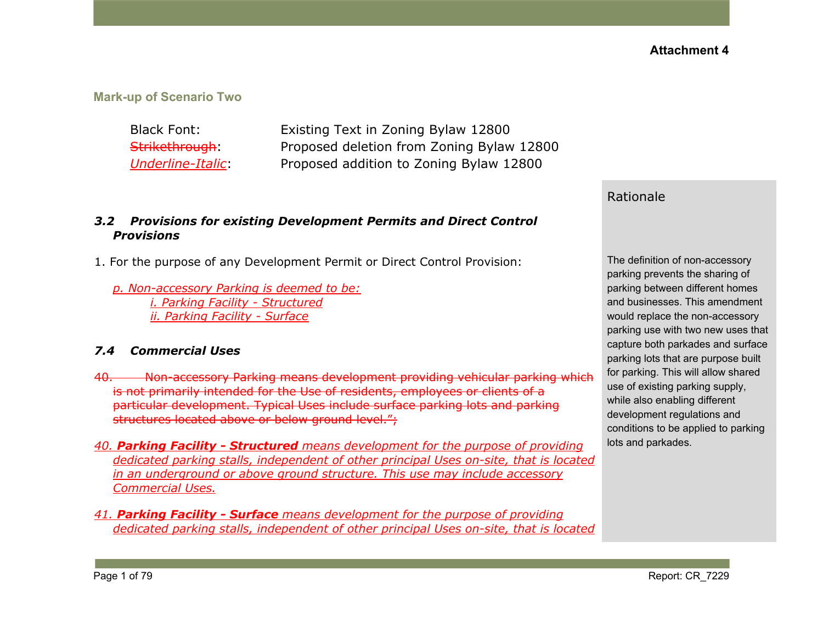**Mark-up of Scenario Two**

Black Font: Existing Text in Zoning Bylaw 12800 Strikethrough: Proposed deletion from Zoning Bylaw 12800 *Underline-Italic*: Proposed addition to Zoning Bylaw 12800

#### *3.2 Provisions for existing Development Permits and Direct Control Provisions*

- 1. For the purpose of any Development Permit or Direct Control Provision:
	- *p. Non-accessory Parking is deemed to be: i. Parking Facility - Structured ii. Parking Facility - Surface*

### *7.4 Commercial Uses*

- 40. Non-accessory Parking means development providing vehicular parking which is not primarily intended for the Use of residents, employees or clients of a particular development. Typical Uses include surface parking lots and parking structures located above or below ground level.";
- *40. Parking Facility - Structured means development for the purpose of providing dedicated parking stalls, independent of other principal Uses on-site, that is located in an underground or above ground structure. This use may include accessory Commercial Uses.*
- *41. Parking Facility - Surface means development for the purpose of providing dedicated parking stalls, independent of other principal Uses on-site, that is located*

### Rationale

The definition of non-accessory parking prevents the sharing of parking between different homes and businesses. This amendment would replace the non-accessory parking use with two new uses that capture both parkades and surface parking lots that are purpose built for parking. This will allow shared use of existing parking supply, while also enabling different development regulations and conditions to be applied to parking lots and parkades.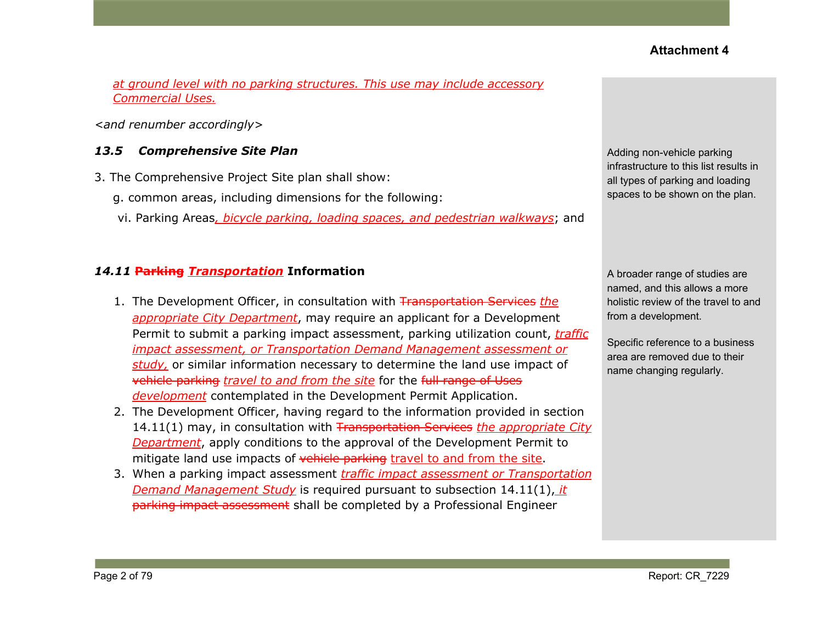*at ground level with no parking structures. This use may include accessory Commercial Uses.*

*<and renumber accordingly>*

#### *13.5 Comprehensive Site Plan*

- 3. The Comprehensive Project Site plan shall show:
	- g. common areas, including dimensions for the following:
	- vi. Parking Areas*, bicycle parking, loading spaces, and pedestrian walkways*; and

#### *14.11* **Parking** *Transportation* **Information**

- 1. The Development Officer, in consultation with Transportation Services *the appropriate City Department*, may require an applicant for a Development Permit to submit a parking impact assessment, parking utilization count, *traffic impact assessment, or Transportation Demand Management assessment or study,* or similar information necessary to determine the land use impact of vehicle parking *travel to and from the site* for the full range of Uses *development* contemplated in the Development Permit Application.
- 2. The Development Officer, having regard to the information provided in section 14.11(1) may, in consultation with Transportation Services *the appropriate City Department*, apply conditions to the approval of the Development Permit to mitigate land use impacts of vehicle parking travel to and from the site.
- 3. When a parking impact assessment *traffic impact assessment or Transportation Demand Management Study* is required pursuant to subsection 14.11(1), *it* parking impact assessment shall be completed by a Professional Engineer

Adding non-vehicle parking infrastructure to this list results in all types of parking and loading spaces to be shown on the plan.

A broader range of studies are named, and this allows a more holistic review of the travel to and from a development.

Specific reference to a business area are removed due to their name changing regularly.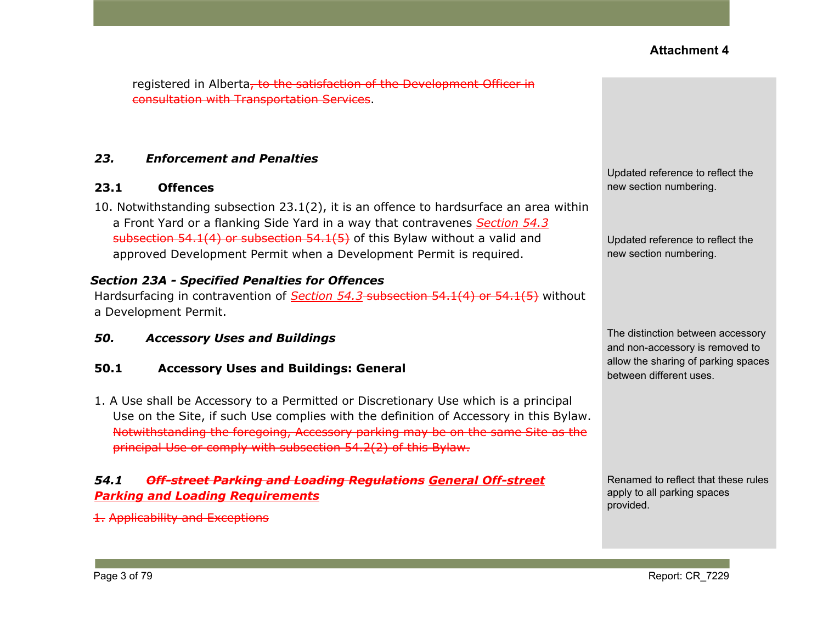registered in Alberta, to the satisfaction of the Development Officer in consultation with Transportation Services.

#### *23. Enforcement and Penalties*

#### **23.1 Offences**

10. Notwithstanding subsection 23.1(2), it is an offence to hardsurface an area within a Front Yard or a flanking Side Yard in a way that contravenes *Section 54.3* subsection 54.1(4) or subsection 54.1(5) of this Bylaw without a valid and approved Development Permit when a Development Permit is required.

#### *Section 23A - Specified Penalties for Offences*

Hardsurfacing in contravention of *Section 54.3* subsection 54.1(4) or 54.1(5) without a Development Permit.

*50. Accessory Uses and Buildings*

#### **50.1 Accessory Uses and Buildings: General**

1. A Use shall be Accessory to a Permitted or Discretionary Use which is a principal Use on the Site, if such Use complies with the definition of Accessory in this Bylaw. Notwithstanding the foregoing, Accessory parking may be on the same Site as the principal Use or comply with [subsection](https://webdocs.edmonton.ca/InfraPlan/zoningbylaw/ZoningBylaw/Part1/Development/54_2_Required_Off-street_Vehicular_Accessory_Parking.htm) 54.2(2) of this Bylaw.

### *54.1 Off-street Parking and Loading Regulations General Off-street Parking and Loading Requirements*

1. Applicability and Exceptions

Updated reference to reflect the new section numbering.

Updated reference to reflect the new section numbering.

The distinction between accessory and non-accessory is removed to allow the sharing of parking spaces between different uses.

Renamed to reflect that these rules apply to all parking spaces provided.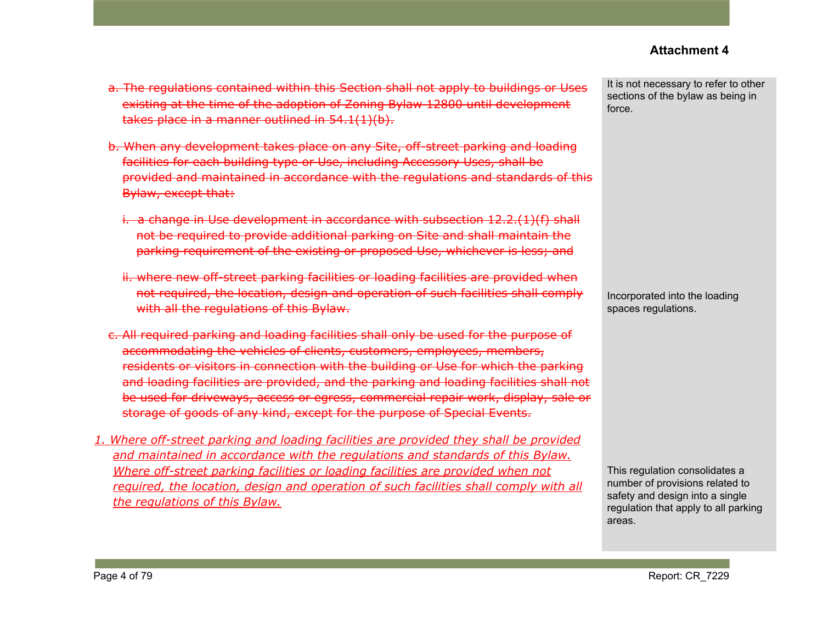- a. The regulations contained within this Section shall not apply to buildings or Uses existing at the time of the adoption of Zoning Bylaw 12800 until development takes place in a manner outlined in 54.1(1)(b).
- b. When any development takes place on any Site, off-street parking and loading facilities for each building type or Use, including Accessory Uses, shall be provided and maintained in accordance with the regulations and standards of this Bylaw, except that:
	- i. a change in Use development in accordance with subsection 12.2.(1)(f) shall not be required to provide additional parking on Site and shall maintain the parking requirement of the existing or proposed Use, whichever is less; and
	- ii. where new off-street parking facilities or loading facilities are provided when not required, the location, design and operation of such facilities shall comply with all the regulations of this Bylaw.
- c. All required parking and loading facilities shall only be used for the purpose of accommodating the vehicles of clients, customers, employees, members, residents or visitors in connection with the building or Use for which the parking and loading facilities are provided, and the parking and loading facilities shall not be used for driveways, access or egress, commercial repair work, display, sale or storage of goods of any kind, except for the purpose of Special Events.
- *1. Where off-street parking and loading facilities are provided they shall be provided and maintained in accordance with the regulations and standards of this Bylaw. Where off-street parking facilities or loading facilities are provided when not required, the location, design and operation of such facilities shall comply with all the regulations of this Bylaw.*

It is not necessary to refer to other sections of the bylaw as being in force.

Incorporated into the loading spaces regulations.

This regulation consolidates a number of provisions related to safety and design into a single regulation that apply to all parking areas.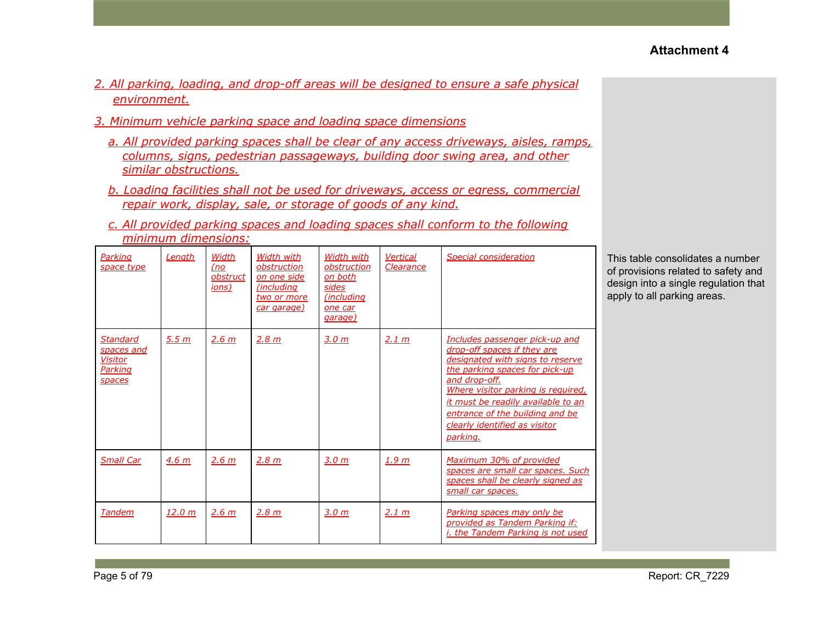- *2. All parking, loading, and drop-off areas will be designed to ensure a safe physical environment.*
- *3. Minimum vehicle parking space and loading space dimensions*
	- *a. All provided parking spaces shall be clear of any access driveways, aisles, ramps, columns, signs, pedestrian passageways, building door swing area, and other similar obstructions.*
	- *b. Loading facilities shall not be used for driveways, access or egress, commercial repair work, display, sale, or storage of goods of any kind.*
	- *c. All provided parking spaces and loading spaces shall conform to the following minimum dimensions:*

| Parking<br>space type                                                | Length           | Width<br>(no<br>obstruct<br>ions) | Width with<br>obstruction<br>on one side<br>(including<br>two or more<br>car garage) | Width with<br>obstruction<br><u>on both</u><br>sides<br>(including<br>one car<br>garage) | <b>Vertical</b><br>Clearance | Special consideration                                                                                                                                                                                                                                                                                            | Thi<br>of p<br>des<br>app |
|----------------------------------------------------------------------|------------------|-----------------------------------|--------------------------------------------------------------------------------------|------------------------------------------------------------------------------------------|------------------------------|------------------------------------------------------------------------------------------------------------------------------------------------------------------------------------------------------------------------------------------------------------------------------------------------------------------|---------------------------|
| <b>Standard</b><br>spaces and<br><b>Visitor</b><br>Parking<br>spaces | 5.5 m            | 2.6 m                             | 2.8 m                                                                                | 3.0 m                                                                                    | 2.1 m                        | Includes passenger pick-up and<br>drop-off spaces if they are<br>designated with signs to reserve<br>the parking spaces for pick-up<br>and drop-off.<br>Where visitor parking is required,<br>it must be readily available to an<br>entrance of the building and be<br>clearly identified as visitor<br>parking. |                           |
| <b>Small Car</b>                                                     | 4.6 <sub>m</sub> | 2.6 m                             | 2.8 m                                                                                | 3.0 m                                                                                    | 1.9 <sub>m</sub>             | Maximum 30% of provided<br>spaces are small car spaces. Such<br>spaces shall be clearly signed as<br>small car spaces.                                                                                                                                                                                           |                           |
| <b>Tandem</b>                                                        | <u>12.0 m</u>    | 2.6 m                             | 2.8 m                                                                                | <u>3.0 m</u>                                                                             | 2.1 m                        | Parking spaces may only be<br>provided as Tandem Parking if:<br><i>i. the Tandem Parking is not used</i>                                                                                                                                                                                                         |                           |

s table consolidates a number provisions related to safety and sign into a single regulation that bly to all parking areas.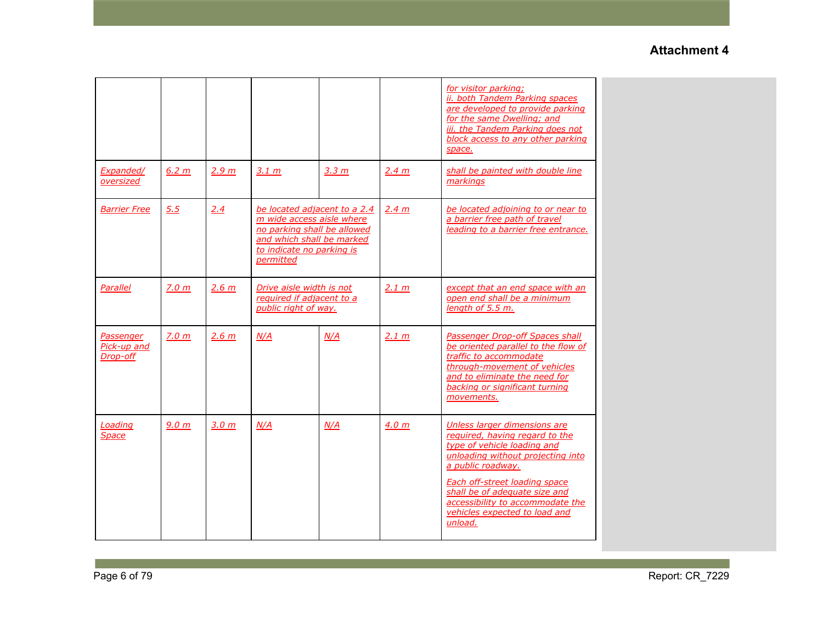|                                      |                  |                  |                                                                                                                                                                 |                  |                  | for visitor parking;<br>ii. both Tandem Parking spaces<br>are developed to provide parking<br>for the same Dwelling; and<br>iii. the Tandem Parking does not<br>block access to any other parking<br>space.                                                                                                      |
|--------------------------------------|------------------|------------------|-----------------------------------------------------------------------------------------------------------------------------------------------------------------|------------------|------------------|------------------------------------------------------------------------------------------------------------------------------------------------------------------------------------------------------------------------------------------------------------------------------------------------------------------|
| Expanded/<br>oversized               | 6.2 m            | 2.9 <sub>m</sub> | 3.1 m                                                                                                                                                           | 3.3 <sub>m</sub> | 2.4 m            | shall be painted with double line<br>markings                                                                                                                                                                                                                                                                    |
| <b>Barrier Free</b>                  | 5.5              | 2.4              | be located adjacent to a 2.4<br>m wide access aisle where<br>no parking shall be allowed<br>and which shall be marked<br>to indicate no parking is<br>permitted |                  | 2.4 m            | be located adjoining to or near to<br>a barrier free path of travel<br>leading to a barrier free entrance.                                                                                                                                                                                                       |
| Parallel                             | 7.0 m            | 2.6 m            | Drive aisle width is not<br>required if adjacent to a<br>public right of way.                                                                                   |                  | 2.1 m            | except that an end space with an<br>open end shall be a minimum<br>length of 5.5 m.                                                                                                                                                                                                                              |
| Passenger<br>Pick-up and<br>Drop-off | 7.0 <sub>m</sub> | 2.6 m            | N/A                                                                                                                                                             | N/A              | 2.1 m            | <b>Passenger Drop-off Spaces shall</b><br>be oriented parallel to the flow of<br>traffic to accommodate<br>through-movement of vehicles<br>and to eliminate the need for<br>backing or significant turning<br>movements.                                                                                         |
| Loading<br>Space                     | 9.0 <sub>m</sub> | 3.0 m            | N/A                                                                                                                                                             | N/A              | 4.0 <sub>m</sub> | Unless larger dimensions are<br>required, having regard to the<br>type of vehicle loading and<br>unloading without projecting into<br>a public roadway.<br><b>Each off-street loading space</b><br>shall be of adequate size and<br>accessibility to accommodate the<br>vehicles expected to load and<br>unload. |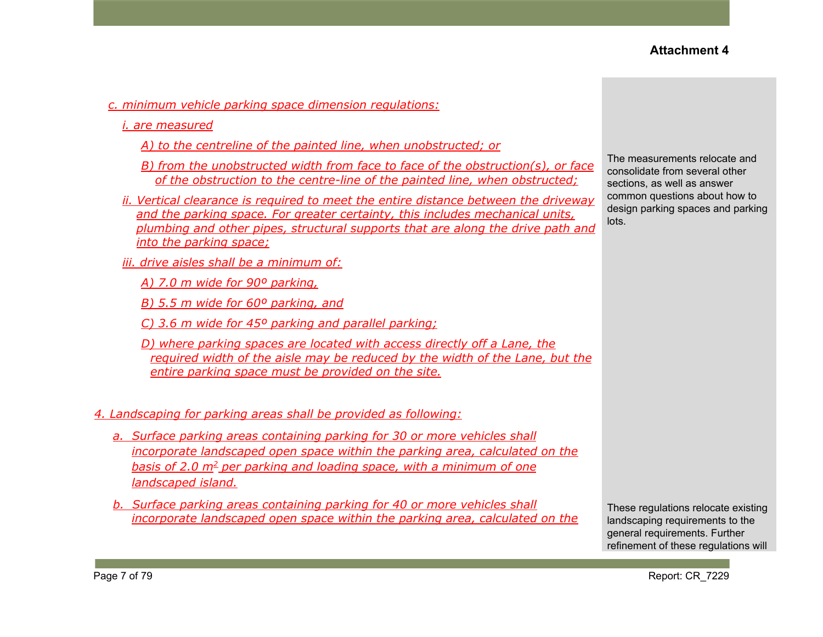- *c. minimum vehicle parking space dimension regulations:*
	- *i. are measured*
		- *A) to the centreline of the painted line, when unobstructed; or*
		- *B) from the unobstructed width from face to face of the obstruction(s), or face of the obstruction to the centre-line of the painted line, when obstructed;*
	- *ii. Vertical clearance is required to meet the entire distance between the driveway and the parking space. For greater certainty, this includes mechanical units, plumbing and other pipes, structural supports that are along the drive path and into the parking space;*
	- *iii. drive aisles shall be a minimum of:*
		- *A) 7.0 m wide for 90º parking,*
		- *B) 5.5 m wide for 60º parking, and*
		- *C) 3.6 m wide for 45º parking and parallel parking;*
		- *D) where parking spaces are located with access directly off a Lane, the required width of the aisle may be reduced by the width of the Lane, but the entire parking space must be provided on the site.*

#### *4. Landscaping for parking areas shall be provided as following:*

- *a. Surface parking areas containing parking for 30 or more vehicles shall incorporate landscaped open space within the parking area, calculated on the basis of 2.0 m<sup>2</sup> per parking and loading space, with a minimum of one landscaped island.*
- *b. Surface parking areas containing parking for 40 or more vehicles shall incorporate landscaped open space within the parking area, calculated on the*

The measurements relocate and consolidate from several other sections, as well as answer common questions about how to design parking spaces and parking lots.

These regulations relocate existing landscaping requirements to the general requirements. Further refinement of these regulations will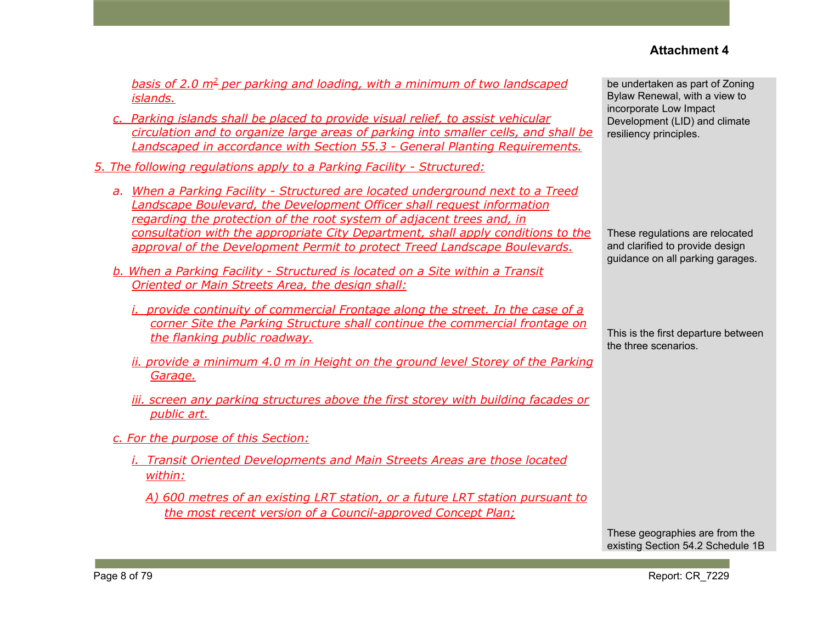*basis of 2.0 m<sup>2</sup> per parking and loading, with a minimum of two landscaped islands.*

- *c. Parking islands shall be placed to provide visual relief, to assist vehicular circulation and to organize large areas of parking into smaller cells, and shall be Landscaped in accordance with Section 55.3 - General Planting Requirements.*
- *5. The following regulations apply to a Parking Facility - Structured:*
	- *a. When a Parking Facility - Structured are located underground next to a Treed Landscape Boulevard, the Development Officer shall request information regarding the protection of the root system of adjacent trees and, in consultation with the appropriate City Department, shall apply conditions to the approval of the Development Permit to protect Treed Landscape Boulevards.*
	- *b. When a Parking Facility - Structured is located on a Site within a Transit Oriented or Main Streets Area, the design shall:*
		- *i. provide continuity of commercial Frontage along the street. In the case of a corner Site the Parking Structure shall continue the commercial frontage on the flanking public roadway.*
		- *ii. provide a minimum 4.0 m in Height on the ground level Storey of the Parking Garage.*
		- *iii. screen any parking structures above the first storey with building facades or public art.*
	- *c. For the purpose of this Section:*
		- *i. Transit Oriented Developments and Main Streets Areas are those located within:*
			- *A) 600 metres of an existing LRT station, or a future LRT station pursuant to the most recent version of a Council-approved Concept Plan;*

be undertaken as part of Zoning Bylaw Renewal, with a view to incorporate Low Impact Development (LID) and climate resiliency principles.

These regulations are relocated and clarified to provide design guidance on all parking garages.

This is the first departure between the three scenarios.

These geographies are from the existing Section 54.2 Schedule 1B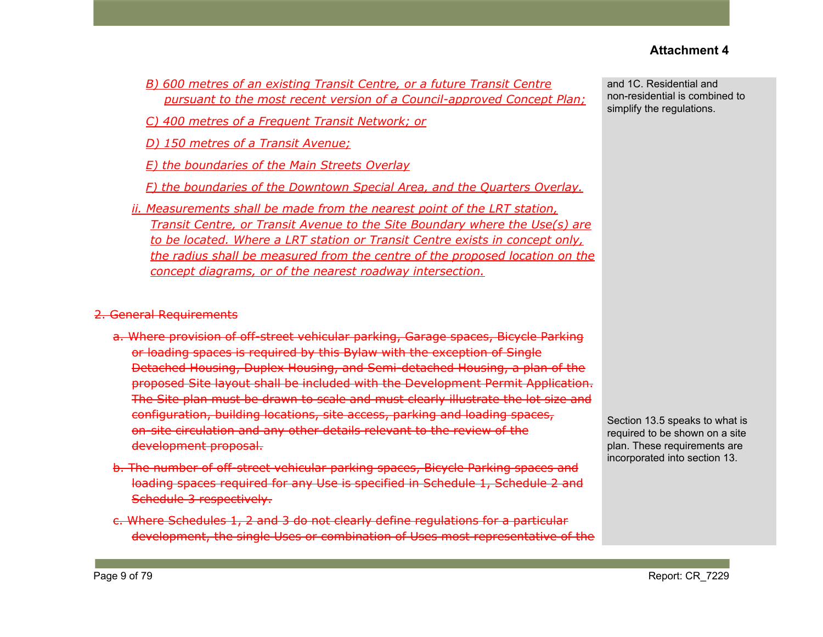- *B) 600 metres of an existing Transit Centre, or a future Transit Centre pursuant to the most recent version of a Council-approved Concept Plan;*
- *C) 400 metres of a Frequent Transit Network; or*
- *D) 150 metres of a Transit Avenue;*
- *E) the boundaries of the Main Streets Overlay*
- *F) the boundaries of the Downtown Special Area, and the Quarters Overlay.*
- *ii. Measurements shall be made from the nearest point of the LRT station, Transit Centre, or Transit Avenue to the Site Boundary where the Use(s) are to be located. Where a LRT station or Transit Centre exists in concept only, the radius shall be measured from the centre of the proposed location on the concept diagrams, or of the nearest roadway intersection.*

#### 2. General Requirements

- a. Where provision of off-street vehicular parking, Garage spaces, Bicycle Parking or loading spaces is required by this Bylaw with the exception of Single Detached Housing, Duplex Housing, and Semi-detached Housing, a plan of the proposed Site layout shall be included with the Development Permit Application. The Site plan must be drawn to scale and must clearly illustrate the lot size and configuration, building locations, site access, parking and loading spaces, on-site circulation and any other details relevant to the review of the development proposal.
- b. The number of off-street vehicular parking spaces, Bicycle Parking spaces and loading spaces required for any Use is specified in Schedule 1, Schedule 2 and Schedule 3 respectively.
- c. Where Schedules 1, 2 and 3 do not clearly define regulations for a particular development, the single Uses or combination of Uses most representative of the

and 1C. Residential and non-residential is combined to simplify the regulations.

Section 13.5 speaks to what is required to be shown on a site plan. These requirements are incorporated into section 13.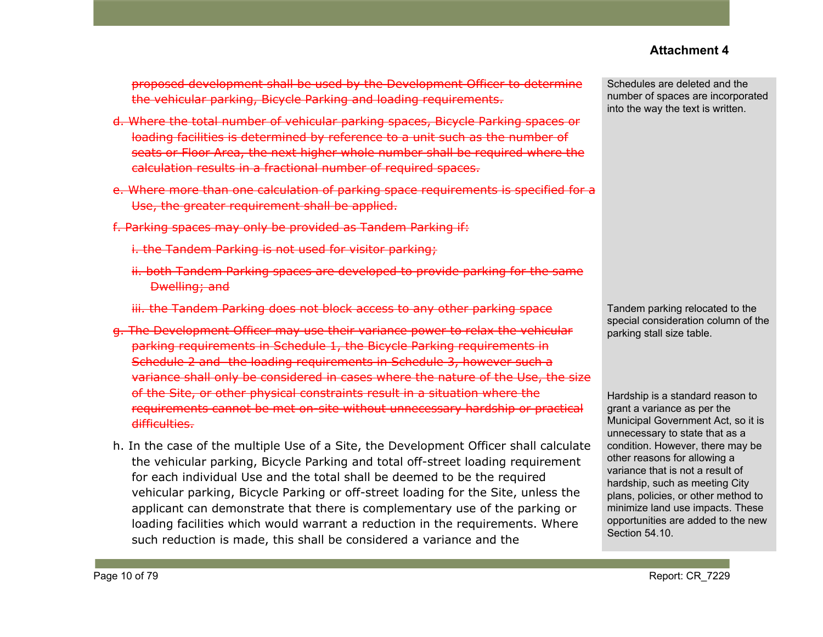proposed development shall be used by the Development Officer to determine the vehicular parking, Bicycle Parking and loading requirements.

- d. Where the total number of vehicular parking spaces, Bicycle Parking spaces or loading facilities is determined by reference to a unit such as the number of seats or Floor Area, the next higher whole number shall be required where the calculation results in a fractional number of required spaces.
- e. Where more than one calculation of parking space requirements is specified for a Use, the greater requirement shall be applied.
- f. Parking spaces may only be provided as Tandem Parking if:
	- i. the Tandem Parking is not used for visitor parking;
	- ii. both Tandem Parking spaces are developed to provide parking for the same Dwelling; and
	- iii. the Tandem Parking does not block access to any other parking space
- g. The Development Officer may use their variance power to relax the vehicular parking requirements in Schedule 1, the Bicycle Parking requirements in Schedule 2 and the loading requirements in Schedule 3, however such a variance shall only be considered in cases where the nature of the Use, the size of the Site, or other physical constraints result in a situation where the requirements cannot be met on-site without unnecessary hardship or practical difficulties.
- h. In the case of the multiple Use of a Site, the Development Officer shall calculate the vehicular parking, Bicycle Parking and total off-street loading requirement for each individual Use and the total shall be deemed to be the required vehicular parking, Bicycle Parking or off-street loading for the Site, unless the applicant can demonstrate that there is complementary use of the parking or loading facilities which would warrant a reduction in the requirements. Where such reduction is made, this shall be considered a variance and the

Schedules are deleted and the number of spaces are incorporated into the way the text is written.

Tandem parking relocated to the special consideration column of the parking stall size table.

Hardship is a standard reason to grant a variance as per the Municipal Government Act, so it is unnecessary to state that as a condition. However, there may be other reasons for allowing a variance that is not a result of hardship, such as meeting City plans, policies, or other method to minimize land use impacts. These opportunities are added to the new Section 54.10.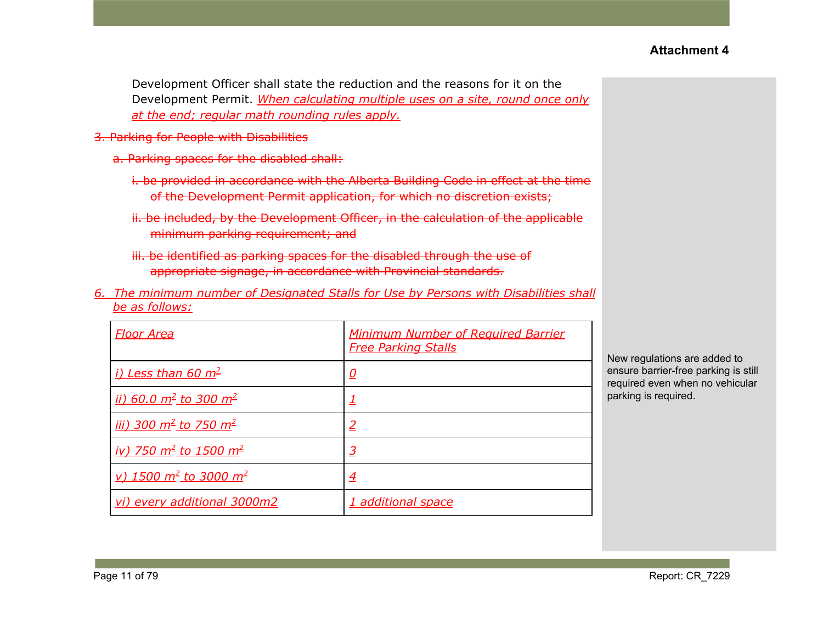Development Officer shall state the reduction and the reasons for it on the Development Permit. *When calculating multiple uses on a site, round once only at the end; regular math rounding rules apply.*

- 3. Parking for People with Disabilities
	- a. Parking spaces for the disabled shall:
		- i. be provided in accordance with the Alberta Building Code in effect at the time of the Development Permit application, for which no discretion exists;
		- ii. be included, by the Development Officer, in the calculation of the applicable minimum parking requirement; and
		- iii. be identified as parking spaces for the disabled through the use of appropriate signage, in accordance with Provincial standards.
- *6. The minimum number of Designated Stalls for Use by Persons with Disabilities shall be as follows:*

| <u>Floor Area</u>                                  | <b>Minimum Number of Required Barrier</b><br><b>Free Parking Stalls</b> |
|----------------------------------------------------|-------------------------------------------------------------------------|
| <i>i)</i> Less than 60 m <sup>2</sup>              | <u>0</u>                                                                |
| <u>ii) 60.0 m<sup>2</sup> to 300 m<sup>2</sup></u> |                                                                         |
| <u>iii) 300 m<sup>2</sup> to 750 m<sup>2</sup></u> | 2                                                                       |
| <u>iv) 750 m<sup>2</sup> to 1500 m<sup>2</sup></u> | $\overline{3}$                                                          |
| <u>v) 1500 m<sup>2</sup> to 3000 m<sup>2</sup></u> | $\overline{4}$                                                          |
| vi) every additional 3000m2                        | 1 additional space                                                      |

New regulations are added to ensure barrier-free parking is still required even when no vehicular parking is required.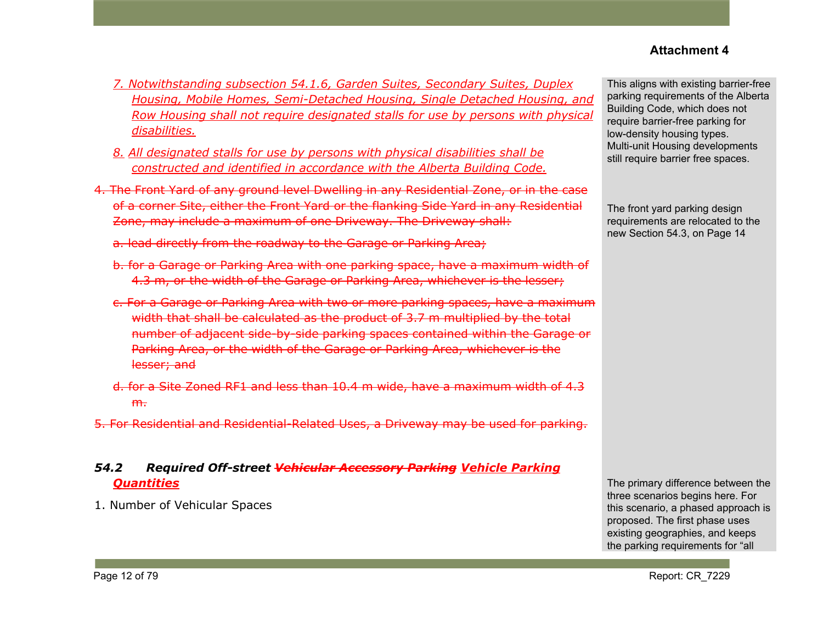- *7. Notwithstanding subsection 54.1.6, Garden Suites, Secondary Suites, Duplex Housing, Mobile Homes, Semi-Detached Housing, Single Detached Housing, and Row Housing shall not require designated stalls for use by persons with physical disabilities.*
- *8. All designated stalls for use by persons with physical disabilities shall be constructed and identified in accordance with the Alberta Building Code.*
- 4. The Front Yard of any ground level Dwelling in any Residential Zone, or in the case of a corner Site, either the Front Yard or the flanking Side Yard in any Residential Zone, may include a maximum of one Driveway. The Driveway shall:
	- a. lead directly from the roadway to the Garage or Parking Area;
	- b. for a Garage or Parking Area with one parking space, have a maximum width of 4.3 m, or the width of the Garage or Parking Area, whichever is the lesser;
	- c. For a Garage or Parking Area with two or more parking spaces, have a maximum width that shall be calculated as the product of 3.7 m multiplied by the total number of adjacent side-by-side parking spaces contained within the Garage or Parking Area, or the width of the Garage or Parking Area, whichever is the lesser; and
	- d. for a Site Zoned RF1 and less than 10.4 m wide, have a maximum width of 4.3  $m<sub>1</sub>$
- 5. For Residential and Residential-Related Uses, a Driveway may be used for parking.

## *54.2 Required Off-street Vehicular Accessory Parking Vehicle Parking Quantities*

1. Number of Vehicular Spaces

This aligns with existing barrier-free parking requirements of the Alberta Building Code, which does not require barrier-free parking for low-density housing types. Multi-unit Housing developments still require barrier free spaces.

The front yard parking design requirements are relocated to the new Section 54.3, on Page 14

The primary difference between the three scenarios begins here. For this scenario, a phased approach is proposed. The first phase uses existing geographies, and keeps the parking requirements for "all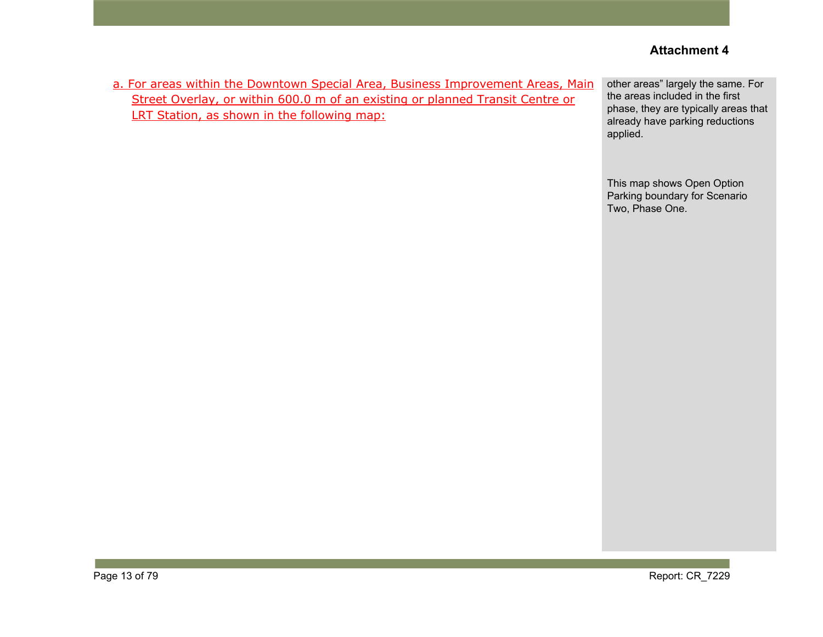| a. For areas within the Downtown Special Area, Business Improvement Areas, Main<br>Street Overlay, or within 600.0 m of an existing or planned Transit Centre or<br>LRT Station, as shown in the following map: | other areas" largely the same. For<br>the areas included in the first<br>phase, they are typically areas that<br>already have parking reductions<br>applied. |
|-----------------------------------------------------------------------------------------------------------------------------------------------------------------------------------------------------------------|--------------------------------------------------------------------------------------------------------------------------------------------------------------|
|                                                                                                                                                                                                                 | This map shows Open Option<br>Parking boundary for Scenario<br>Two, Phase One.                                                                               |
|                                                                                                                                                                                                                 |                                                                                                                                                              |
|                                                                                                                                                                                                                 |                                                                                                                                                              |
|                                                                                                                                                                                                                 |                                                                                                                                                              |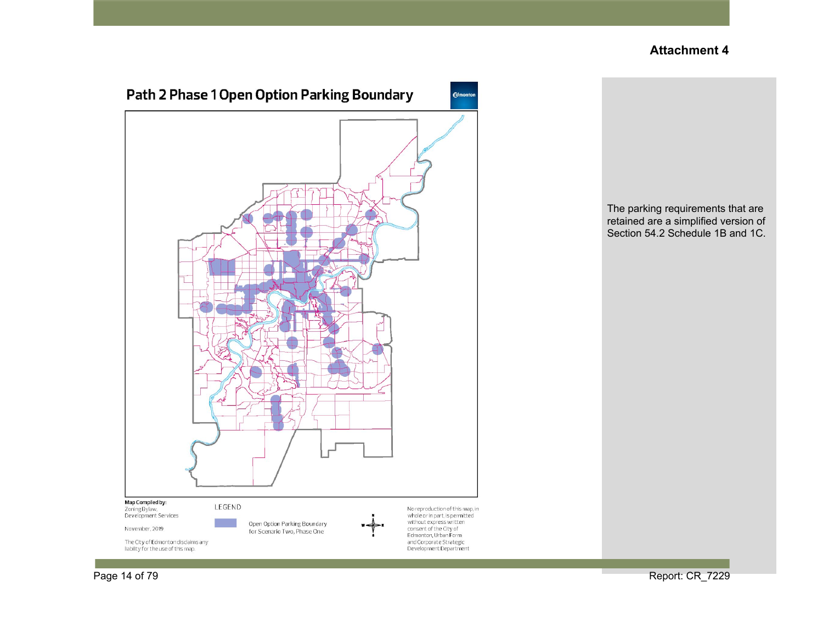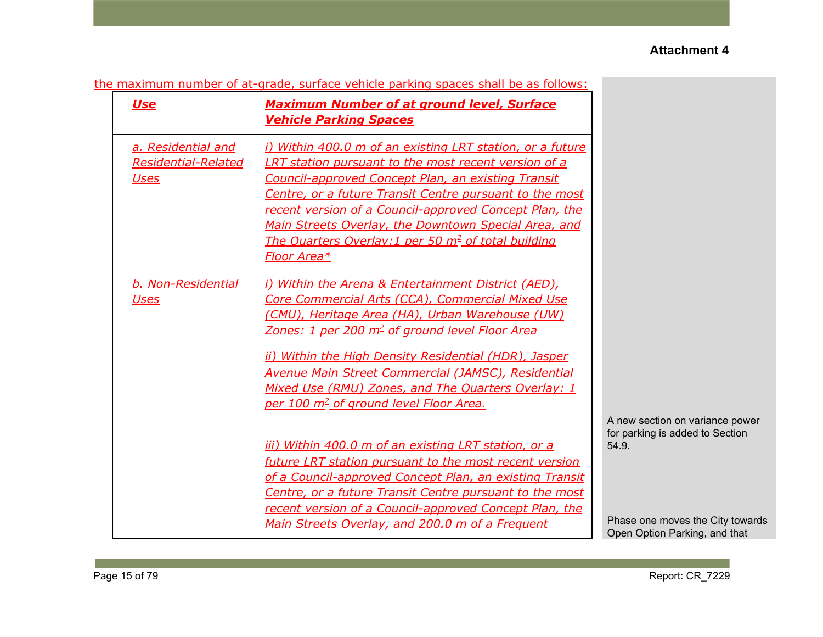| the maximum number of at-grade, surface vehicle parking spaces shall be as follows: |  |  |  |  |  |  |  |  |  |  |  |  |  |  |
|-------------------------------------------------------------------------------------|--|--|--|--|--|--|--|--|--|--|--|--|--|--|
|-------------------------------------------------------------------------------------|--|--|--|--|--|--|--|--|--|--|--|--|--|--|

| <b>Use</b>                                                      | <b>Maximum Number of at ground level, Surface</b><br><b>Vehicle Parking Spaces</b>                                                                                                                                                                                                                                                                                                                                                                   |                                                                             |
|-----------------------------------------------------------------|------------------------------------------------------------------------------------------------------------------------------------------------------------------------------------------------------------------------------------------------------------------------------------------------------------------------------------------------------------------------------------------------------------------------------------------------------|-----------------------------------------------------------------------------|
| a. Residential and<br><b>Residential-Related</b><br><b>Uses</b> | i) Within 400.0 m of an existing LRT station, or a future<br><b>LRT station pursuant to the most recent version of a</b><br><b>Council-approved Concept Plan, an existing Transit</b><br>Centre, or a future Transit Centre pursuant to the most<br>recent version of a Council-approved Concept Plan, the<br>Main Streets Overlay, the Downtown Special Area, and<br>The Quarters Overlay: 1 per 50 m <sup>2</sup> of total building<br>Floor Area* |                                                                             |
| b. Non-Residential<br><u>Uses</u>                               | i) Within the Arena & Entertainment District (AED),<br>Core Commercial Arts (CCA), Commercial Mixed Use<br>(CMU), Heritage Area (HA), Urban Warehouse (UW)<br><u>Zones: 1 per 200 m<sup>2</sup> of ground level Floor Area</u><br>ii) Within the High Density Residential (HDR), Jasper<br><b>Avenue Main Street Commercial (JAMSC), Residential</b><br>Mixed Use (RMU) Zones, and The Quarters Overlay: 1                                           |                                                                             |
|                                                                 | per 100 m <sup>2</sup> of ground level Floor Area.<br>iii) Within 400.0 m of an existing LRT station, or a<br>future LRT station pursuant to the most recent version<br>of a Council-approved Concept Plan, an existing Transit<br>Centre, or a future Transit Centre pursuant to the most                                                                                                                                                           | A new section on variance power<br>for parking is added to Section<br>54.9. |
|                                                                 | recent version of a Council-approved Concept Plan, the<br>Main Streets Overlay, and 200.0 m of a Frequent                                                                                                                                                                                                                                                                                                                                            | Phase one moves the City towards<br>Open Option Parking, and that           |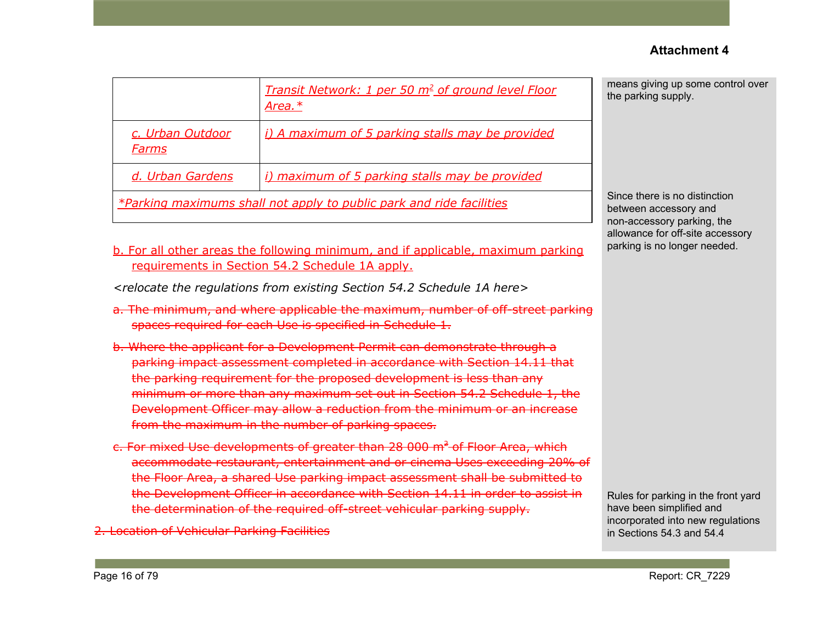|                                                                      | Transit Network: 1 per 50 m <sup>2</sup> of ground level Floor<br>Area. $*$ |  |  |  |  |
|----------------------------------------------------------------------|-----------------------------------------------------------------------------|--|--|--|--|
| c. Urban Outdoor<br>Farms                                            | i) A maximum of 5 parking stalls may be provided                            |  |  |  |  |
| d. Urban Gardens                                                     | i) maximum of 5 parking stalls may be provided                              |  |  |  |  |
| *Parking maximums shall not apply to public park and ride facilities |                                                                             |  |  |  |  |

means giving up some control over the parking supply.

Since there is no distinction between accessory and non-accessory parking, the allowance for off-site accessory parking is no longer needed.

#### b. For all other areas the following minimum, and if applicable, maximum parking requirements in Section 54.2 Schedule 1A apply.

*<relocate the regulations from existing Section 54.2 Schedule 1A here>*

- a. The minimum, and where applicable the maximum, number of off-street parking spaces required for each Use is specified in Schedule 1.
- b. Where the applicant for a Development Permit can demonstrate through a parking impact assessment completed in accordance with Section 14.11 that the parking requirement for the proposed development is less than any minimum or more than any maximum set out in Section 54.2 Schedule 1, the Development Officer may allow a reduction from the minimum or an increase from the maximum in the number of parking spaces.
- c. For mixed Use developments of greater than 28 000 m<sup>2</sup> of Floor Area, which accommodate restaurant, entertainment and or cinema Uses exceeding 20% of the Floor Area, a shared Use parking impact assessment shall be submitted to the Development Officer in accordance with Section 14.11 in order to assist in the determination of the required off-street vehicular parking supply.

2. Location of Vehicular Parking Facilities

Rules for parking in the front yard have been simplified and incorporated into new regulations in Sections 54.3 and 54.4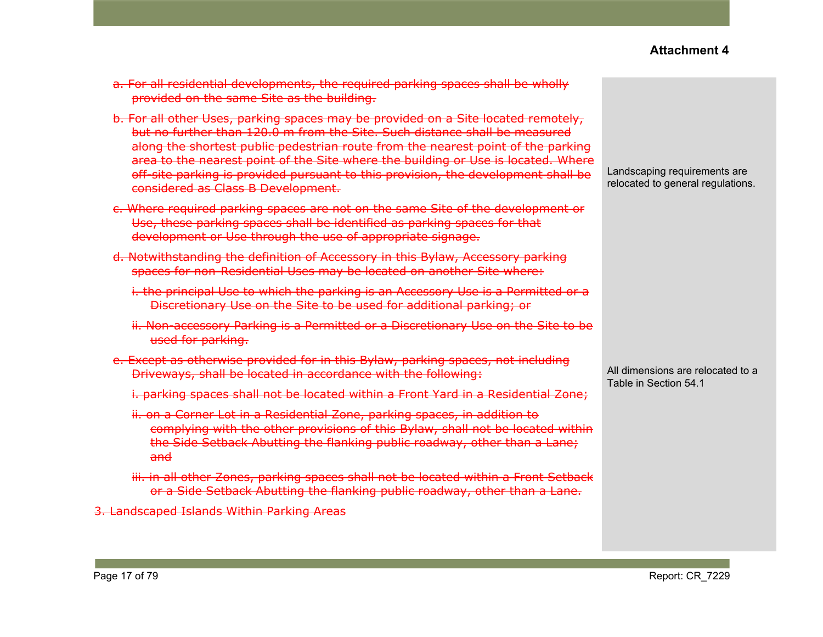- a. For all residential developments, the required parking spaces shall be wholly provided on the same Site as the building.
- b. For all other Uses, parking spaces may be provided on a Site located remotely, but no further than 120.0 m from the Site. Such distance shall be measured along the shortest public pedestrian route from the nearest point of the parking area to the nearest point of the Site where the building or Use is located. Where off-site parking is provided pursuant to this provision, the development shall be considered as Class B Development.
- c. Where required parking spaces are not on the same Site of the development or Use, these parking spaces shall be identified as parking spaces for that development or Use through the use of appropriate signage.
- d. Notwithstanding the definition of Accessory in this Bylaw, Accessory parking spaces for non-Residential Uses may be located on another Site where:
	- i. the principal Use to which the parking is an Accessory Use is a Permitted or a Discretionary Use on the Site to be used for additional parking; or
	- ii. Non-accessory Parking is a Permitted or a Discretionary Use on the Site to be used for parking.
- e. Except as otherwise provided for in this Bylaw, parking spaces, not including Driveways, shall be located in accordance with the following:
	- i. parking spaces shall not be located within a Front Yard in a Residential Zone;
	- ii. on a Corner Lot in a Residential Zone, parking spaces, in addition to complying with the other provisions of this Bylaw, shall not be located within the Side Setback Abutting the flanking public roadway, other than a Lane; and
	- iii. in all other Zones, parking spaces shall not be located within a Front Setback or a Side Setback Abutting the flanking public roadway, other than a Lane.

3. Landscaped Islands Within Parking Areas

Landscaping requirements are relocated to general regulations.

All dimensions are relocated to a Table in Section 54.1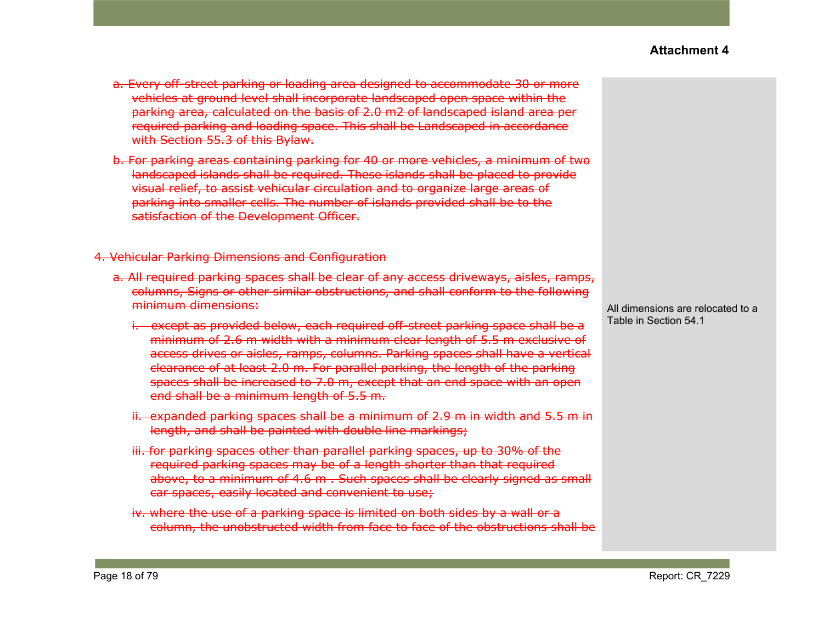- a. Every off-street parking or loading area designed to accommodate 30 or more vehicles at ground level shall incorporate landscaped open space within the parking area, calculated on the basis of 2.0 m2 of landscaped island area per required parking and loading space. This shall be Landscaped in accordance with Section 55.3 of this Bylaw.
- b. For parking areas containing parking for 40 or more vehicles, a minimum of two landscaped islands shall be required. These islands shall be placed to provide visual relief, to assist vehicular circulation and to organize large areas of parking into smaller cells. The number of islands provided shall be to the satisfaction of the Development Officer.

4. Vehicular Parking Dimensions and Configuration

- a. All required parking spaces shall be clear of any access driveways, aisles, ramps, columns, Signs or other similar obstructions, and shall conform to the following minimum dimensions:
	- i. except as provided below, each required off-street parking space shall be a minimum of 2.6 m width with a minimum clear length of 5.5 m exclusive of access drives or aisles, ramps, columns. Parking spaces shall have a vertical clearance of at least 2.0 m. For parallel parking, the length of the parking spaces shall be increased to 7.0 m, except that an end space with an open end shall be a minimum length of 5.5 m.
	- ii. expanded parking spaces shall be a minimum of 2.9 m in width and 5.5 m in length, and shall be painted with double line markings;
	- iii. for parking spaces other than parallel parking spaces, up to 30% of the required parking spaces may be of a length shorter than that required above, to a minimum of 4.6 m . Such spaces shall be clearly signed as small car spaces, easily located and convenient to use;
	- iv. where the use of a parking space is limited on both sides by a wall or a column, the unobstructed width from face to face of the obstructions shall be

All dimensions are relocated to a Table in Section 54.1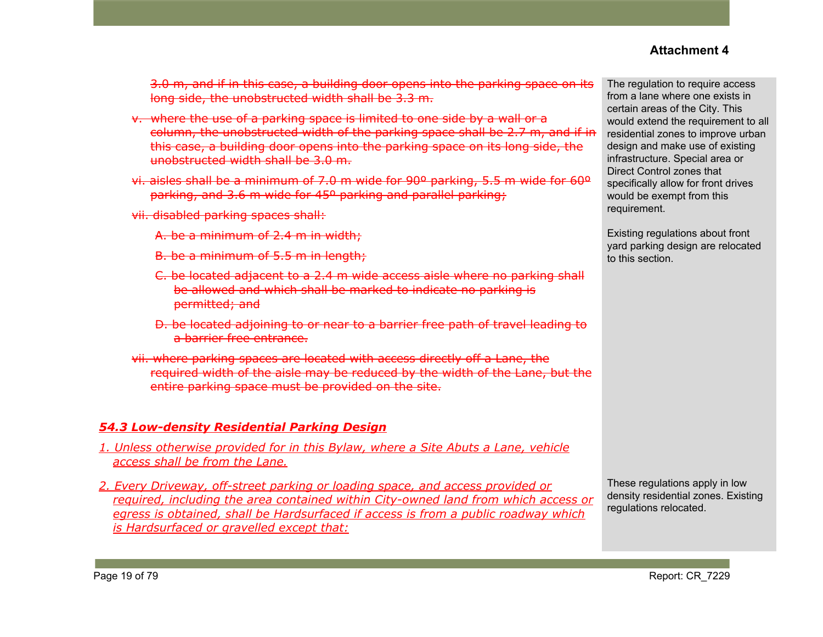3.0 m, and if in this case, a building door opens into the parking space on its long side, the unobstructed width shall be 3.3 m.

- v. where the use of a parking space is limited to one side by a wall or a column, the unobstructed width of the parking space shall be 2.7 m, and if in this case, a building door opens into the parking space on its long side, the unobstructed width shall be 3.0 m.
- vi. aisles shall be a minimum of 7.0 m wide for 90º parking, 5.5 m wide for 60º parking, and 3.6 m wide for 45º parking and parallel parking;
- vii. disabled parking spaces shall:
	- A. be a minimum of 2.4 m in width;
	- B. be a minimum of 5.5 m in length;
	- C. be located adjacent to a 2.4 m wide access aisle where no parking shall be allowed and which shall be marked to indicate no parking is permitted; and
	- D. be located adjoining to or near to a barrier free path of travel leading to a barrier free entrance.
- vii. where parking spaces are located with access directly off a Lane, the required width of the aisle may be reduced by the width of the Lane, but the entire parking space must be provided on the site.

## *54.3 Low-density Residential Parking Design*

- *1. Unless otherwise provided for in this Bylaw, where a Site Abuts a Lane, vehicle access shall be from the Lane.*
- *2. Every Driveway, off-street parking or loading space, and access provided or required, including the area contained within City-owned land from which access or egress is obtained, shall be Hardsurfaced if access is from a public roadway which is Hardsurfaced or gravelled except that:*

The regulation to require access from a lane where one exists in certain areas of the City. This would extend the requirement to all residential zones to improve urban design and make use of existing infrastructure. Special area or Direct Control zones that specifically allow for front drives would be exempt from this requirement.

Existing regulations about front yard parking design are relocated to this section.

These regulations apply in low density residential zones. Existing regulations relocated.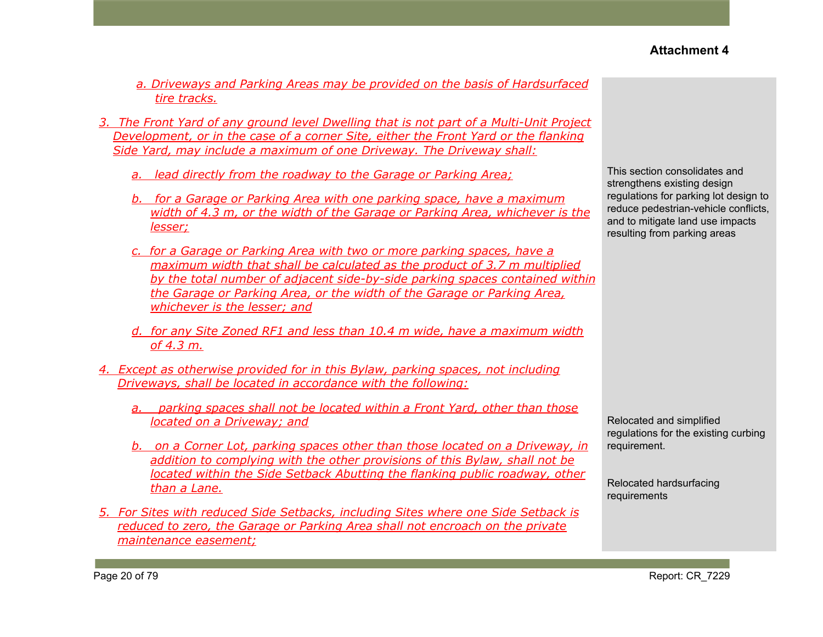- *a. Driveways and Parking Areas may be provided on the basis of Hardsurfaced tire tracks.*
- *3. The Front Yard of any ground level Dwelling that is not part of a Multi-Unit Project Development, or in the case of a corner Site, either the Front Yard or the flanking Side Yard, may include a maximum of one Driveway. The Driveway shall:*
	- *a. lead directly from the roadway to the Garage or Parking Area;*
	- *b. for a Garage or Parking Area with one parking space, have a maximum width of 4.3 m, or the width of the Garage or Parking Area, whichever is the lesser;*
	- *c. for a Garage or Parking Area with two or more parking spaces, have a maximum width that shall be calculated as the product of 3.7 m multiplied by the total number of adjacent side-by-side parking spaces contained within the Garage or Parking Area, or the width of the Garage or Parking Area, whichever is the lesser; and*
	- *d. for any Site Zoned RF1 and less than 10.4 m wide, have a maximum width of 4.3 m.*
- *4. Except as otherwise provided for in this Bylaw, parking spaces, not including Driveways, shall be located in accordance with the following:*
	- *a. parking spaces shall not be located within a Front Yard, other than those located on a Driveway; and*
	- *b. on a Corner Lot, parking spaces other than those located on a Driveway, in addition to complying with the other provisions of this Bylaw, shall not be located within the Side Setback Abutting the flanking public roadway, other than a Lane.*
- *5. For Sites with reduced Side Setbacks, including Sites where one Side Setback is reduced to zero, the Garage or Parking Area shall not encroach on the private maintenance easement;*

This section consolidates and strengthens existing design regulations for parking lot design to reduce pedestrian-vehicle conflicts, and to mitigate land use impacts resulting from parking areas

Relocated and simplified regulations for the existing curbing requirement.

Relocated hardsurfacing requirements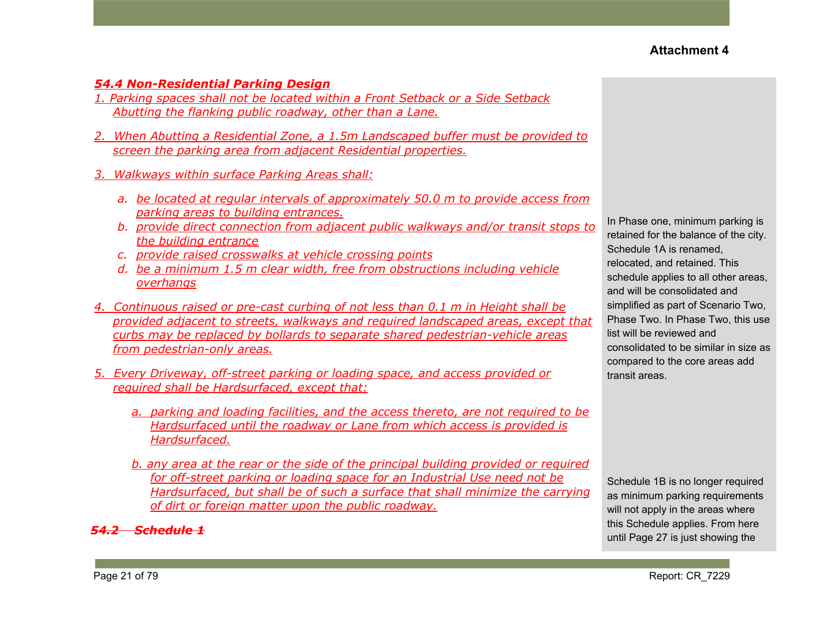#### *54.4 Non-Residential Parking Design*

- *1. Parking spaces shall not be located within a Front Setback or a Side Setback Abutting the flanking public roadway, other than a Lane.*
- *2. When Abutting a Residential Zone, a 1.5m Landscaped buffer must be provided to screen the parking area from adjacent Residential properties.*
- *3. Walkways within surface Parking Areas shall:*
	- *a. be located at regular intervals of approximately 50.0 m to provide access from parking areas to building entrances.*
	- *b. provide direct connection from adjacent public walkways and/or transit stops to the building entrance*
	- *c. provide raised crosswalks at vehicle crossing points*
	- *d. be a minimum 1.5 m clear width, free from obstructions including vehicle overhangs*
- *4. Continuous raised or pre-cast curbing of not less than 0.1 m in Height shall be provided adjacent to streets, walkways and required landscaped areas, except that curbs may be replaced by bollards to separate shared pedestrian-vehicle areas from pedestrian-only areas.*
- *5. Every Driveway, off-street parking or loading space, and access provided or required shall be Hardsurfaced, except that:*
	- *a. parking and loading facilities, and the access thereto, are not required to be Hardsurfaced until the roadway or Lane from which access is provided is Hardsurfaced.*
	- *b. any area at the rear or the side of the principal building provided or required for off-street parking or loading space for an Industrial Use need not be Hardsurfaced, but shall be of such a surface that shall minimize the carrying of dirt or foreign matter upon the public roadway.*

#### *54.2 Schedule 1*

In Phase one, minimum parking is retained for the balance of the city. Schedule 1A is renamed, relocated, and retained. This schedule applies to all other areas, and will be consolidated and simplified as part of Scenario Two, Phase Two. In Phase Two, this use list will be reviewed and consolidated to be similar in size as compared to the core areas add transit areas.

Schedule 1B is no longer required as minimum parking requirements will not apply in the areas where this Schedule applies. From here until Page 27 is just showing the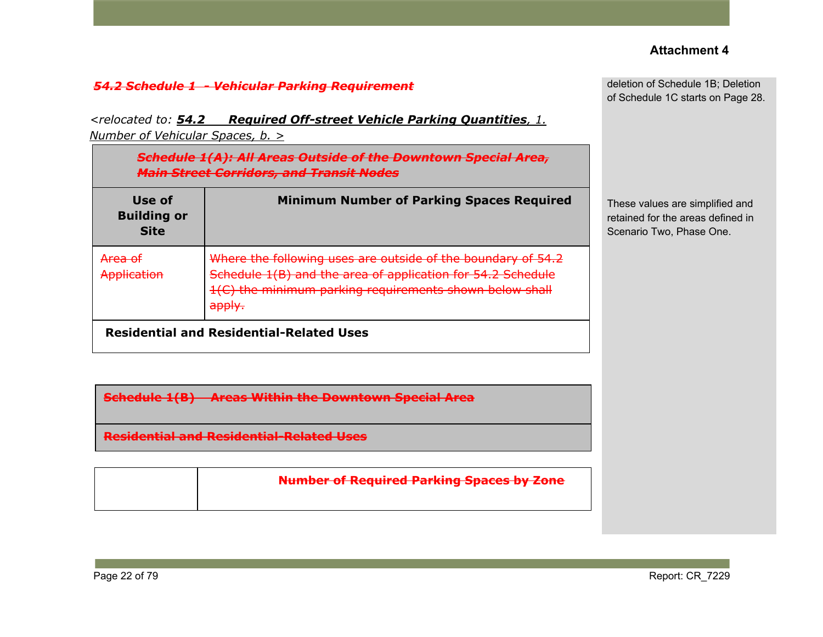deletion of Schedule 1B; Deletion of Schedule 1C starts on Page 28.

*<relocated to: 54.2 Required Off-street Vehicle Parking Quantities, 1. Number of Vehicular Spaces, b. >*

| <b>Schedule 1(A): All Areas Outside of the</b><br>Dawntawn Chacial Aras<br>मान<br><b>Main Street Corridors, and Transit Nodes</b> |                                                                                                                                                                                                             |  |  |  |  |  |
|-----------------------------------------------------------------------------------------------------------------------------------|-------------------------------------------------------------------------------------------------------------------------------------------------------------------------------------------------------------|--|--|--|--|--|
| Use of<br><b>Building or</b><br><b>Site</b>                                                                                       | <b>Minimum Number of Parking Spaces Required</b>                                                                                                                                                            |  |  |  |  |  |
| <del>Area of</del><br>Application                                                                                                 | Where the following uses are outside of the boundary of 54.2<br>Schedule 1(B) and the area of application for 54.2 Schedule<br>1(C) the minimum parking requirements shown below shall<br><del>apply.</del> |  |  |  |  |  |
| <b>Residential and Residential-Related Uses</b>                                                                                   |                                                                                                                                                                                                             |  |  |  |  |  |

These values are simplified and retained for the areas defined in Scenario Two, Phase One.

**Schedule 1(B) Areas Within the Downtown Special Area**

**Residential and Residential-Related Uses**

| <b>Number of Required Parking Spaces by Zone</b> |
|--------------------------------------------------|
|                                                  |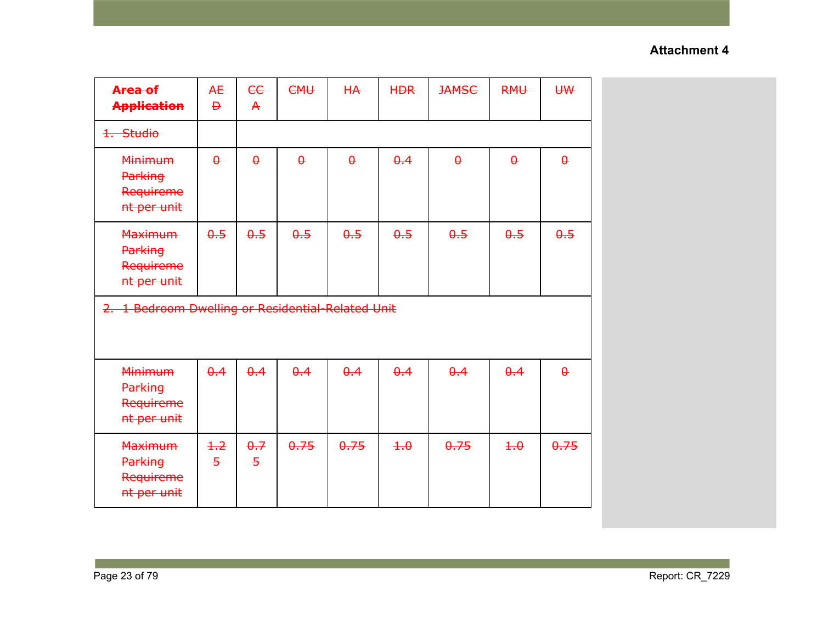| Area of<br><b>Application</b>                                | <b>AE</b><br>$\overline{P}$ | ee<br>$\mathsf{A}$    | <b>CMU</b> | HA       | <b>HDR</b>  | <b>JAMSC</b> | <b>RMU</b>  | <b>U₩</b> |
|--------------------------------------------------------------|-----------------------------|-----------------------|------------|----------|-------------|--------------|-------------|-----------|
| 1. Studio                                                    |                             |                       |            |          |             |              |             |           |
| <b>Minimum</b><br><b>Parking</b><br>Requireme<br>nt per unit | $\theta$                    | $\theta$              | $\theta$   | $\theta$ | $\theta$ .4 | $\theta$     | $\theta$    | $\theta$  |
| <b>Maximum</b><br>Parking<br>Requireme<br>nt per unit        | $\theta$ .5                 | $\theta$ .5           | 0.5        | 0.5      | $\theta$ .5 | 0.5          | 0.5         | 0.5       |
| 2. 1 Bedroom Dwelling or Residential-Related Unit            |                             |                       |            |          |             |              |             |           |
| <b>Minimum</b><br>Parking<br>Requireme<br>nt per unit        | $\theta$ .4                 | $\theta$ .4           | 0.4        | 0.4      | $\theta$ .4 | 0.4          | $\theta$ .4 | $\theta$  |
| <b>Maximum</b><br><b>Parking</b><br>Requireme<br>nt per unit | $+2$<br>$\overline{5}$      | 0.7<br>$\overline{5}$ | 0.75       | 0.75     | $+ \theta$  | 0.75         | $+ \theta$  | 0.75      |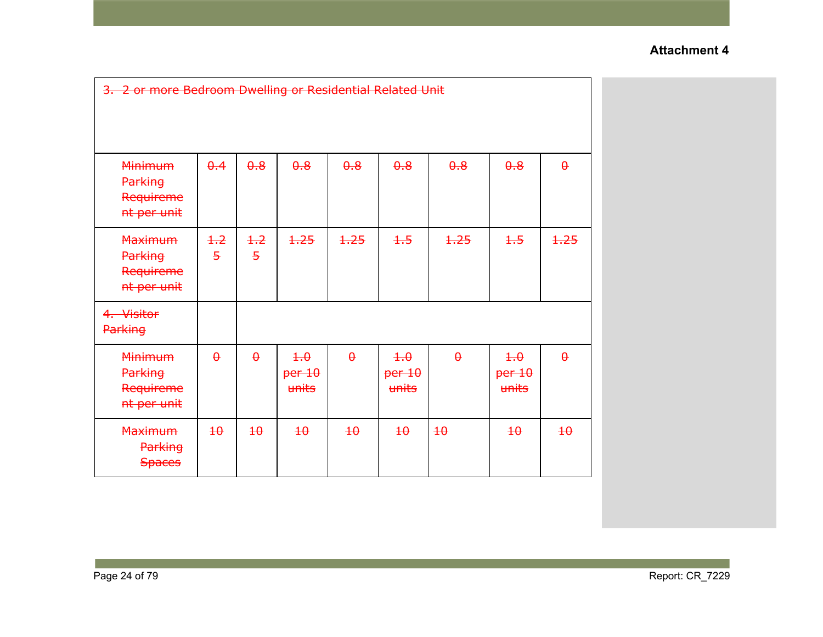| 3. 2 or more Bedroom Dwelling or Residential Related Unit |                        |                        |                               |                 |                               |                 |                               |                 |
|-----------------------------------------------------------|------------------------|------------------------|-------------------------------|-----------------|-------------------------------|-----------------|-------------------------------|-----------------|
| <b>Minimum</b><br>Parking<br>Requireme<br>nt per unit     | $\theta$ .4            | $\theta$ .8            | $\theta$ .8                   | $\theta$ .8     | $\theta$ .8                   | 0.8             | $\theta$ .8                   | $\theta$        |
| <b>Maximum</b><br>Parking<br>Requireme<br>nt per unit     | $+2$<br>$\overline{5}$ | $+2$<br>$\overline{5}$ | 1.25                          | 1,25            | $+5$                          | 1,25            | $+5$                          | 1.25            |
| 4. Visitor<br><b>Parking</b>                              |                        |                        |                               |                 |                               |                 |                               |                 |
| <b>Minimum</b><br>Parking<br>Requireme<br>nt per unit     | $\theta$               | $\theta$               | $+ \theta$<br>per 10<br>units | $\theta$        | $+.\theta$<br>per 10<br>units | $\theta$        | $+ \theta$<br>per 10<br>units | $\theta$        |
| <b>Maximum</b><br><b>Parking</b><br><b>Spaces</b>         | $\overline{40}$        | $\overline{4\theta}$   | $\overline{40}$               | $\overline{40}$ | $\overline{40}$               | $\overline{40}$ | $\overline{40}$               | $\overline{40}$ |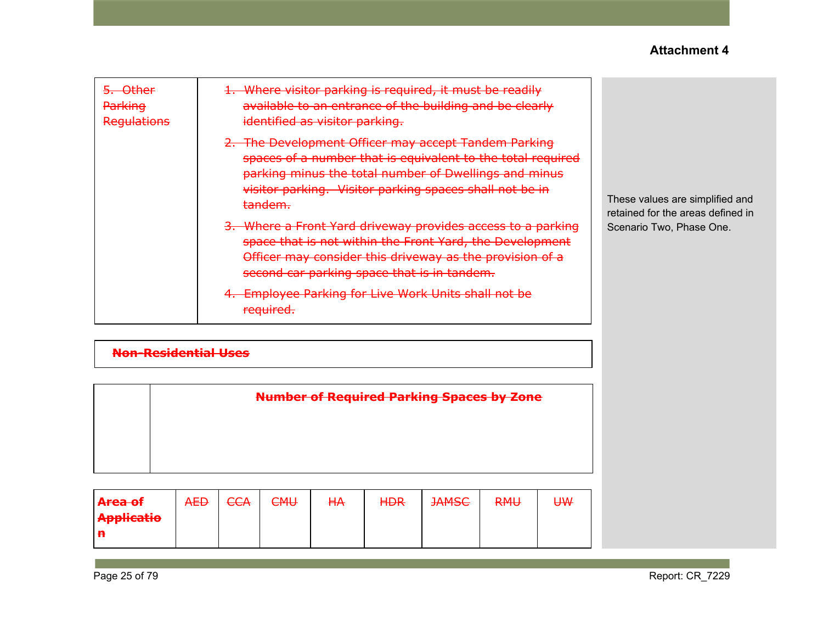| <del>Other</del><br>Parking<br>Regulations | 1. Where visitor parking is required, it must be readily<br>available to an entrance of the building and be clearly<br>identified as visitor parking.                                                                                                                                                                                                                                                                                                                                                                                                       |                                                                                                  |
|--------------------------------------------|-------------------------------------------------------------------------------------------------------------------------------------------------------------------------------------------------------------------------------------------------------------------------------------------------------------------------------------------------------------------------------------------------------------------------------------------------------------------------------------------------------------------------------------------------------------|--------------------------------------------------------------------------------------------------|
|                                            | The Development Officer may accept Tandem Parking<br>spaces of a number that is equivalent to the total required<br>parking minus the total number of Dwellings and minus<br>visitor parking. Visitor parking spaces shall not be in<br>tandem.<br>Where a Front Yard driveway provides access to a parking<br>space that is not within the Front Yard, the Development<br>Officer may consider this driveway as the provision of a<br>second car parking space that is in tandem.<br><b>Employee Parking for Live Work Units shall not be</b><br>required. | These values are simplified and<br>retained for the areas defined in<br>Scenario Two, Phase One. |

# **Non-Residential Uses**

| <b>Number of Required Parking Spaces by Zone</b> |
|--------------------------------------------------|
|                                                  |
|                                                  |
|                                                  |

| A <del>rea of</del> | <b>AED</b> | <b>CCA</b> | <b>CMU</b> | <b>HA</b> | <b>HDR</b> | <b>JAMSC</b> | <b>RMU</b> | ₩ |
|---------------------|------------|------------|------------|-----------|------------|--------------|------------|---|
| <b>Applicatio</b>   |            |            |            |           |            |              |            |   |
| Ð                   |            |            |            |           |            |              |            |   |

Page 25 of 79 Report: CR\_7229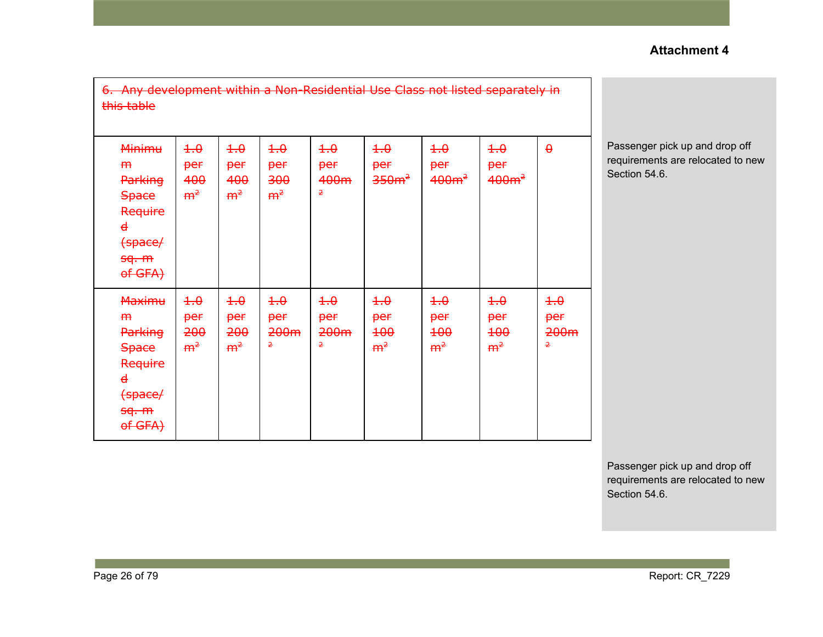| 6. Any development within a Non-Residential Use Class not listed separately in<br>this table                  |                                            |                                            |                                                   |                                                         |                                              |                                                   |                                                   |                                                   |                                               |
|---------------------------------------------------------------------------------------------------------------|--------------------------------------------|--------------------------------------------|---------------------------------------------------|---------------------------------------------------------|----------------------------------------------|---------------------------------------------------|---------------------------------------------------|---------------------------------------------------|-----------------------------------------------|
| <b>Minimu</b><br>m<br><b>Parking</b><br><b>Space</b><br>Require<br>$\mathbf d$<br>(space/<br>sq. m<br>of GFA) | 4.0<br>per<br>400<br>m <sup>2</sup>        | $\pm .0$<br>per<br>400<br>m <sup>2</sup>   | $\pm .0$<br>per<br>300<br>m <sup>2</sup>          | $\pm .0$<br>per<br>400m<br>2                            | $\pm .0$<br>per<br>350m <sup>2</sup>         | 4.0<br>per<br>400m <sup>2</sup>                   | $\pm .0$<br>per<br>400m <sup>2</sup>              | $\theta$                                          | Passenger pi<br>requirements<br>Section 54.6. |
| <b>Maximu</b><br>m<br><b>Parking</b><br><b>Space</b><br>Require<br>$\mathbf d$<br>(space/<br>sq. m<br>of GFA) | $+.\theta$<br>per<br>200<br>m <sup>2</sup> | $+.\theta$<br>per<br>200<br>m <sup>2</sup> | $+.\theta$<br><b>per</b><br>200 <sub>m</sub><br>2 | $+.\theta$<br>per<br>200 <sub>m</sub><br>$\overline{2}$ | $+.\theta$<br>per<br>$+00$<br>m <sup>2</sup> | $+.\theta$<br>per<br><b>100</b><br>m <sup>2</sup> | $+.\theta$<br>per<br><b>100</b><br>m <sup>2</sup> | $+.\theta$<br><b>per</b><br>200 <sub>m</sub><br>2 |                                               |

pick up and drop off s are relocated to new

Passenger pick up and drop off requirements are relocated to new Section 54.6.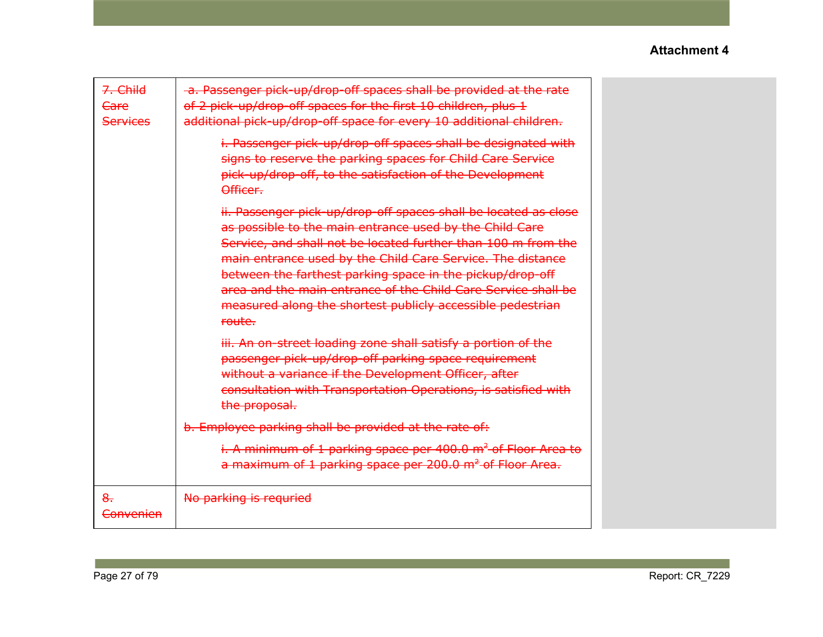| 7. Child<br>Care<br><b>Services</b> | -a. Passenger pick-up/drop-off spaces shall be provided at the rate<br>of 2 pick-up/drop-off spaces for the first 10 children, plus 1<br>additional pick-up/drop-off space for every 10 additional children.                                                                                                                                                                                                                                                    |  |
|-------------------------------------|-----------------------------------------------------------------------------------------------------------------------------------------------------------------------------------------------------------------------------------------------------------------------------------------------------------------------------------------------------------------------------------------------------------------------------------------------------------------|--|
|                                     | i. Passenger pick-up/drop-off spaces shall be designated with<br>signs to reserve the parking spaces for Child Care Service<br>pick-up/drop-off, to the satisfaction of the Development<br>Officer.                                                                                                                                                                                                                                                             |  |
|                                     | ii. Passenger pick-up/drop-off spaces shall be located as close<br>as possible to the main entrance used by the Child Care<br>Service, and shall not be located further than 100 m from the<br>main entrance used by the Child Care Service. The distance<br>between the farthest parking space in the pickup/drop-off<br>area and the main entrance of the Child Care Service shall be<br>measured along the shortest publicly accessible pedestrian<br>route. |  |
|                                     | iii. An on-street loading zone shall satisfy a portion of the<br>passenger pick-up/drop-off parking space requirement<br>without a variance if the Development Officer, after<br>consultation with Transportation Operations, is satisfied with<br>the proposal.                                                                                                                                                                                                |  |
|                                     | b. Employee parking shall be provided at the rate of:                                                                                                                                                                                                                                                                                                                                                                                                           |  |
|                                     | i. A minimum of 1 parking space per 400.0 m <sup>2</sup> of Floor Area to<br>a maximum of 1 parking space per 200.0 m <sup>2</sup> of Floor Area.                                                                                                                                                                                                                                                                                                               |  |
| $8-$<br>Convenien                   | No parking is requried                                                                                                                                                                                                                                                                                                                                                                                                                                          |  |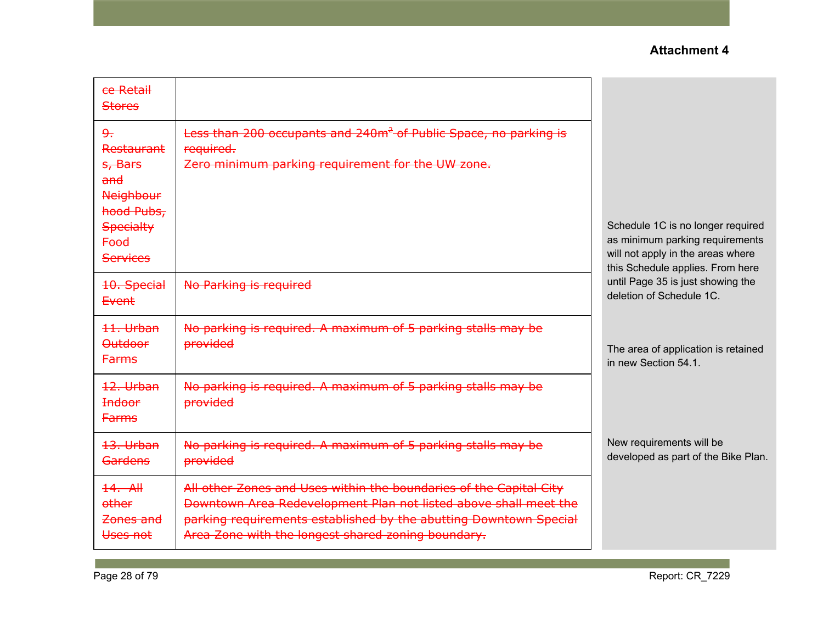| ce Retail<br><b>Stores</b>                                                                                                                    |                                                                                                                                                                                                                                                                   |                                                                                                                                               |
|-----------------------------------------------------------------------------------------------------------------------------------------------|-------------------------------------------------------------------------------------------------------------------------------------------------------------------------------------------------------------------------------------------------------------------|-----------------------------------------------------------------------------------------------------------------------------------------------|
| 9 <sub>r</sub><br><b>Restaurant</b><br>s, Bars<br>and<br><b>Neighbour</b><br>hood Pubs,<br><b>Specialty</b><br><b>Food</b><br><b>Services</b> | Less than 200 occupants and 240m <sup>2</sup> of Public Space, no parking is<br>required.<br>Zero minimum parking requirement for the UW zone.                                                                                                                    | Schedule 1C is no longer required<br>as minimum parking requirements<br>will not apply in the areas where<br>this Schedule applies. From here |
| 10. Special<br>Event                                                                                                                          | No Parking is required                                                                                                                                                                                                                                            | until Page 35 is just showing the<br>deletion of Schedule 1C.                                                                                 |
| 11. Urban<br><b>Outdoor</b><br><b>Farms</b>                                                                                                   | No parking is required. A maximum of 5 parking stalls may be<br><b>provided</b>                                                                                                                                                                                   | The area of application is retained<br>in new Section 54.1.                                                                                   |
| 12. Urban<br><b>Indoor</b><br><b>Farms</b>                                                                                                    | No parking is required. A maximum of 5 parking stalls may be<br>provided                                                                                                                                                                                          |                                                                                                                                               |
| 13. Urban<br><b>Gardens</b>                                                                                                                   | No parking is required. A maximum of 5 parking stalls may be<br>provided                                                                                                                                                                                          | New requirements will be<br>developed as part of the Bike Plan.                                                                               |
| $14.$ All<br>other<br>Zones and<br>Uses not                                                                                                   | All other Zones and Uses within the boundaries of the Capital City<br>Downtown Area Redevelopment Plan not listed above shall meet the<br>parking requirements established by the abutting Downtown Special<br>Area Zone with the longest shared zoning boundary. |                                                                                                                                               |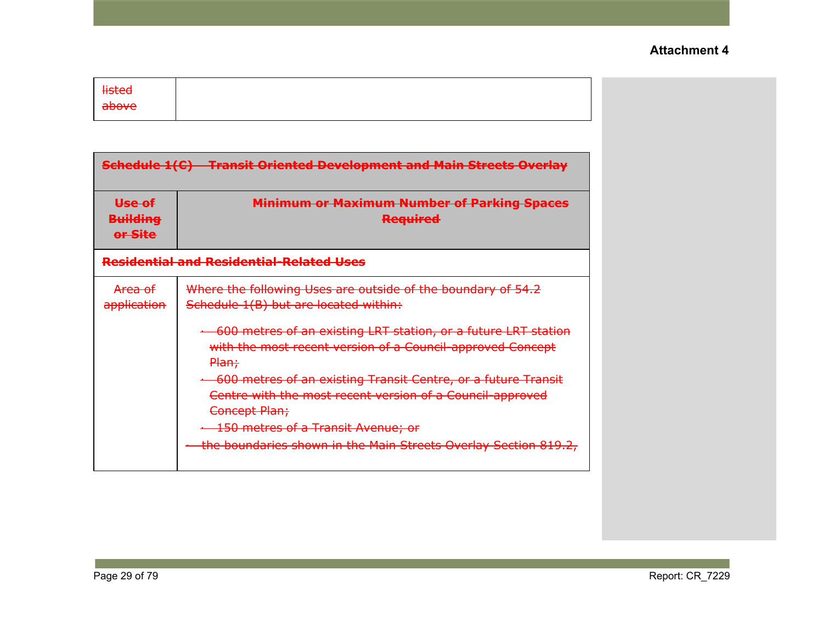| <b>listed</b><br>above               |                                                                                                                                                    |
|--------------------------------------|----------------------------------------------------------------------------------------------------------------------------------------------------|
|                                      |                                                                                                                                                    |
|                                      | <b>Schedule 1(C) Transit Oriented Development and Main Streets Overlay</b>                                                                         |
| Use of<br><b>Building</b><br>or Site | <b>Minimum or Maximum Number of Parking Spaces</b><br><b>Required</b>                                                                              |
|                                      | <b>Residential and Residential-Related Uses</b>                                                                                                    |
| Area of<br>application               | Where the following Uses are outside of the boundary of 54.2<br>Schedule 1(B) but are located within:                                              |
|                                      | + 600 metres of an existing LRT station, or a future LRT station<br>with the most recent version of a Council-approved Concept<br><del>Plan;</del> |
|                                      | 600 metres of an existing Transit Centre, or a future Transit<br>Centre with the most recent version of a Council-approved<br>Concept Plan;        |
|                                      | <b>150 metres of a Transit Avenue; or</b>                                                                                                          |
|                                      | the boundaries shown in the Main Streets Overlay Section 819.2,                                                                                    |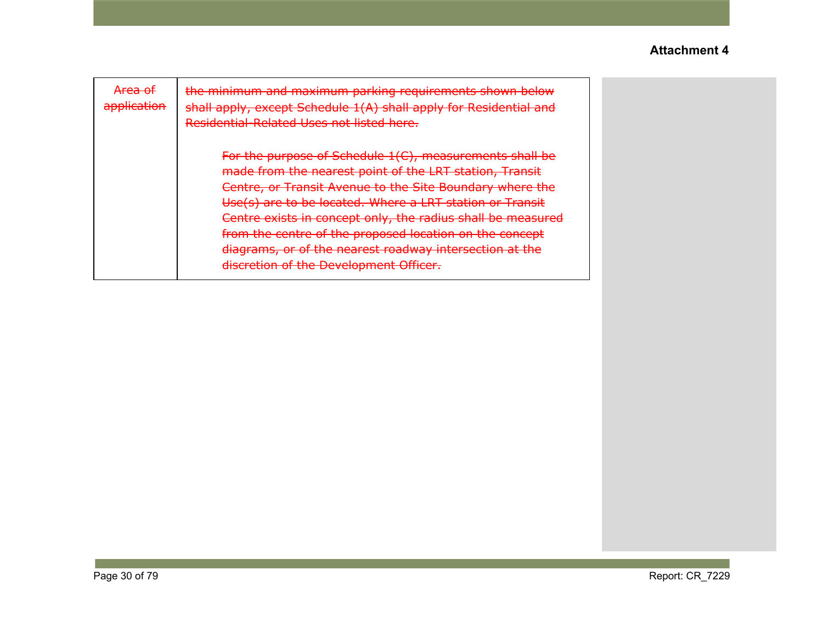| <del>Area of</del><br>application | the minimum and maximum parking requirements shown below<br>shall apply, except Schedule 1(A) shall apply for Residential and<br>Residential-Related Uses not listed here.                                                                                                                                                                                                                                                                                                |
|-----------------------------------|---------------------------------------------------------------------------------------------------------------------------------------------------------------------------------------------------------------------------------------------------------------------------------------------------------------------------------------------------------------------------------------------------------------------------------------------------------------------------|
|                                   | For the purpose of Schedule 1(C), measurements shall be<br>made from the nearest point of the LRT station, Transit<br>Centre, or Transit Avenue to the Site Boundary where the<br>Use(s) are to be located. Where a LRT station or Transit<br>Centre exists in concept only, the radius shall be measured<br>from the centre of the proposed location on the concept<br>diagrams, or of the nearest roadway intersection at the<br>discretion of the Development Officer. |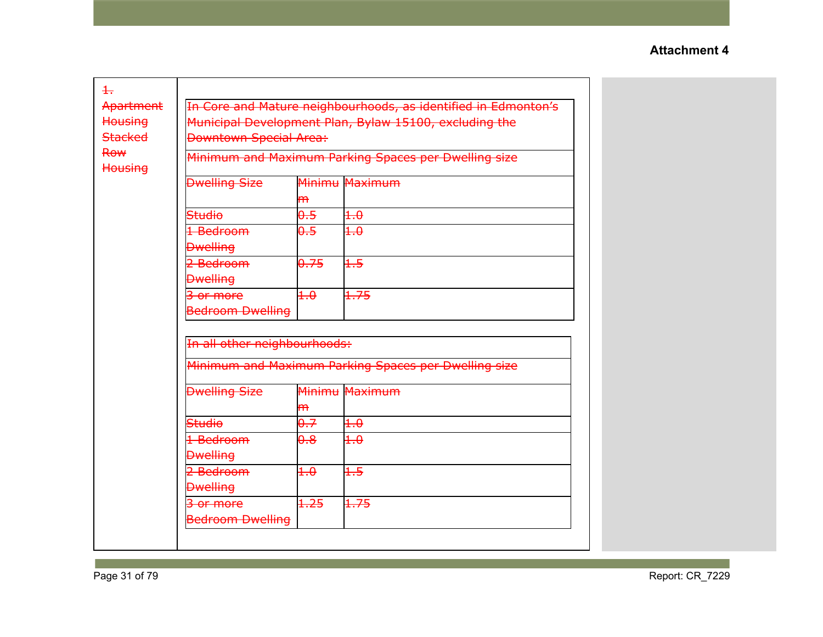| $\pm$                        |                                                                |                                                      |                                                      |  |  |  |  |
|------------------------------|----------------------------------------------------------------|------------------------------------------------------|------------------------------------------------------|--|--|--|--|
| Apartment                    | In Core and Mature neighbourhoods, as identified in Edmonton's |                                                      |                                                      |  |  |  |  |
| <b>Housing</b>               | Municipal Development Plan, Bylaw 15100, excluding the         |                                                      |                                                      |  |  |  |  |
| <b>Stacked</b>               | <b>Downtown Special Area:</b>                                  |                                                      |                                                      |  |  |  |  |
| <b>Row</b><br><b>Housing</b> |                                                                |                                                      | Minimum and Maximum Parking Spaces per Dwelling size |  |  |  |  |
|                              | <b>Dwelling Size</b>                                           | m                                                    | Minimu Maximum                                       |  |  |  |  |
|                              | <b>Studio</b>                                                  | 0.5                                                  | $+.\theta$                                           |  |  |  |  |
|                              | 1 Bedroom                                                      | 0.5                                                  | $+.\theta$                                           |  |  |  |  |
|                              | <b>Dwelling</b>                                                |                                                      |                                                      |  |  |  |  |
|                              | 2 Bedroom                                                      | 0.75                                                 | $+5$                                                 |  |  |  |  |
|                              | <b>Dwelling</b>                                                |                                                      |                                                      |  |  |  |  |
|                              | 3 or more                                                      | $+.\theta$                                           | 1.75                                                 |  |  |  |  |
|                              | <b>Bedroom Dwelling</b>                                        |                                                      |                                                      |  |  |  |  |
|                              |                                                                |                                                      |                                                      |  |  |  |  |
|                              | In all other neighbourhoods:                                   |                                                      |                                                      |  |  |  |  |
|                              |                                                                | Minimum and Maximum Parking Spaces per Dwelling size |                                                      |  |  |  |  |
|                              | <b>Dwelling Size</b>                                           |                                                      | Minimu Maximum                                       |  |  |  |  |
|                              |                                                                | $\mathsf{m}$                                         |                                                      |  |  |  |  |
|                              | Studio                                                         | 0.7                                                  | $+.\theta$                                           |  |  |  |  |
|                              | 1 Bedroom                                                      | $\theta$ .8                                          | 4.0                                                  |  |  |  |  |
|                              | <b>Dwelling</b>                                                |                                                      |                                                      |  |  |  |  |
|                              | 2 Bedroom                                                      | $+.\theta$                                           | $+5$                                                 |  |  |  |  |
|                              | <b>Dwelling</b>                                                |                                                      |                                                      |  |  |  |  |
|                              | 3 or more                                                      | 1.25                                                 | 1.75                                                 |  |  |  |  |
|                              | <b>Bedroom Dwelling</b>                                        |                                                      |                                                      |  |  |  |  |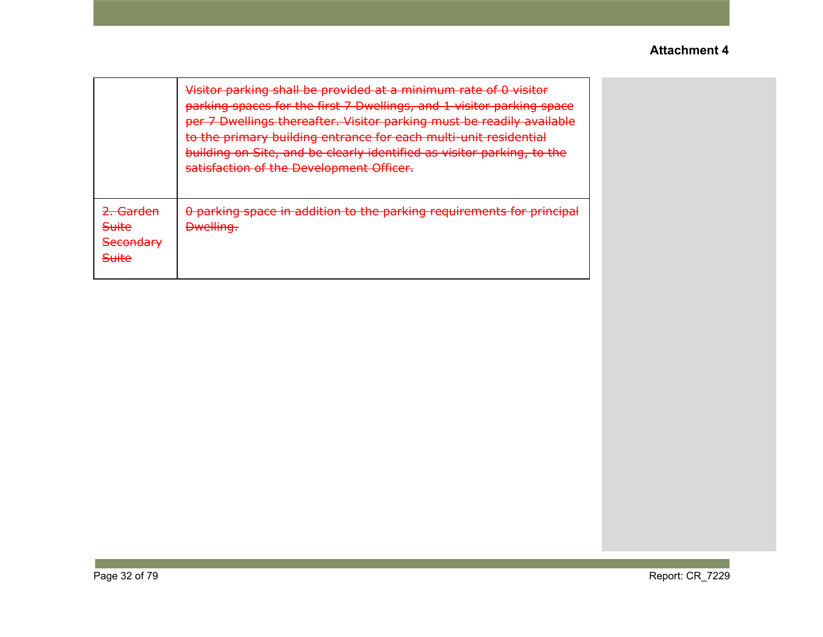|                                                                                                   | Visitor parking shall be provided at a minimum rate of 0 visitor<br>parking coaces for the first 7 Dwellings, and 1 visitor parking space<br><u>parking spaces for the mst 7 Dwellings, and I visitor parking space</u><br>per 7 Dwellings thereafter. Visitor parking must be readily available<br>to the primary building entrance for each multi-unit residential<br>building on Site, and be clearly identified as visitor parking, to the<br>caticfaction of the Development Officer<br><del>satisfaction or the Development Omcer.</del> |
|---------------------------------------------------------------------------------------------------|------------------------------------------------------------------------------------------------------------------------------------------------------------------------------------------------------------------------------------------------------------------------------------------------------------------------------------------------------------------------------------------------------------------------------------------------------------------------------------------------------------------------------------------------|
| ) Cardon<br><u>चता पद्मा</u><br><b>Suite</b><br>Cocondary<br><del>Jecondary</del><br><b>Suite</b> | 0 parking space in addition to the parking requirements for principal<br><b>Dwelling.</b>                                                                                                                                                                                                                                                                                                                                                                                                                                                      |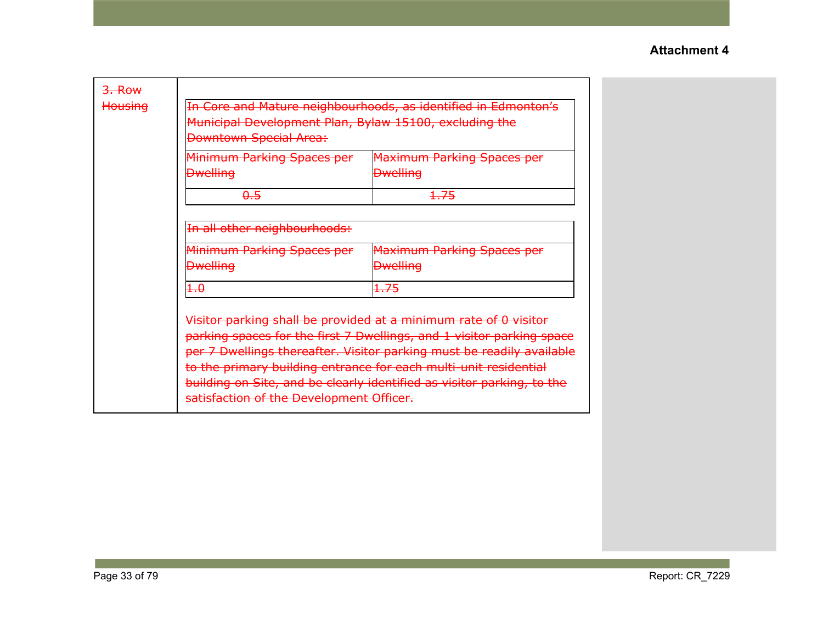| $3.$ Row<br>Housing | Municipal Development Plan, Bylaw 15100, excluding the<br><b>Downtown Special Area:</b>                                                                                                                                                                                                                                                                                                                      | In Core and Mature neighbourhoods, as identified in Edmonton's |  |  |  |
|---------------------|--------------------------------------------------------------------------------------------------------------------------------------------------------------------------------------------------------------------------------------------------------------------------------------------------------------------------------------------------------------------------------------------------------------|----------------------------------------------------------------|--|--|--|
|                     | Minimum Parking Spaces per                                                                                                                                                                                                                                                                                                                                                                                   | <b>Maximum Parking Spaces per</b>                              |  |  |  |
|                     | <b>Dwelling</b>                                                                                                                                                                                                                                                                                                                                                                                              | <b>Dwelling</b>                                                |  |  |  |
|                     | 0.5                                                                                                                                                                                                                                                                                                                                                                                                          | 1.75                                                           |  |  |  |
|                     | In all other neighbourhoods:                                                                                                                                                                                                                                                                                                                                                                                 |                                                                |  |  |  |
|                     | Minimum Parking Spaces per                                                                                                                                                                                                                                                                                                                                                                                   | <b>Maximum Parking Spaces per</b>                              |  |  |  |
|                     | <del>Dwelling</del>                                                                                                                                                                                                                                                                                                                                                                                          | <b>Dwelling</b>                                                |  |  |  |
|                     | $+.\theta$                                                                                                                                                                                                                                                                                                                                                                                                   | 1.75                                                           |  |  |  |
|                     | Visitor parking shall be provided at a minimum rate of 0 visitor<br>parking spaces for the first 7 Dwellings, and 1 visitor parking space<br>per 7 Dwellings thereafter. Visitor parking must be readily available<br>to the primary building entrance for each multi-unit residential<br>building on Site, and be clearly identified as visitor parking, to the<br>satisfaction of the Development Officer. |                                                                |  |  |  |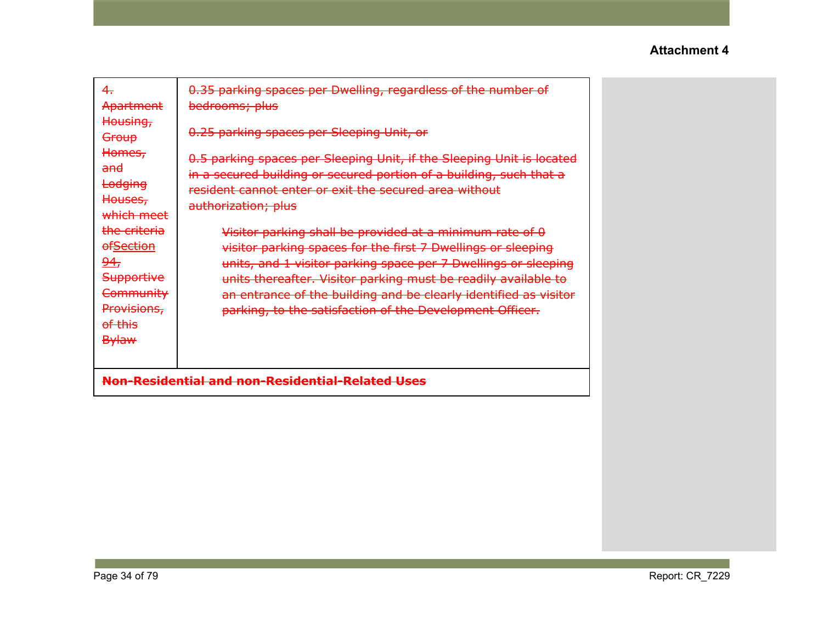| 4.<br>Apartment                                                                                                                                                | 0.35 parking spaces per Dwelling, regardless of the number of<br>bedrooms; plus                                                                                                                                                                                                                                                                                                              |  |
|----------------------------------------------------------------------------------------------------------------------------------------------------------------|----------------------------------------------------------------------------------------------------------------------------------------------------------------------------------------------------------------------------------------------------------------------------------------------------------------------------------------------------------------------------------------------|--|
| Housing,<br>Group<br>Homes,<br><del>and</del><br>Lodging<br>Houses,                                                                                            | 0.25 parking spaces per Sleeping Unit, or<br>0.5 parking spaces per Sleeping Unit, if the Sleeping Unit is located<br>in a secured building or secured portion of a building, such that a<br>resident cannot enter or exit the secured area without<br>authorization; plus                                                                                                                   |  |
| which meet<br><del>the criteria</del><br><b>ofSection</b><br><u>94,</u><br><b>Supportive</b><br>Community<br>Provisions,<br><del>of this</del><br><b>Bylaw</b> | Visitor parking shall be provided at a minimum rate of 0<br>visitor parking spaces for the first 7 Dwellings or sleeping<br>units, and 1 visitor parking space per 7 Dwellings or sleeping<br>units thereafter. Visitor parking must be readily available to<br>an entrance of the building and be clearly identified as visitor<br>parking, to the satisfaction of the Development Officer. |  |
|                                                                                                                                                                | Non-Residential and non-Residential-Related Uses                                                                                                                                                                                                                                                                                                                                             |  |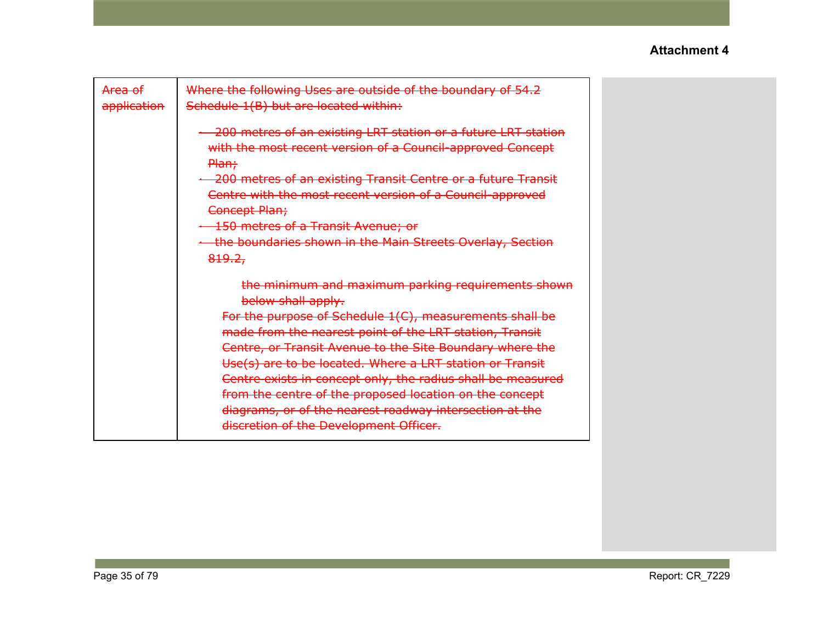| <del>Area of</del><br>application | Where the following Uses are outside of the boundary of 54.2<br>Schedule 1(B) but are located within:                                                                                                                                                                                                                                                                                                                                                                                                                                                 |  |
|-----------------------------------|-------------------------------------------------------------------------------------------------------------------------------------------------------------------------------------------------------------------------------------------------------------------------------------------------------------------------------------------------------------------------------------------------------------------------------------------------------------------------------------------------------------------------------------------------------|--|
|                                   | 200 metres of an existing LRT station or a future LRT station<br>with the most recent version of a Council-approved Concept<br>Plan;<br>- 200 metres of an existing Transit Centre or a future Transit<br>Centre with the most recent version of a Council-approved<br>Concept Plan;<br><b>150 metres of a Transit Avenue; or</b><br>+ the boundaries shown in the Main Streets Overlay, Section<br>819.2,                                                                                                                                            |  |
|                                   | the minimum and maximum parking requirements shown<br>below shall apply.<br>For the purpose of Schedule 1(C), measurements shall be<br>made from the nearest point of the LRT station, Transit<br>Centre, or Transit Avenue to the Site Boundary where the<br>Use(s) are to be located. Where a LRT station or Transit<br>Centre exists in concept only, the radius shall be measured<br>from the centre of the proposed location on the concept<br>diagrams, or of the nearest roadway intersection at the<br>discretion of the Development Officer. |  |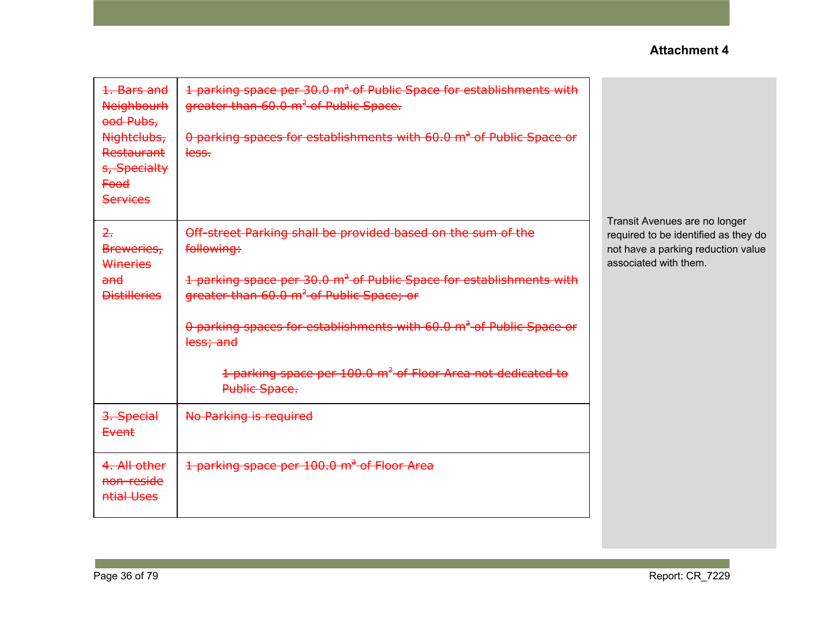| 1. Bars and<br><b>Neighbourh</b><br>ood Pubs,<br>Nightclubs,<br>Restaurant<br>s, Specialty<br><b>Food</b><br><b>Services</b> | 1 parking space per 30.0 m <sup>2</sup> of Public Space for establishments with<br>greater than 60.0 m <sup>2</sup> of Public Space.<br>0 parking spaces for establishments with 60.0 m <sup>2</sup> of Public Space or<br>less.                                                                                                                                                                 |                                                                                                                                      |
|------------------------------------------------------------------------------------------------------------------------------|--------------------------------------------------------------------------------------------------------------------------------------------------------------------------------------------------------------------------------------------------------------------------------------------------------------------------------------------------------------------------------------------------|--------------------------------------------------------------------------------------------------------------------------------------|
| $\overline{z}$<br>Breweries,<br>Wineries<br>and<br><b>Distilleries</b>                                                       | Off-street Parking shall be provided based on the sum of the<br>following:<br>1 parking space per 30.0 m <sup>2</sup> of Public Space for establishments with<br>greater than 60.0 m <sup>2</sup> of Public Space; or<br>0 parking spaces for establishments with 60.0 m <sup>2</sup> of Public Space or<br>less; and<br>1 parking space per 100.0 m <sup>2</sup> of Floor Area not dedicated to | Transit Avenues are no longer<br>required to be identified as they do<br>not have a parking reduction value<br>associated with them. |
|                                                                                                                              | Public Space.                                                                                                                                                                                                                                                                                                                                                                                    |                                                                                                                                      |
| 3. Special<br><b>Event</b>                                                                                                   | No Parking is required                                                                                                                                                                                                                                                                                                                                                                           |                                                                                                                                      |
| 4. All other<br><del>non-reside</del><br>ntial Uses                                                                          | 1 parking space per 100.0 m <sup>2</sup> of Floor Area                                                                                                                                                                                                                                                                                                                                           |                                                                                                                                      |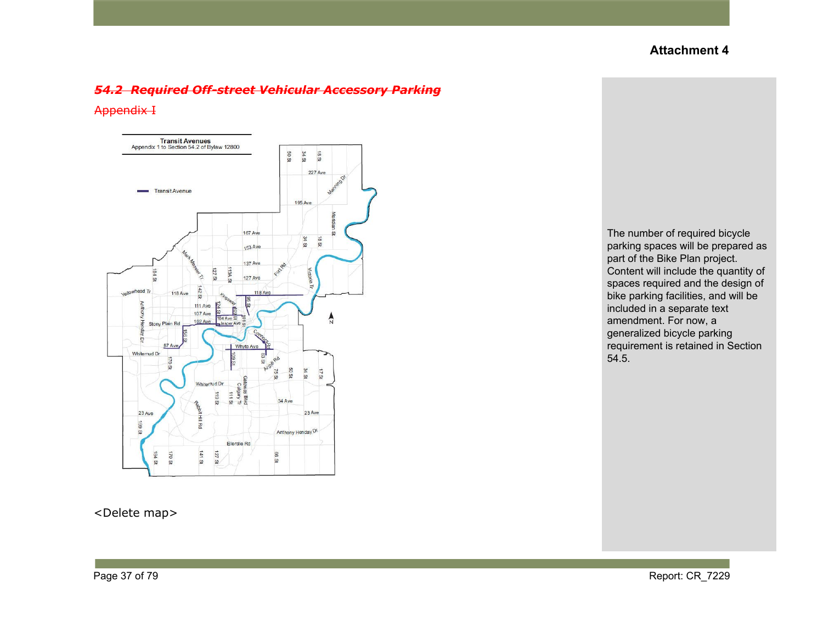#### *54.2 Required Off-street Vehicular Accessory Parking*

#### Appendix I



<Delete map>

The number of required bicycle parking spaces will be prepared as part of the Bike Plan project. Content will include the quantity of spaces required and the design of bike parking facilities, and will be included in a separate text amendment. For now, a generalized bicycle parking requirement is retained in Section 54.5.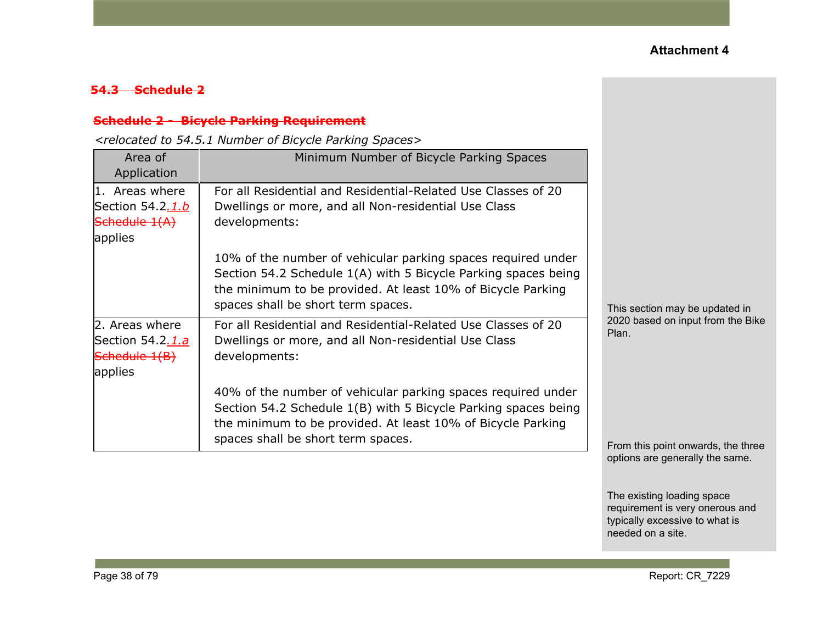### **54.3 Schedule 2**

### **Schedule 2 - Bicycle Parking Requirement**

*<relocated to 54.5.1 Number of Bicycle Parking Spaces>*

| Area of<br>Application                                                    | Minimum Number of Bicycle Parking Spaces                                                                                                                                                                                            |                                            |
|---------------------------------------------------------------------------|-------------------------------------------------------------------------------------------------------------------------------------------------------------------------------------------------------------------------------------|--------------------------------------------|
| $ 1.$ Areas where<br>Section 54.2 <u>.1.b</u><br>Schedule 1(A)<br>applies | For all Residential and Residential-Related Use Classes of 20<br>Dwellings or more, and all Non-residential Use Class<br>developments:                                                                                              |                                            |
|                                                                           | 10% of the number of vehicular parking spaces required under<br>Section 54.2 Schedule 1(A) with 5 Bicycle Parking spaces being<br>the minimum to be provided. At least 10% of Bicycle Parking<br>spaces shall be short term spaces. | This section may be updated in             |
| 2. Areas where<br>Section 54.2.1.a<br>Schedule 1(B)<br>applies            | For all Residential and Residential-Related Use Classes of 20<br>Dwellings or more, and all Non-residential Use Class<br>developments:                                                                                              | 2020 based on input from the Bike<br>Plan. |
|                                                                           | 40% of the number of vehicular parking spaces required under<br>Section 54.2 Schedule 1(B) with 5 Bicycle Parking spaces being<br>the minimum to be provided. At least 10% of Bicycle Parking<br>spaces shall be short term spaces. | From this point onwards, the three         |

options are generally the same.

The existing loading space requirement is very onerous and typically excessive to what is needed on a site.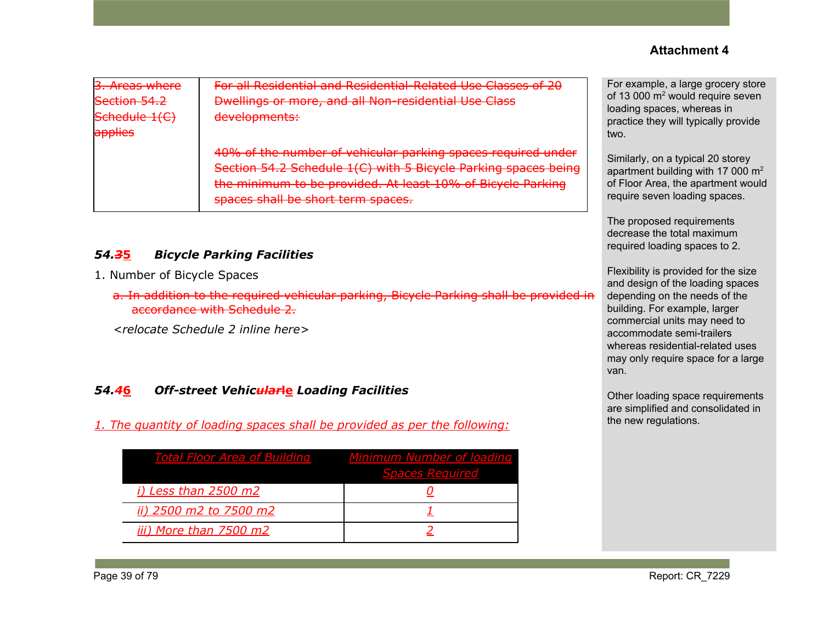| 3. Areas where<br>Section 54.2<br>Schedule 1(C)<br>applies | For all Residential and Residential-Related Use Classes of 20<br>Dwellings or more, and all Non-residential Use Class<br>developments:                                                                                              | For exampl<br>of 13 000 n<br>loading spa<br>practice the<br>two. |
|------------------------------------------------------------|-------------------------------------------------------------------------------------------------------------------------------------------------------------------------------------------------------------------------------------|------------------------------------------------------------------|
|                                                            | 40% of the number of vehicular parking spaces required under<br>Section 54.2 Schedule 1(C) with 5 Bicycle Parking spaces being<br>the minimum to be provided. At least 10% of Bicycle Parking<br>spaces shall be short term spaces. | Similarly, o<br>apartment I<br>of Floor Are<br>require sev       |

## *54.3***5** *Bicycle Parking Facilities*

- 1. Number of Bicycle Spaces
	- a. In addition to the required vehicular parking, Bicycle Parking shall be provided in accordance with Schedule 2.

*<relocate Schedule 2 inline here>*

#### *54.4***6** *Off-street Vehicular***le** *Loading Facilities*

*1. The quantity of loading spaces shall be provided as per the following:*

| <b>Total Floor Area of Building</b> | <b>Minimum Number of loading</b><br><b>Spaces Required</b> |
|-------------------------------------|------------------------------------------------------------|
| <i>i)</i> Less than 2500 m2         |                                                            |
| ii) 2500 m2 to 7500 m2              |                                                            |
| iii) More than 7500 m2              |                                                            |

le, a large grocery store  $n<sup>2</sup>$  would require seven aces, whereas in ey will typically provide

n a typical 20 storey building with 17 000  $m^2$ ea, the apartment would en loading spaces.

The proposed requirements decrease the total maximum required loading spaces to 2.

Flexibility is provided for the size and design of the loading spaces depending on the needs of the building. For example, larger commercial units may need to accommodate semi-trailers whereas residential-related uses may only require space for a large van.

Other loading space requirements are simplified and consolidated in the new regulations.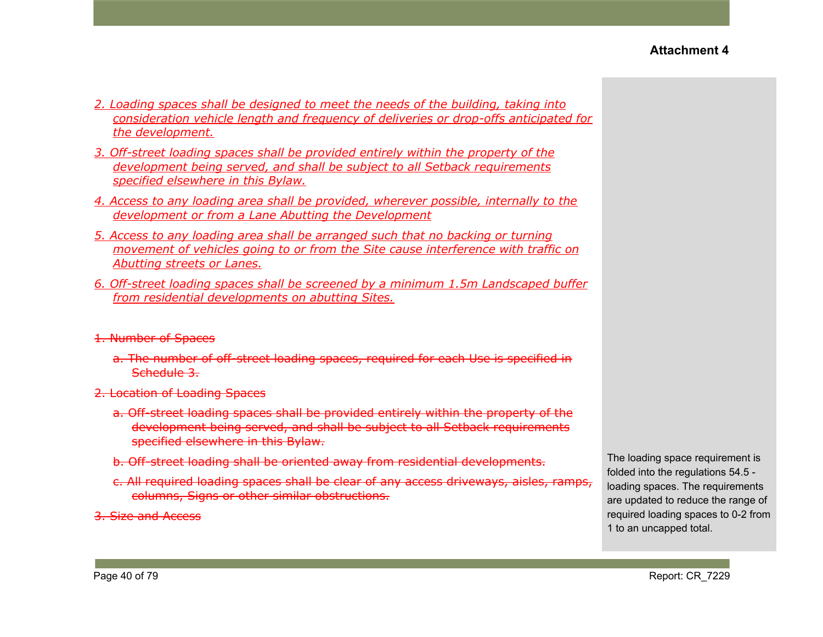- *2. Loading spaces shall be designed to meet the needs of the building, taking into consideration vehicle length and frequency of deliveries or drop-offs anticipated for the development.*
- *3. Off-street loading spaces shall be provided entirely within the property of the development being served, and shall be subject to all Setback requirements specified elsewhere in this Bylaw.*
- *4. Access to any loading area shall be provided, wherever possible, internally to the development or from a Lane Abutting the Development*
- *5. Access to any loading area shall be arranged such that no backing or turning movement of vehicles going to or from the Site cause interference with traffic on Abutting streets or Lanes.*
- *6. Off-street loading spaces shall be screened by a minimum 1.5m Landscaped buffer from residential developments on abutting Sites.*

#### 1. Number of Spaces

- a. The number of off-street loading spaces, required for each Use is specified in Schedule 3.
- 2. Location of Loading Spaces
	- a. Off-street loading spaces shall be provided entirely within the property of the development being served, and shall be subject to all Setback requirements specified elsewhere in this Bylaw.
	- b. Off-street loading shall be oriented away from residential developments.
	- c. All required loading spaces shall be clear of any access driveways, aisles, ramps, columns, Signs or other similar obstructions.

3. Size and Access

The loading space requirement is folded into the regulations 54.5 loading spaces. The requirements are updated to reduce the range of required loading spaces to 0-2 from 1 to an uncapped total.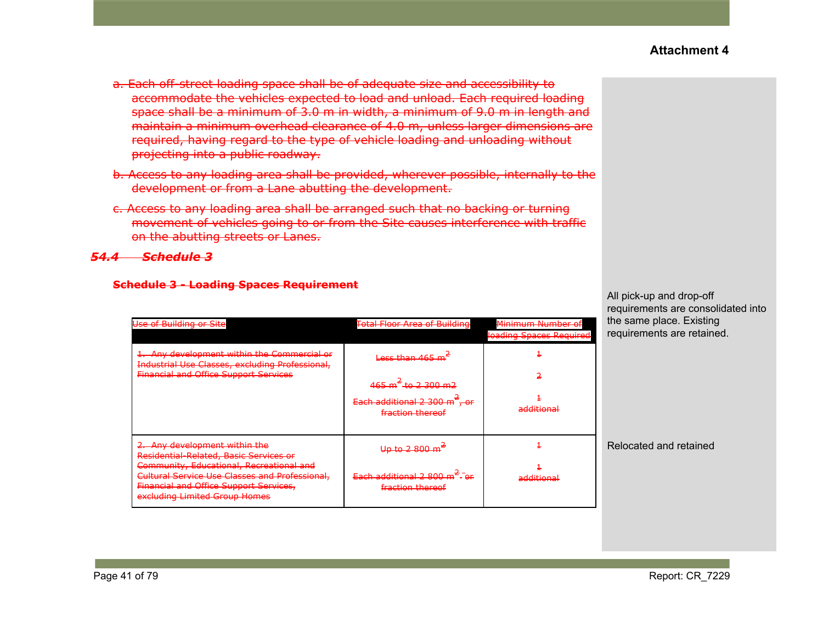- a. Each off-street loading space shall be of adequate size and accessibility to accommodate the vehicles expected to load and unload. Each required loading space shall be a minimum of 3.0 m in width, a minimum of 9.0 m in length and maintain a minimum overhead clearance of 4.0 m, unless larger dimensions are required, having regard to the type of vehicle loading and unloading without projecting into a public roadway.
- b. Access to any loading area shall be provided, wherever possible, internally to the development or from a Lane abutting the development.
- c. Access to any loading area shall be arranged such that no backing or turning movement of vehicles going to or from the Site causes interference with traffic on the abutting streets or Lanes.

#### *54.4 Schedule 3*

| Use of Building or Site                                                                                                                                                                                                                          | <b>Total Floor Area of Building</b>                                                                       | <u>Minimum Number of</u><br>loading Spaces Required | the sa<br>requir |
|--------------------------------------------------------------------------------------------------------------------------------------------------------------------------------------------------------------------------------------------------|-----------------------------------------------------------------------------------------------------------|-----------------------------------------------------|------------------|
| 1. Any development within the Commercial or<br>Industrial Use Classes, excluding Professional,<br><b>Financial and Office Support Services</b>                                                                                                   | Less than 465 m<br>465 m <sup>2</sup> to 2 300 m2<br>Each additional 2 300 $m^2$ , or<br>fraction thereof | additional<br><del>ruunuvna</del> i                 |                  |
| 2. Any development within the<br>Residential-Related, Basic Services or<br>Community, Educational, Recreational and<br>Cultural Service Use Classes and Professional,<br>Financial and Office Support Services,<br>excluding Limited Group Homes | <del>Up to 2 800 m</del><br>Each additional 2 800 $m2$ - or<br>fraction thereof                           | additional<br><del>.</del>                          | Reloc            |

#### **Schedule 3 - Loading Spaces Requirement**

All pick-up and drop-off requirements are consolidated into ame place. Existing rements are retained.

#### ated and retained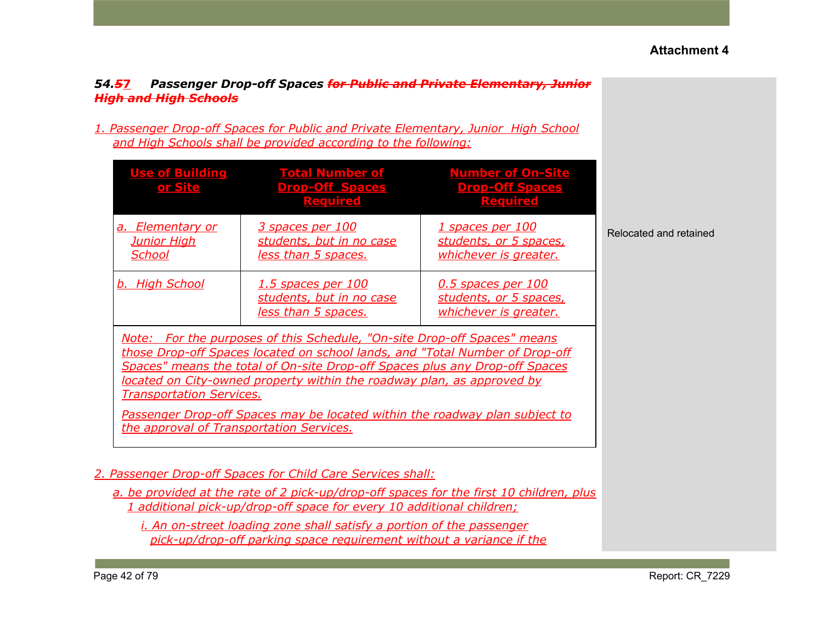## *54.5***7** *Passenger Drop-off Spaces for Public and Private Elementary, Junior High and High Schools*

*1. Passenger Drop-off Spaces for Public and Private Elementary, Junior High School and High Schools shall be provided according to the following:*

| <b>Use of Building</b><br><u>or Site</u>                                    | <b>Total Number of</b><br><b>Drop-Off Spaces</b><br><b>Required</b>                                                                                                                                                                                                                                                                                                                              | <b>Number of On-Site</b><br><b>Drop-Off Spaces</b><br><b>Required</b>        |                        |
|-----------------------------------------------------------------------------|--------------------------------------------------------------------------------------------------------------------------------------------------------------------------------------------------------------------------------------------------------------------------------------------------------------------------------------------------------------------------------------------------|------------------------------------------------------------------------------|------------------------|
| <b>Elementary or</b><br>a.<br><u>Junior High</u><br><u>School</u>           | <u>3 spaces per 100</u><br>students, but in no case<br><u>less than 5 spaces.</u>                                                                                                                                                                                                                                                                                                                | <u>1 spaces per 100</u><br>students, or 5 spaces,<br>whichever is greater.   | Relocated and retained |
| b. High School                                                              | <u>1.5 spaces per 100</u><br>students, but in no case<br><u>less than 5 spaces.</u>                                                                                                                                                                                                                                                                                                              | <u>0.5 spaces per 100</u><br>students, or 5 spaces,<br>whichever is greater. |                        |
| <b>Transportation Services.</b><br>the approval of Transportation Services. | Note: For the purposes of this Schedule, "On-site Drop-off Spaces" means<br>those Drop-off Spaces located on school lands, and "Total Number of Drop-off<br>Spaces" means the total of On-site Drop-off Spaces plus any Drop-off Spaces<br>located on City-owned property within the roadway plan, as approved by<br>Passenger Drop-off Spaces may be located within the roadway plan subject to |                                                                              |                        |
|                                                                             | 2. Passenger Drop-off Spaces for Child Care Services shall:<br>a. be provided at the rate of 2 pick-up/drop-off spaces for the first 10 children, plus                                                                                                                                                                                                                                           |                                                                              |                        |

*1 additional pick-up/drop-off space for every 10 additional children;*

*i. An on-street loading zone shall satisfy a portion of the passenger pick-up/drop-off parking space requirement without a variance if the*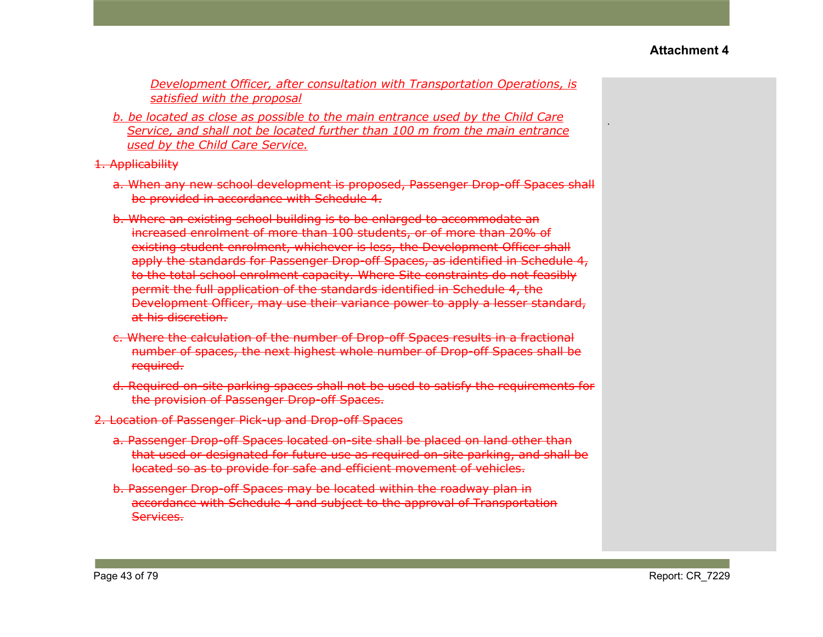.

*Development Officer, after consultation with Transportation Operations, is satisfied with the proposal*

*b. be located as close as possible to the main entrance used by the Child Care Service, and shall not be located further than 100 m from the main entrance used by the Child Care Service.*

#### 1. Applicability

- a. When any new school development is proposed, Passenger Drop-off Spaces shall be provided in accordance with Schedule 4.
- b. Where an existing school building is to be enlarged to accommodate an increased enrolment of more than 100 students, or of more than 20% of existing student enrolment, whichever is less, the Development Officer shall apply the standards for Passenger Drop-off Spaces, as identified in Schedule 4, to the total school enrolment capacity. Where Site constraints do not feasibly permit the full application of the standards identified in Schedule 4, the Development Officer, may use their variance power to apply a lesser standard, at his discretion.
- c. Where the calculation of the number of Drop-off Spaces results in a fractional number of spaces, the next highest whole number of Drop-off Spaces shall be required.
- d. Required on-site parking spaces shall not be used to satisfy the requirements for the provision of Passenger Drop-off Spaces.
- 2. Location of Passenger Pick-up and Drop-off Spaces
	- a. Passenger Drop-off Spaces located on-site shall be placed on land other than that used or designated for future use as required on-site parking, and shall be located so as to provide for safe and efficient movement of vehicles.
	- b. Passenger Drop-off Spaces may be located within the roadway plan in accordance with Schedule 4 and subject to the approval of Transportation Services.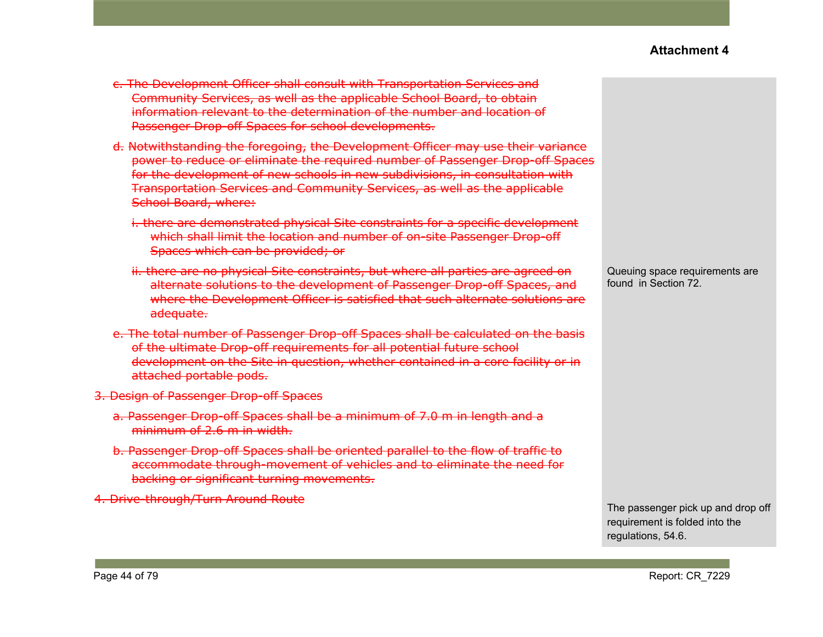- c. The Development Officer shall consult with Transportation Services and Community Services, as well as the applicable School Board, to obtain information relevant to the determination of the number and location of Passenger Drop-off Spaces for school developments.
- d. Notwithstanding the foregoing, the Development Officer may use their variance power to reduce or eliminate the required number of Passenger Drop-off Spaces for the development of new schools in new subdivisions, in consultation with Transportation Services and Community Services, as well as the applicable School Board, where:
	- i. there are demonstrated physical Site constraints for a specific development which shall limit the location and number of on-site Passenger Drop-off Spaces which can be provided; or
	- ii. there are no physical Site constraints, but where all parties are agreed on alternate solutions to the development of Passenger Drop-off Spaces, and where the Development Officer is satisfied that such alternate solutions are adequate.
- e. The total number of Passenger Drop-off Spaces shall be calculated on the basis of the ultimate Drop-off requirements for all potential future school development on the Site in question, whether contained in a core facility or in attached portable pods.
- 3. Design of Passenger Drop-off Spaces
	- a. Passenger Drop-off Spaces shall be a minimum of 7.0 m in length and a minimum of 2.6 m in width.
	- b. Passenger Drop-off Spaces shall be oriented parallel to the flow of traffic to accommodate through-movement of vehicles and to eliminate the need for backing or significant turning movements.
- 4. Drive-through/Turn Around Route

Queuing space requirements are found in Section 72.

The passenger pick up and drop off requirement is folded into the regulations, 54.6.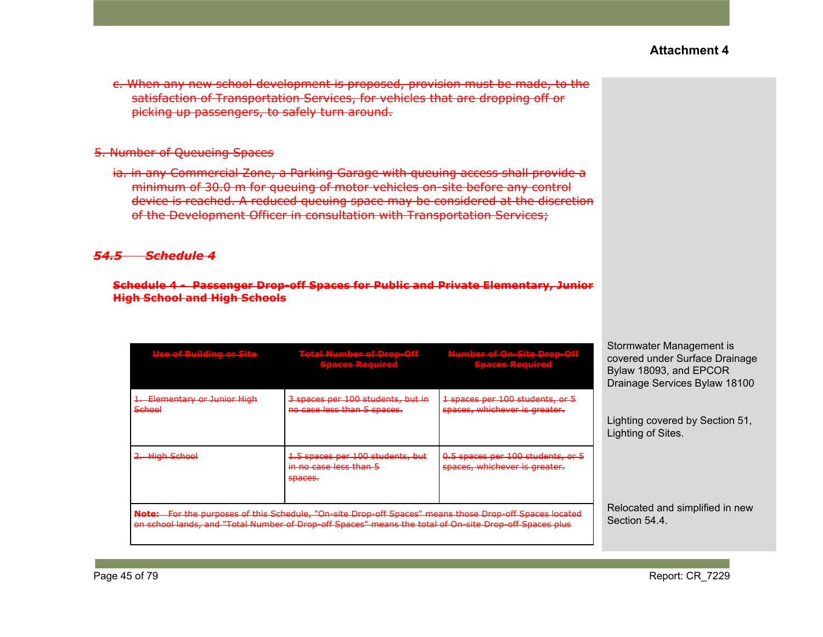c. When any new school development is proposed, provision must be made, to the satisfaction of Transportation Services, for vehicles that are dropping off or picking up passengers, to safely turn around.

#### 5. Number of Queueing Spaces

ia. in any Commercial Zone, a Parking Garage with queuing access shall provide a minimum of 30.0 m for queuing of motor vehicles on-site before any control device is reached. A reduced queuing space may be considered at the discretion of the Development Officer in consultation with Transportation Services;

#### *54.5 Schedule 4*

#### **Schedule 4 - Passenger Drop-off Spaces for Public and Private Elementary, Junior High School and High Schools**

| llse of Ruilding or Site                      | Total Number of Dron-Off<br><u>AMARINASI ILIYADI MAHALA AZ</u><br>Spaces Pequired                                                                                                                                | Number of On-Site Drop-Off<br><b>Spaces-Required</b>               | Stormwater Management is<br>covered under Surface Drainage<br>Bylaw 18093, and EPCOR<br>Drainage Services Bylaw 18100 |
|-----------------------------------------------|------------------------------------------------------------------------------------------------------------------------------------------------------------------------------------------------------------------|--------------------------------------------------------------------|-----------------------------------------------------------------------------------------------------------------------|
| 1. Elementary or Junior High<br><b>School</b> | 3 spaces per 100 students, but in<br>no case less than 5 spaces.                                                                                                                                                 | 1 spaces per 100 students, or 5<br>spaces, whichever is greater.   |                                                                                                                       |
|                                               |                                                                                                                                                                                                                  |                                                                    | Lighting covered by Section 51,<br>Lighting of Sites.                                                                 |
| 2. High School                                | 1.5 spaces per 100 students, but<br><del>in no case less than 5</del><br>spaces.                                                                                                                                 | 0.5 spaces per 100 students, or 5<br>spaces, whichever is greater. |                                                                                                                       |
|                                               | Note: For the purposes of this Schedule, "On-site Drop-off Spaces" means those Drop-off Spaces located<br>on school lands, and "Total Number of Drop-off Spaces" means the total of On-site Drop-off Spaces plus |                                                                    | Relocated and simplified in new<br>Section 54.4.                                                                      |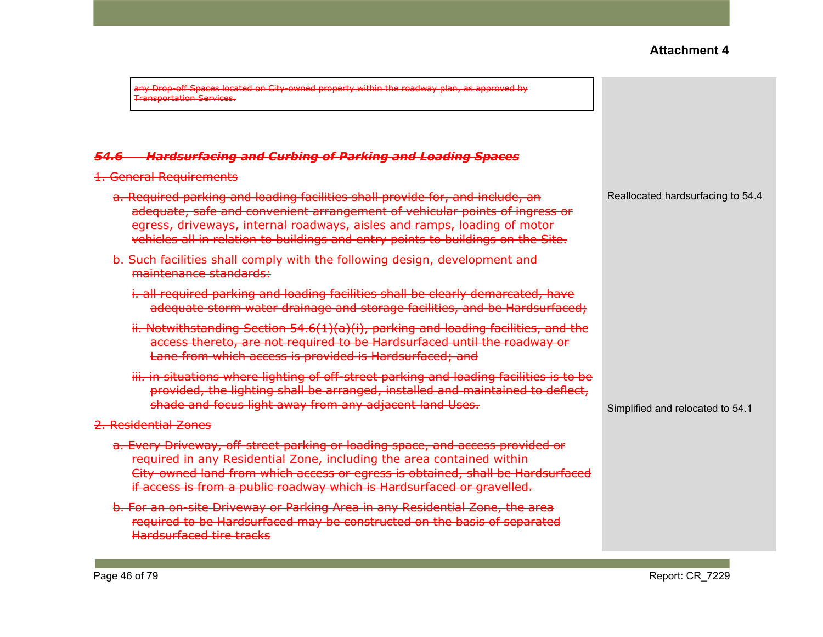any Drop-off Spaces located on City-owned property within the roadway plan, as approved by Transportation Services.

#### *54.6 Hardsurfacing and Curbing of Parking and Loading Spaces*

1. General Requirements

| <del>a. Required parking and loading facilities shall provide for, and include, an</del> |
|------------------------------------------------------------------------------------------|
| adequate, safe and convenient arrangement of vehicular points of ingress or              |
| egress, driveways, internal roadways, aisles and ramps, loading of motor                 |
| vehicles all in relation to buildings and entry points to buildings on the Site.         |

- b. Such facilities shall comply with the following design, development and maintenance standards:
	- i. all required parking and loading facilities shall be clearly demarcated, have adequate storm water drainage and storage facilities, and be Hardsurfaced;
	- ii. Notwithstanding Section 54.6(1)(a)(i), parking and loading facilities, and the access thereto, are not required to be Hardsurfaced until the roadway or Lane from which access is provided is Hardsurfaced; and
	- iii. in situations where lighting of off-street parking and loading facilities is to be provided, the lighting shall be arranged, installed and maintained to deflect, shade and focus light away from any adjacent land Uses.

#### 2. Residential Zones

- a. Every Driveway, off-street parking or loading space, and access provided or required in any Residential Zone, including the area contained within City-owned land from which access or egress is obtained, shall be Hardsurfaced if access is from a public roadway which is Hardsurfaced or gravelled.
- b. For an on-site Driveway or Parking Area in any Residential Zone, the area required to be Hardsurfaced may be constructed on the basis of separated Hardsurfaced tire tracks

Reallocated hardsurfacing to 54.4

Simplified and relocated to 54.1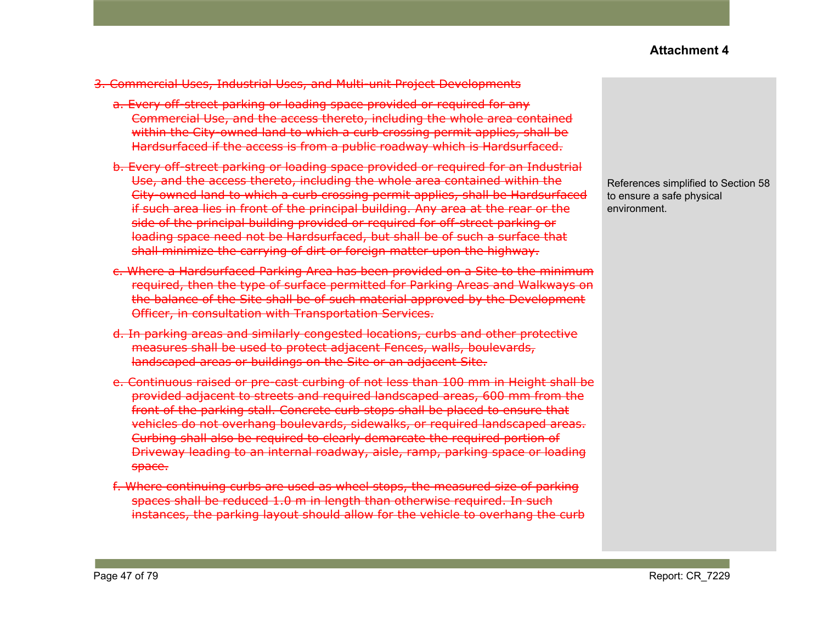#### 3. Commercial Uses, Industrial Uses, and Multi-unit Project Developments

- a. Every off-street parking or loading space provided or required for any Commercial Use, and the access thereto, including the whole area contained within the City-owned land to which a curb crossing permit applies, shall be Hardsurfaced if the access is from a public roadway which is Hardsurfaced.
- b. Every off-street parking or loading space provided or required for an Industrial Use, and the access thereto, including the whole area contained within the City-owned land to which a curb crossing permit applies, shall be Hardsurfaced if such area lies in front of the principal building. Any area at the rear or the side of the principal building provided or required for off-street parking or loading space need not be Hardsurfaced, but shall be of such a surface that shall minimize the carrying of dirt or foreign matter upon the highway.
- c. Where a Hardsurfaced Parking Area has been provided on a Site to the minimum required, then the type of surface permitted for Parking Areas and Walkways on the balance of the Site shall be of such material approved by the Development Officer, in consultation with Transportation Services.
- d. In parking areas and similarly congested locations, curbs and other protective measures shall be used to protect adjacent Fences, walls, boulevards, landscaped areas or buildings on the Site or an adjacent Site.
- e. Continuous raised or pre-cast curbing of not less than 100 mm in Height shall be provided adjacent to streets and required landscaped areas, 600 mm from the front of the parking stall. Concrete curb stops shall be placed to ensure that vehicles do not overhang boulevards, sidewalks, or required landscaped areas. Curbing shall also be required to clearly demarcate the required portion of Driveway leading to an internal roadway, aisle, ramp, parking space or loading space.
- f. Where continuing curbs are used as wheel stops, the measured size of parking spaces shall be reduced 1.0 m in length than otherwise required. In such instances, the parking layout should allow for the vehicle to overhang the curb

References simplified to Section 58 to ensure a safe physical environment.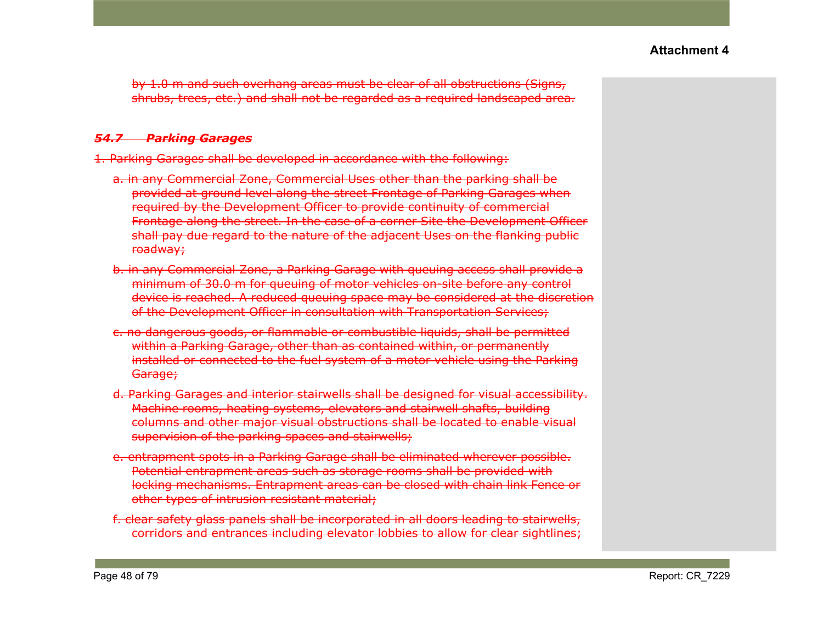by 1.0 m and such overhang areas must be clear of all obstructions (Signs, shrubs, trees, etc.) and shall not be regarded as a required landscaped area.

### *54.7 Parking Garages*

- 1. Parking Garages shall be developed in accordance with the following:
	- a. in any Commercial Zone, Commercial Uses other than the parking shall be provided at ground level along the street Frontage of Parking Garages when required by the Development Officer to provide continuity of commercial Frontage along the street. In the case of a corner Site the Development Officer shall pay due regard to the nature of the adjacent Uses on the flanking public roadway;
	- b. in any Commercial Zone, a Parking Garage with queuing access shall provide a minimum of 30.0 m for queuing of motor vehicles on-site before any control device is reached. A reduced queuing space may be considered at the discretion of the Development Officer in consultation with Transportation Services;
	- c. no dangerous goods, or flammable or combustible liquids, shall be permitted within a Parking Garage, other than as contained within, or permanently installed or connected to the fuel system of a motor vehicle using the Parking <del>Garage;</del>
	- d. Parking Garages and interior stairwells shall be designed for visual accessibility. Machine rooms, heating systems, elevators and stairwell shafts, building columns and other major visual obstructions shall be located to enable visual supervision of the parking spaces and stairwells;
	- e. entrapment spots in a Parking Garage shall be eliminated wherever possible. Potential entrapment areas such as storage rooms shall be provided with locking mechanisms. Entrapment areas can be closed with chain link Fence or other types of intrusion resistant material;
	- f. clear safety glass panels shall be incorporated in all doors leading to stairwells, corridors and entrances including elevator lobbies to allow for clear sightlines;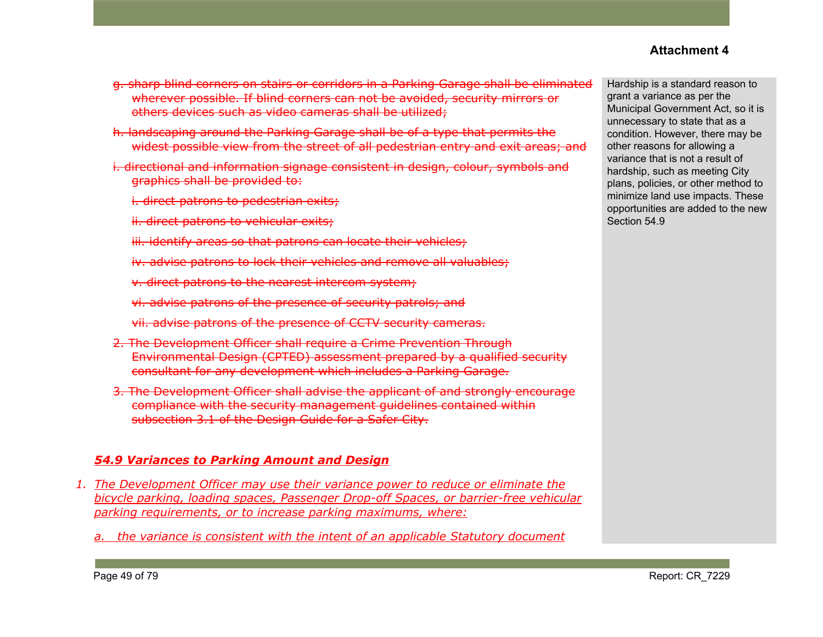- g. sharp blind corners on stairs or corridors in a Parking Garage shall be eliminated wherever possible. If blind corners can not be avoided, security mirrors or others devices such as video cameras shall be utilized;
- h. landscaping around the Parking Garage shall be of a type that permits the widest possible view from the street of all pedestrian entry and exit areas; and
- i. directional and information signage consistent in design, colour, symbols and graphics shall be provided to:
	- i. direct patrons to pedestrian exits;
	- ii. direct patrons to vehicular exits;
	- iii. identify areas so that patrons can locate their vehicles;
	- iv. advise patrons to lock their vehicles and remove all valuables;
	- v. direct patrons to the nearest intercom system;
	- vi. advise patrons of the presence of security patrols; and
	- vii. advise patrons of the presence of CCTV security cameras.
- 2. The Development Officer shall require a Crime Prevention Through Environmental Design (CPTED) assessment prepared by a qualified security consultant for any development which includes a Parking Garage.
- 3. The Development Officer shall advise the applicant of and strongly encourage compliance with the security management guidelines contained within subsection 3.1 of the Design Guide for a Safer City.

#### *54.9 Variances to Parking Amount and Design*

- *1. The Development Officer may use their variance power to reduce or eliminate the bicycle parking, loading spaces, Passenger Drop-off Spaces, or barrier-free vehicular parking requirements, or to increase parking maximums, where:*
	- *a. the variance is consistent with the intent of an applicable Statutory document*

Hardship is a standard reason to grant a variance as per the Municipal Government Act, so it is unnecessary to state that as a condition. However, there may be other reasons for allowing a variance that is not a result of hardship, such as meeting City plans, policies, or other method to minimize land use impacts. These opportunities are added to the new Section 54.9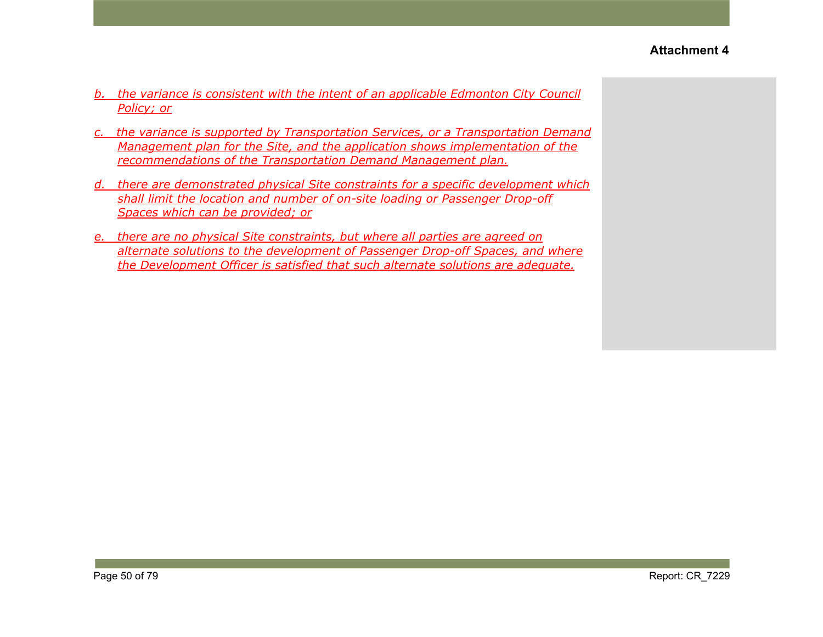- *b. the variance is consistent with the intent of an applicable Edmonton City Council Policy; or*
- *c. the variance is supported by Transportation Services, or a Transportation Demand Management plan for the Site, and the application shows implementation of the recommendations of the Transportation Demand Management plan.*
- *d. there are demonstrated physical Site constraints for a specific development which shall limit the location and number of on-site loading or Passenger Drop-off Spaces which can be provided; or*
- *e. there are no physical Site constraints, but where all parties are agreed on alternate solutions to the development of Passenger Drop-off Spaces, and where the Development Officer is satisfied that such alternate solutions are adequate.*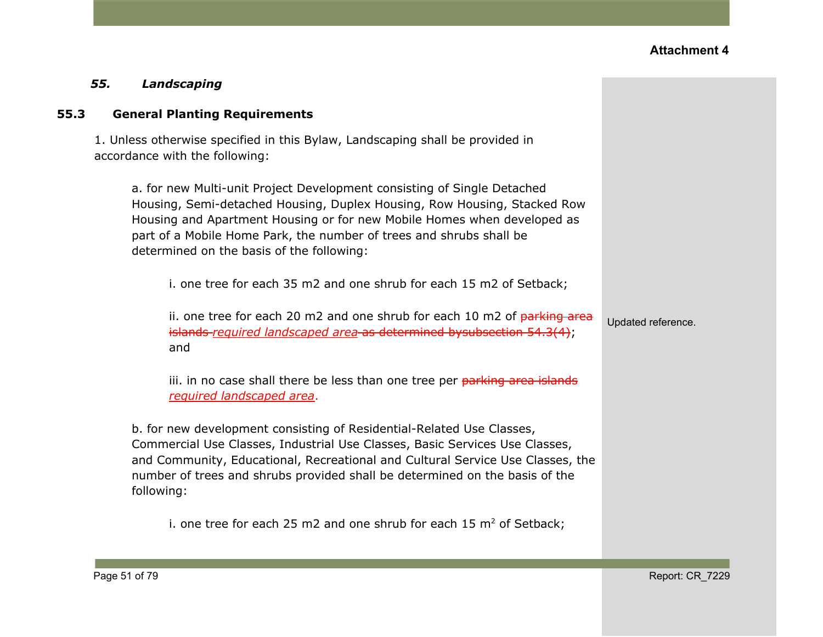### *55. Landscaping*

#### **55.3 General Planting Requirements**

1. Unless otherwise specified in this Bylaw, Landscaping shall be provided in accordance with the following:

a. for new Multi-unit Project Development consisting of Single Detached Housing, Semi-detached Housing, Duplex Housing, Row Housing, Stacked Row Housing and Apartment Housing or for new Mobile Homes when developed as part of a Mobile Home Park, the number of trees and shrubs shall be determined on the basis of the following:

i. one tree for each 35 m2 and one shrub for each 15 m2 of Setback;

ii. one tree for each 20 m2 and one shrub for each 10 m2 of  $parking$  area islands *required landscaped area* as determined bysubsection 54.3(4); and

iii. in no case shall there be less than one tree per parking area islands *required landscaped area*.

b. for new development consisting of Residential-Related Use Classes, Commercial Use Classes, Industrial Use Classes, Basic Services Use Classes, and Community, Educational, Recreational and Cultural Service Use Classes, the number of trees and shrubs provided shall be determined on the basis of the following:

i. one tree for each 25 m2 and one shrub for each 15  $m<sup>2</sup>$  of Setback;

Updated reference.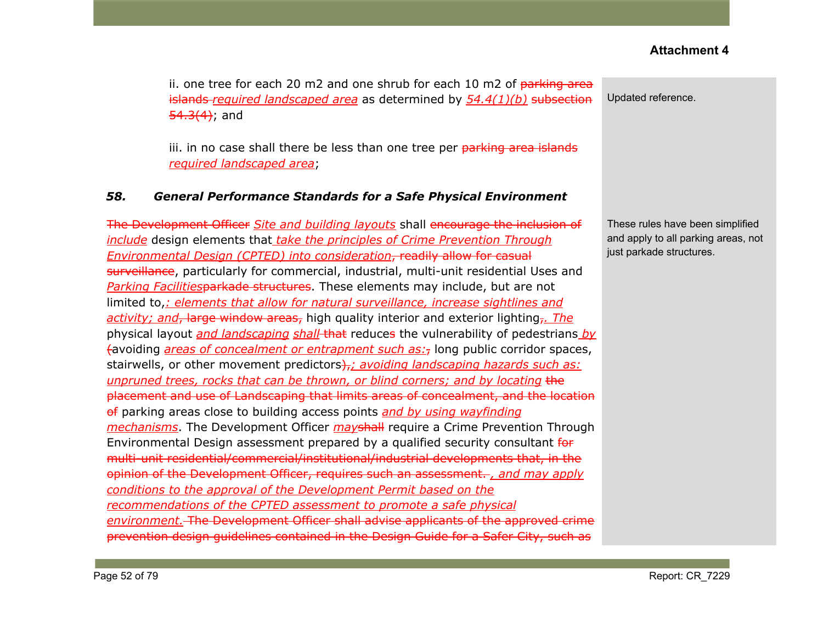ii. one tree for each 20 m2 and one shrub for each 10 m2 of  $\frac{1}{10}$  parking area islands *required landscaped area* as determined by *54.4(1)(b)* subsection  $54.3(4)$ ; and

iii. in no case shall there be less than one tree per parking area islands *required landscaped area*;

#### *58. General Performance Standards for a Safe Physical Environment*

The Development Officer *Site and building layouts* shall encourage the inclusion of *include* design elements that *take the principles of Crime Prevention Through Environmental Design (CPTED) into consideration*, readily allow for casual surveillance, particularly for commercial, industrial, multi-unit residential Uses and *Parking Facilities*parkade structures. These elements may include, but are not limited to,*: elements that allow for natural surveillance, increase sightlines and activity; and*, large window areas, high quality interior and exterior lighting,*. The* physical layout *and landscaping shall* that reduces the vulnerability of pedestrians *by* (avoiding *areas of concealment or entrapment such as:*, long public corridor spaces, stairwells, or other movement predictors<del>),</del>; *avoiding landscaping hazards such as: unpruned trees, rocks that can be thrown, or blind corners; and by locating* the placement and use of Landscaping that limits areas of concealment, and the location of parking areas close to building access points *and by using wayfinding mechanisms*. The Development Officer *may*shall require a Crime Prevention Through Environmental Design assessment prepared by a qualified security consultant for multi-unit residential/commercial/institutional/industrial developments that, in the opinion of the Development Officer, requires such an assessment. *, and may apply conditions to the approval of the Development Permit based on the recommendations of the CPTED assessment to promote a safe physical environment.* The Development Officer shall advise applicants of the approved crime prevention design guidelines contained in the Design Guide for a Safer City, such as

Updated reference.

These rules have been simplified and apply to all parking areas, not just parkade structures.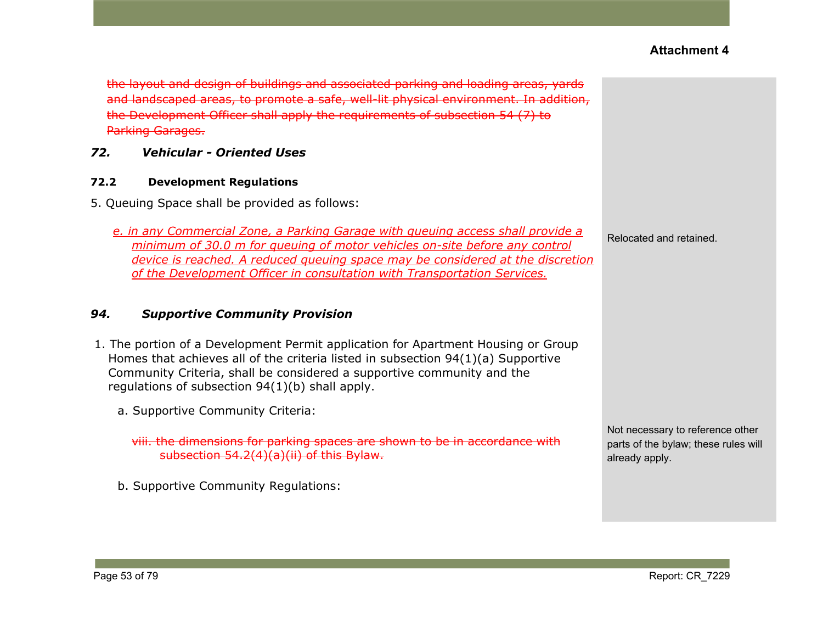the layout and design of buildings and associated parking and loading areas, yards and landscaped areas, to promote a safe, well-lit physical environment. In addition, the Development Officer shall apply the requirements of [subsection](https://webdocs.edmonton.ca/InfraPlan/zoningbylaw/ZoningBylaw/Part1/Development/54_7_Parking_Garages.htm) 54 (7) to Parking Garages.

### *72. Vehicular - Oriented Uses*

#### **72.2 Development Regulations**

5. Queuing Space shall be provided as follows:

*e. in any Commercial Zone, a Parking Garage with queuing access shall provide a minimum of 30.0 m for queuing of motor vehicles on-site before any control device is reached. A reduced queuing space may be considered at the discretion of the Development Officer in consultation with Transportation Services.*

#### *94. Supportive Community Provision*

- 1. The portion of a Development Permit application for Apartment Housing or Group Homes that achieves all of the criteria listed in subsection 94(1)(a) Supportive Community Criteria, shall be considered a supportive community and the regulations of subsection 94(1)(b) shall apply.
	- a. Supportive Community Criteria:

viii. the dimensions for parking spaces are shown to be in accordance with subsection 54.2(4)(a)(ii) of this Bylaw.

b. Supportive Community Regulations:

Relocated and retained.

Not necessary to reference other parts of the bylaw; these rules will already apply.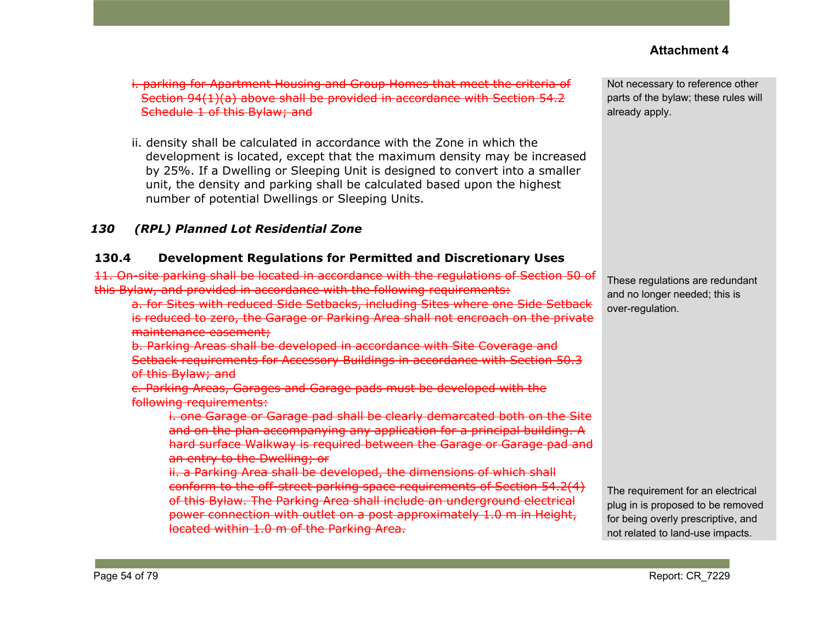i. parking for Apartment Housing and Group Homes that meet the criteria of Section 94(1)(a) above shall be provided in accordance with [Section](https://webdocs.edmonton.ca/InfraPlan/zoningbylaw/ZoningBylaw/Part1/Development/54_2_Schedule_1.htm) 54.2 [Schedule](https://webdocs.edmonton.ca/InfraPlan/zoningbylaw/ZoningBylaw/Part1/Development/54_2_Schedule_1.htm) 1 of this Bylaw; and

ii. density shall be calculated in accordance with the Zone in which the development is located, except that the maximum density may be increased by 25%. If a Dwelling or Sleeping Unit is designed to convert into a smaller unit, the density and parking shall be calculated based upon the highest number of potential Dwellings or Sleeping Units.

## *130 (RPL) Planned Lot Residential Zone*

### **130.4 Development Regulations for Permitted and Discretionary Uses**

11. On-site parking shall be located in accordance with the regulations of [Section](https://webdocs.edmonton.ca/InfraPlan/zoningbylaw/ZoningBylaw/Part1/Development/50__Accessory_Uses_and_Buildings.htm) 50 of this Bylaw, and provided in accordance with the following requirements:

a. for Sites with reduced Side Setbacks, including Sites where one Side S is reduced to zero, the Garage or Parking Area shall not encroach on the private maintenance easement;

b. Parking Areas shall be developed in accordance with Site Coverage and Setback requirements for Accessory Buildings in accordance with Section 50.3 of this Bylaw; and

c. Parking Areas, Garages and Garage pads must be developed with the following requirements:

i. one Garage or Garage pad shall be clearly demarcated both on the Site and on the plan accompanying any application for a principal building. A hard surface Walkway is required between the Garage or Garage pad and an entry to the Dwelling; or

ii. a Parking Area shall be developed, the dimensions of which shall conform to the off-street parking space requirements of Section 54.2(4) of this Bylaw. The Parking Area shall include an underground electrical power connection with outlet on a post approximately 1.0 m in Height, located within 1.0 m of the Parking Area.

Not necessary to reference other parts of the bylaw; these rules will already apply.

These regulations are redundant and no longer needed; this is over-regulation.

The requirement for an electrical plug in is proposed to be removed for being overly prescriptive, and not related to land-use impacts.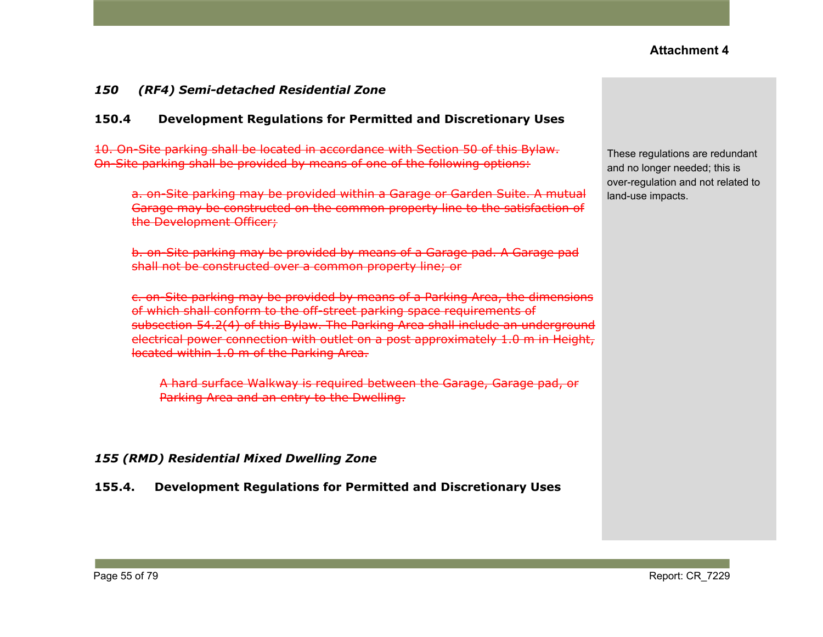#### *150 (RF4) Semi-detached Residential Zone*

#### **150.4 Development Regulations for Permitted and Discretionary Uses**

10. On-Site parking shall be located in accordance with Section 50 of this Bylaw. On-Site parking shall be provided by means of one of the following options:

a. on-Site parking may be provided within a Garage or Garden Suite. A mutual Garage may be constructed on the common property line to the satisfaction of the Development Officer;

b. on-Site parking may be provided by means of a Garage pad. A Garage pad shall not be constructed over a common property line; or

c. on-Site parking may be provided by means of a Parking Area, the dimensions of which shall conform to the off-street parking space requirements of subsection 54.2(4) of this Bylaw. The Parking Area shall include an underground electrical power connection with outlet on a post approximately 1.0 m in Height, located within 1.0 m of the Parking Area.

A hard surface Walkway is required between the Garage, Garage pad, or Parking Area and an entry to the Dwelling.

#### *155 (RMD) Residential Mixed Dwelling Zone*

**155.4. Development Regulations for Permitted and Discretionary Uses**

These regulations are redundant and no longer needed; this is over-regulation and not related to land-use impacts.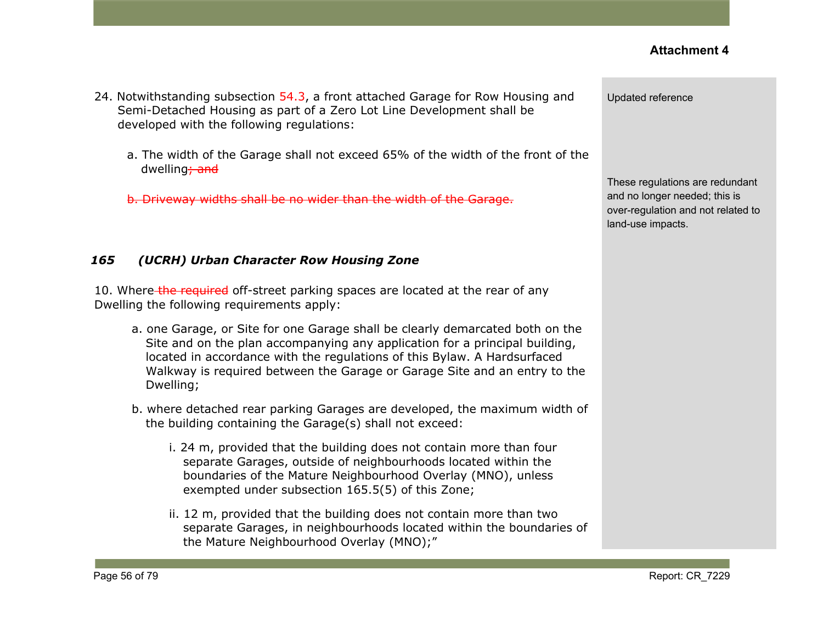- 24. Notwithstanding subsection 54.3, a front attached Garage for Row Housing and Semi-Detached Housing as part of a Zero Lot Line Development shall be developed with the following regulations:
	- a. The width of the Garage shall not exceed 65% of the width of the front of the dwelling<sub>7</sub> and

b. Driveway widths shall be no wider than the width of the Garage.

### *165 (UCRH) Urban Character Row Housing Zone*

10. Where the required off-street parking spaces are located at the rear of any Dwelling the following requirements apply:

- a. one Garage, or Site for one Garage shall be clearly demarcated both on the Site and on the plan accompanying any application for a principal building, located in accordance with the regulations of this Bylaw. A Hardsurfaced Walkway is required between the Garage or Garage Site and an entry to the Dwelling;
- b. where detached rear parking Garages are developed, the maximum width of the building containing the Garage(s) shall not exceed:
	- i. 24 m, provided that the building does not contain more than four separate Garages, outside of neighbourhoods located within the boundaries of the Mature Neighbourhood Overlay (MNO), unless exempted under subsection 165.5(5) of this Zone;
	- ii. 12 m, provided that the building does not contain more than two separate Garages, in neighbourhoods located within the boundaries of the Mature Neighbourhood Overlay (MNO);"

Updated reference

These regulations are redundant and no longer needed; this is over-regulation and not related to land-use impacts.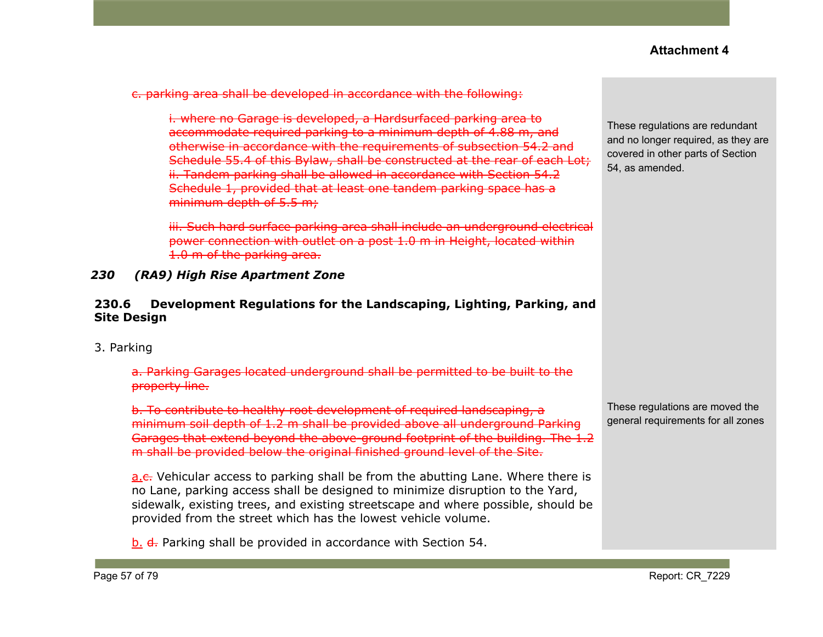c. parking area shall be developed in accordance with the following:

i. where no Garage is developed, a Hardsurfaced parking area to accommodate required parking to a minimum depth of 4.88 m, and otherwise in accordance with the requirements of subsection 54.2 and Schedule 55.4 of this Bylaw, shall be constructed at the rear of each Lot; ii. Tandem parking shall be allowed in accordance with Section 54.2 Schedule 1, provided that at least one tandem parking space has a minimum depth of 5.5 m;

iii. Such hard surface parking area shall include an underground electrical power connection with outlet on a post 1.0 m in Height, located within 1.0 m of the parking area.

*230 (RA9) High Rise Apartment Zone*

#### **230.6 Development Regulations for the Landscaping, Lighting, Parking, and Site Design**

3. Parking

a. Parking Garages located underground shall be permitted to be built to the property line.

b. To contribute to healthy root development of required landscaping, a minimum soil depth of 1.2 m shall be provided above all underground Parking Garages that extend beyond the above-ground footprint of the building. The 1.2 m shall be provided below the original finished ground level of the Site.

a.c. Vehicular access to parking shall be from the abutting Lane. Where there is no Lane, parking access shall be designed to minimize disruption to the Yard, sidewalk, existing trees, and existing streetscape and where possible, should be provided from the street which has the lowest vehicle volume.

b. d. Parking shall be provided in accordance with Section 54.

These regulations are redundant and no longer required, as they are covered in other parts of Section 54, as amended.

These regulations are moved the general requirements for all zones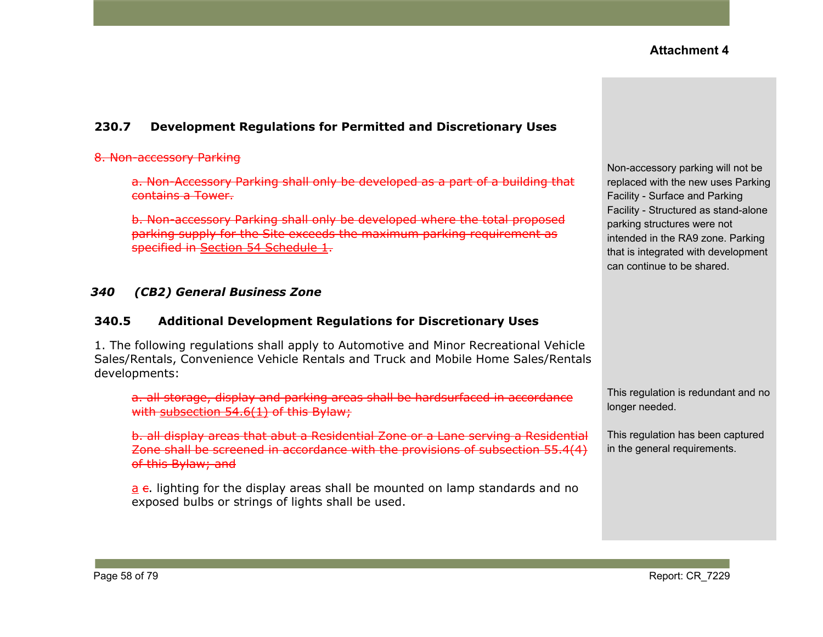## **230.7 Development Regulations for Permitted and Discretionary Uses**

#### 8. Non-accessory Parking

a. Non-Accessory Parking shall only be developed as a part of a building that contains a Tower.

b. Non-accessory Parking shall only be developed where the total proposed parking supply for the Site exceeds the maximum parking requirement as specified in Section 54 [Schedule](https://webdocs.edmonton.ca/InfraPlan/zoningbylaw/ZoningBylaw/Part1/Development/54__Parking__Loading_and_Passenger_Drop-off.htm) 1.

#### *340 (CB2) General Business Zone*

#### **340.5 Additional Development Regulations for Discretionary Uses**

1. The following regulations shall apply to Automotive and Minor Recreational Vehicle Sales/Rentals, Convenience Vehicle Rentals and Truck and Mobile Home Sales/Rentals developments:

a. all storage, display and parking areas shall be hardsurfaced in accordance with [subsection](https://webdocs.edmonton.ca/InfraPlan/zoningbylaw/ZoningBylaw/Part1/Development/54_6_Hardsurfacing_and_Curbing_of_Parking_and_Loading_Spaces.htm) 54.6(1) of this Bylaw;

b. all display areas that abut a Residential Zone or a Lane serving a Residential Zone shall be screened in accordance with the provisions of [subsection](https://webdocs.edmonton.ca/InfraPlan/zoningbylaw/ZoningBylaw/Part1/Development/55__Landscaping.htm) 55.4(4) of this Bylaw; and

 $a$  e. lighting for the display areas shall be mounted on lamp standards and no exposed bulbs or strings of lights shall be used.

Non-accessory parking will not be replaced with the new uses Parking Facility - Surface and Parking Facility - Structured as stand-alone parking structures were not intended in the RA9 zone. Parking that is integrated with development can continue to be shared.

This regulation is redundant and no longer needed.

This regulation has been captured in the general requirements.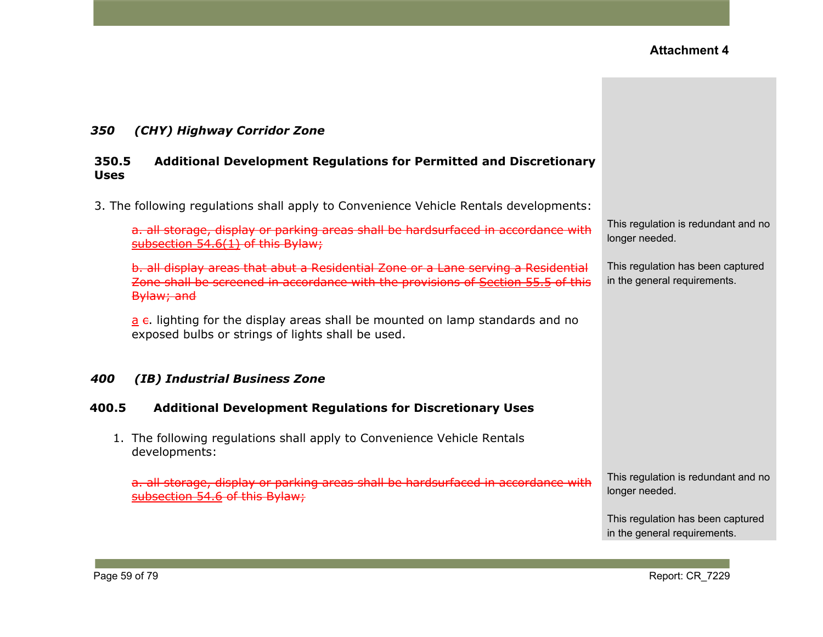### *350 (CHY) Highway Corridor Zone*

#### **350.5 Additional Development Regulations for Permitted and Discretionary Uses**

3. The following regulations shall apply to Convenience Vehicle Rentals developments:

a. all storage, display or parking areas shall be hardsurfaced in accordance with [subsection](https://webdocs.edmonton.ca/InfraPlan/zoningbylaw/ZoningBylaw/Part1/Development/54_6_Hardsurfacing_and_Curbing_of_Parking_and_Loading_Spaces.htm) 54.6(1) of this Bylaw;

b. all display areas that abut a Residential Zone or a Lane serving a Residential Zone shall be screened in accordance with the provisions of [Section](https://webdocs.edmonton.ca/InfraPlan/zoningbylaw/ZoningBylaw/Part1/Development/55__Landscaping.htm) 55.5 of this Bylaw; and

 $a$  e. lighting for the display areas shall be mounted on lamp standards and no exposed bulbs or strings of lights shall be used.

#### *400 (IB) Industrial Business Zone*

#### **400.5 Additional Development Regulations for Discretionary Uses**

1. The following regulations shall apply to Convenience Vehicle Rentals developments:

a. all storage, display or parking areas shall be hardsurfaced in accordance with [subsection](https://webdocs.edmonton.ca/InfraPlan/zoningbylaw/ZoningBylaw/Part1/Development/54_6_Hardsurfacing_and_Curbing_of_Parking_and_Loading_Spaces.htm) 54.6 of this Bylaw;

This regulation is redundant and no longer needed.

This regulation has been captured in the general requirements.

This regulation is redundant and no longer needed.

This regulation has been captured in the general requirements.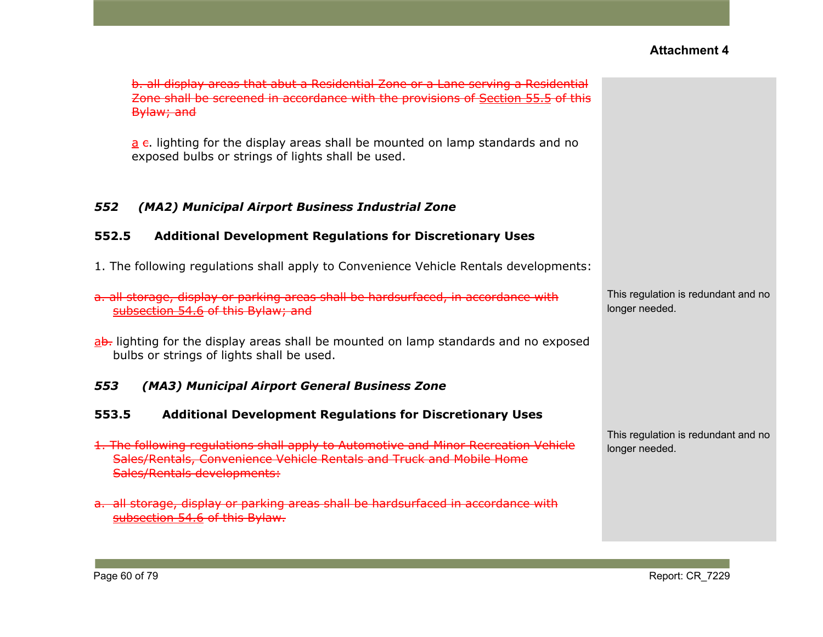| b. all display areas that abut a Residential Zone or a Lane serving a Residential<br>Zone shall be screened in accordance with the provisions of Section 55.5 of this<br>Bylaw; and               |                                                       |
|---------------------------------------------------------------------------------------------------------------------------------------------------------------------------------------------------|-------------------------------------------------------|
| $\underline{a}$ e. lighting for the display areas shall be mounted on lamp standards and no<br>exposed bulbs or strings of lights shall be used.                                                  |                                                       |
| 552<br>(MA2) Municipal Airport Business Industrial Zone                                                                                                                                           |                                                       |
| <b>Additional Development Regulations for Discretionary Uses</b><br>552.5                                                                                                                         |                                                       |
| 1. The following regulations shall apply to Convenience Vehicle Rentals developments:                                                                                                             |                                                       |
| a. all storage, display or parking areas shall be hardsurfaced, in accordance with<br>subsection 54.6 of this Bylaw; and                                                                          | This regulation is redundant and no<br>longer needed. |
| ab. lighting for the display areas shall be mounted on lamp standards and no exposed<br>bulbs or strings of lights shall be used.                                                                 |                                                       |
| 553<br>(MA3) Municipal Airport General Business Zone                                                                                                                                              |                                                       |
| <b>Additional Development Regulations for Discretionary Uses</b><br>553.5                                                                                                                         |                                                       |
| 1. The following regulations shall apply to Automotive and Minor Recreation Vehicle<br>Sales/Rentals, Convenience Vehicle Rentals and Truck and Mobile Home<br><b>Sales/Rentals developments:</b> | This regulation is redundant and no<br>longer needed. |
| a. all storage, display or parking areas shall be hardsurfaced in accordance with<br>subsection 54.6 of this Bylaw.                                                                               |                                                       |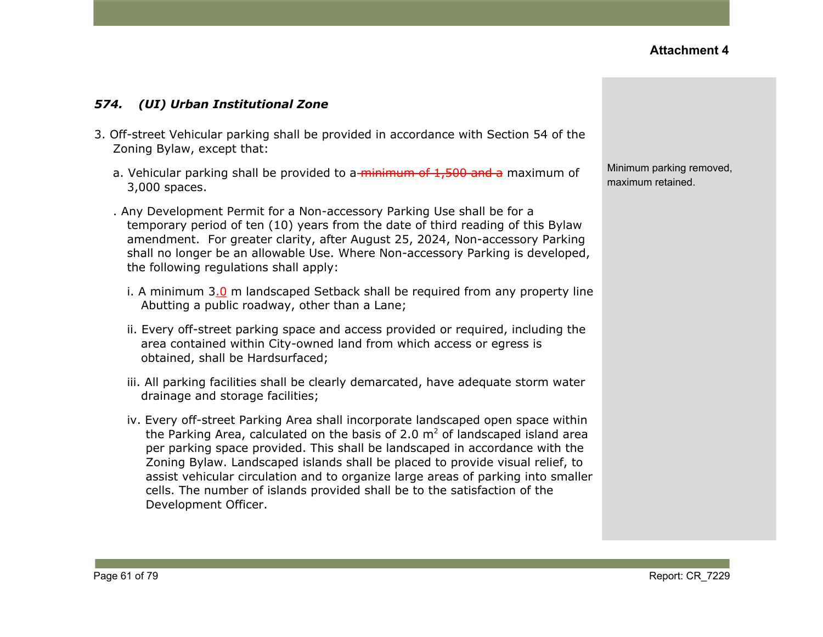#### *574. (UI) Urban Institutional Zone*

- 3. Off-street Vehicular parking shall be provided in accordance with Section 54 of the Zoning Bylaw, except that:
	- a. Vehicular parking shall be provided to a minimum of 1,500 and a maximum of 3,000 spaces.
	- . Any Development Permit for a Non-accessory Parking Use shall be for a temporary period of ten (10) years from the date of third reading of this Bylaw amendment. For greater clarity, after August 25, 2024, Non-accessory Parking shall no longer be an allowable Use. Where Non-accessory Parking is developed, the following regulations shall apply:
		- i. A minimum 3.0 m landscaped Setback shall be required from any property line Abutting a public roadway, other than a Lane;
		- ii. Every off-street parking space and access provided or required, including the area contained within City-owned land from which access or egress is obtained, shall be Hardsurfaced;
		- iii. All parking facilities shall be clearly demarcated, have adequate storm water drainage and storage facilities;
		- iv. Every off-street Parking Area shall incorporate landscaped open space within the Parking Area, calculated on the basis of 2.0  $m<sup>2</sup>$  of landscaped island area per parking space provided. This shall be landscaped in accordance with the Zoning Bylaw. Landscaped islands shall be placed to provide visual relief, to assist vehicular circulation and to organize large areas of parking into smaller cells. The number of islands provided shall be to the satisfaction of the Development Officer.

Minimum parking removed, maximum retained.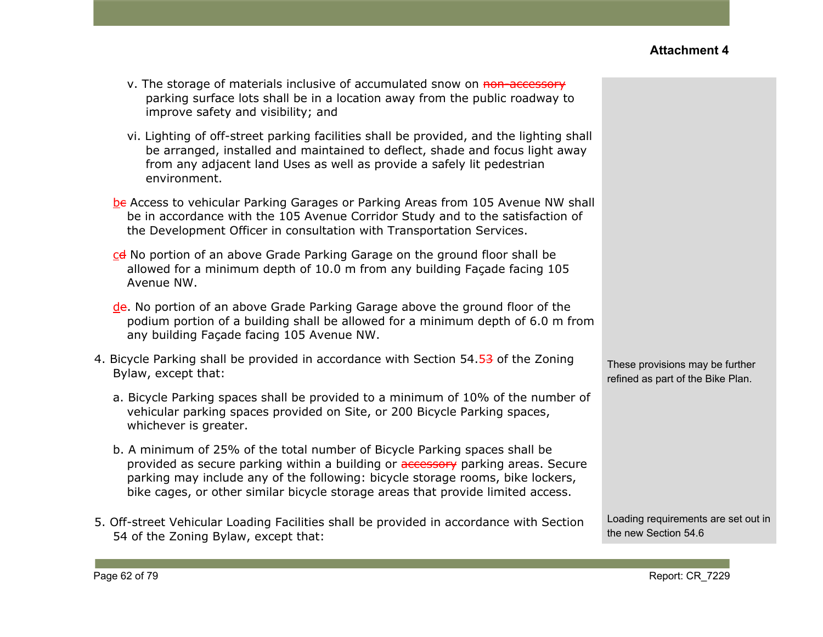| v. The storage of materials inclusive of accumulated snow on non-accessory  |
|-----------------------------------------------------------------------------|
| parking surface lots shall be in a location away from the public roadway to |
| improve safety and visibility; and                                          |

- vi. Lighting of off-street parking facilities shall be provided, and the lighting shall be arranged, installed and maintained to deflect, shade and focus light away from any adjacent land Uses as well as provide a safely lit pedestrian environment.
- be Access to vehicular Parking Garages or Parking Areas from 105 Avenue NW shall be in accordance with the 105 Avenue Corridor Study and to the satisfaction of the Development Officer in consultation with Transportation Services.
- cd No portion of an above Grade Parking Garage on the ground floor shall be allowed for a minimum depth of 10.0 m from any building Façade facing 105 Avenue NW.
- de. No portion of an above Grade Parking Garage above the ground floor of the podium portion of a building shall be allowed for a minimum depth of 6.0 m from any building Façade facing 105 Avenue NW.
- 4. Bicycle Parking shall be provided in accordance with Section 54.53 of the Zoning Bylaw, except that:
	- a. Bicycle Parking spaces shall be provided to a minimum of 10% of the number of vehicular parking spaces provided on Site, or 200 Bicycle Parking spaces, whichever is greater.
	- b. A minimum of 25% of the total number of Bicycle Parking spaces shall be provided as secure parking within a building or **accessory** parking areas. Secure parking may include any of the following: bicycle storage rooms, bike lockers, bike cages, or other similar bicycle storage areas that provide limited access.
- 5. Off-street Vehicular Loading Facilities shall be provided in accordance with Section 54 of the Zoning Bylaw, except that:

These provisions may be further refined as part of the Bike Plan.

Loading requirements are set out in the new Section 54.6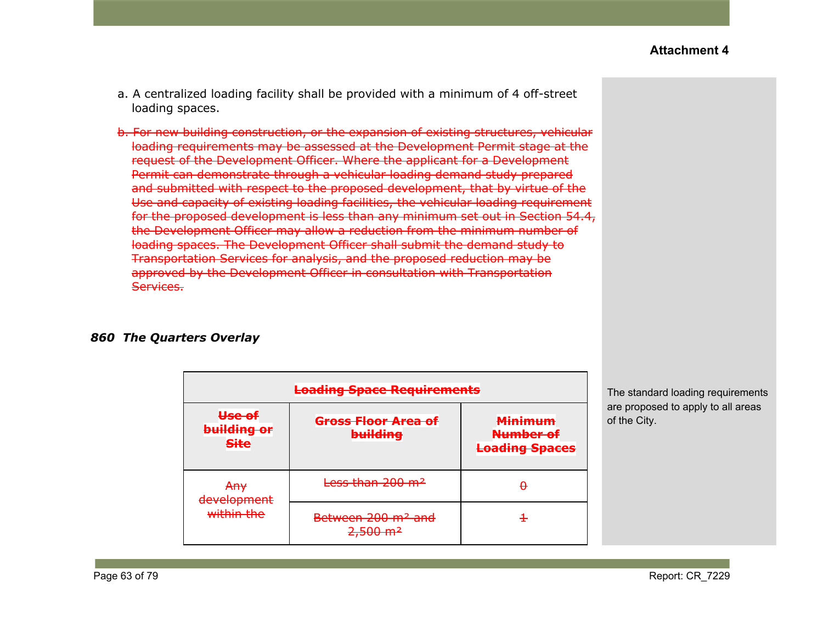- a. A centralized loading facility shall be provided with a minimum of 4 off-street loading spaces.
- b. For new building construction, or the expansion of existing structures, vehicular loading requirements may be assessed at the Development Permit stage at the request of the Development Officer. Where the applicant for a Development Permit can demonstrate through a vehicular loading demand study prepared and submitted with respect to the proposed development, that by virtue of the Use and capacity of existing loading facilities, the vehicular loading requirement for the proposed development is less than any minimum set out in Section 54.4, the Development Officer may allow a reduction from the minimum number of loading spaces. The Development Officer shall submit the demand study to Transportation Services for analysis, and the proposed reduction may be approved by the Development Officer in consultation with Transportation Services.

#### *860 The Quarters Overlay*

|                                      | <b>Loading Space Requirements</b>                                              |                                                      |
|--------------------------------------|--------------------------------------------------------------------------------|------------------------------------------------------|
| Use of<br>building or<br><b>Site</b> | <del>Gross Floor Area of</del><br><b>building</b>                              | <b>Minimum</b><br>Number of<br><b>Loading Spaces</b> |
| <del>Any</del><br>dovolonmont        | Less than 200 m <sup>2</sup>                                                   | -                                                    |
| <del>uevelopment</del><br>within the | Between 200 m <sup>2</sup> and<br>$2.500 \text{ m}^2$<br><del>2,JUU 1111</del> |                                                      |

The standard loading requirements are proposed to apply to all areas of the City.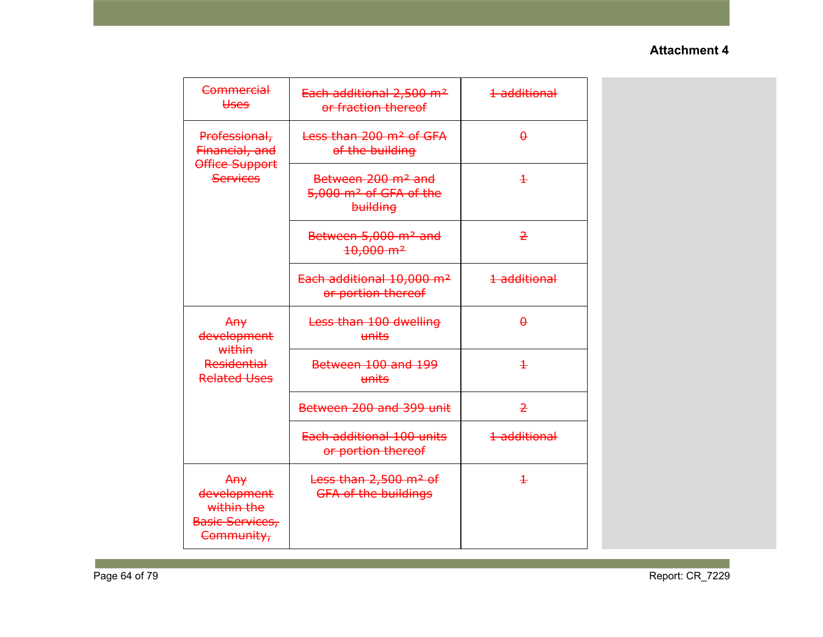| Commercial<br><b>Uses</b>                                         | Each additional 2,500 m <sup>2</sup><br>or fraction thereof                      | 1 additional   |
|-------------------------------------------------------------------|----------------------------------------------------------------------------------|----------------|
| Professional,<br>Financial, and                                   | Less than 200 m <sup>2</sup> of GFA<br>of the building                           | $\theta$       |
| Office Support<br><b>Services</b>                                 | Between 200 m <sup>2</sup> and<br>5,000 m <sup>2</sup> of GFA of the<br>building | $\pm$          |
|                                                                   | Between 5,000 m <sup>2</sup> and<br>$10,000 \text{ m}^2$                         | $\overline{2}$ |
|                                                                   | Each additional 10,000 m <sup>2</sup><br>or portion thereof                      | 1 additional   |
| Any<br>development<br>within                                      | Less than 100 dwelling<br>units                                                  | $\theta$       |
| <b>Residential</b><br><b>Related Uses</b>                         | Between 100 and 199<br>units                                                     | $\pm$          |
|                                                                   | Between 200 and 399 unit                                                         | $\overline{2}$ |
|                                                                   | Each additional 100 units<br>or portion thereof                                  | 1 additional   |
| Any<br>development<br>within the<br>Basic Services,<br>Community, | Less than 2,500 m <sup>2</sup> of<br><b>GFA of the buildings</b>                 | $\pm$          |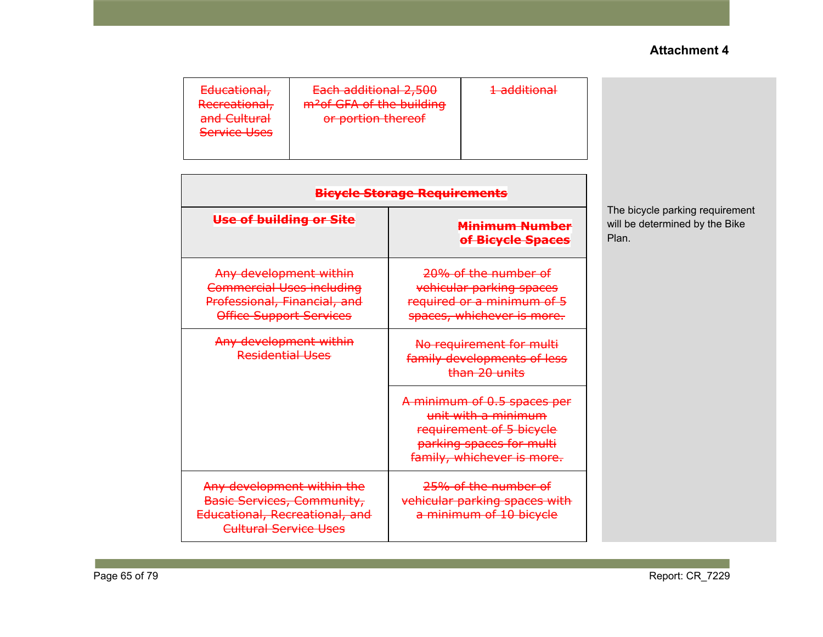| Each additional 2,500<br>$1$ additional<br>Educational,<br><del>1 duditional</del><br>m <sup>2</sup> of GFA of the building<br>Recreational,<br>and Cultural<br>or portion thereof<br><b>Service Uses</b> |
|-----------------------------------------------------------------------------------------------------------------------------------------------------------------------------------------------------------|
|-----------------------------------------------------------------------------------------------------------------------------------------------------------------------------------------------------------|

| <b>Bicycle Storage Requirements</b>                                                                                        |                                                                                                                                          |  |
|----------------------------------------------------------------------------------------------------------------------------|------------------------------------------------------------------------------------------------------------------------------------------|--|
| Use of building or Site                                                                                                    | Minimum Number<br>of Bicycle Spaces                                                                                                      |  |
| Any development within<br><b>Commercial Uses including</b><br>Professional, Financial, and<br>Office Support Services      | 20% of the number of<br>vehicular parking spaces<br>required or a minimum of 5<br>spaces, whichever is more.                             |  |
| Any development within<br>Residential Uses                                                                                 | No requirement for multi<br>family developments of less<br>than 20 units                                                                 |  |
|                                                                                                                            | A minimum of 0.5 spaces per<br>unit with a minimum<br>requirement of 5 bicycle<br>parking spaces for multi<br>family, whichever is more. |  |
| Any development within the<br><b>Basic Services, Community,</b><br>Educational, Recreational, and<br>Cultural Service Uses | 25% of the number of<br>vehicular parking spaces with<br>a minimum of 10 bicycle                                                         |  |

The bicycle parking requirement will be determined by the Bike Plan.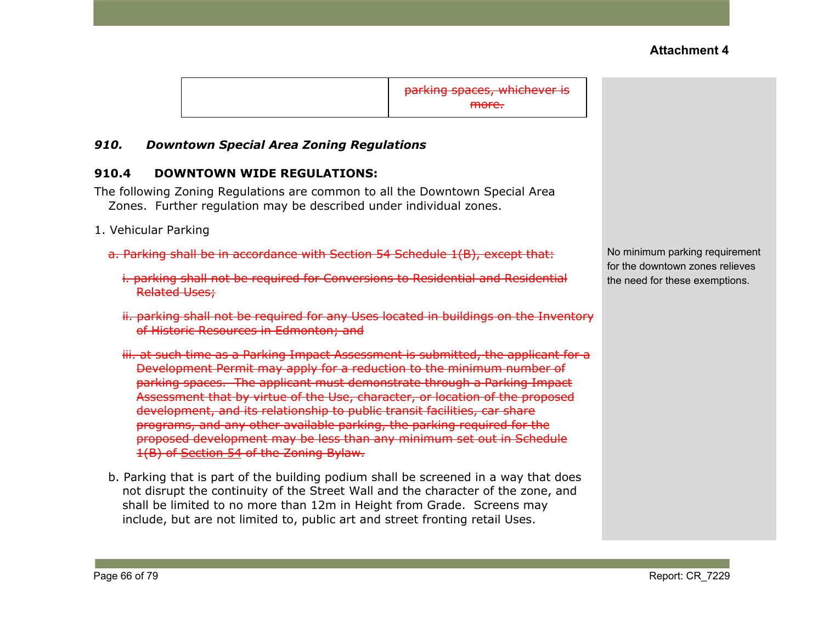parking spaces, whichever is more.

#### *910. Downtown Special Area Zoning Regulations*

#### **910.4 DOWNTOWN WIDE REGULATIONS:**

The following Zoning Regulations are common to all the Downtown Special Area Zones. Further regulation may be described under individual zones.

- 1. Vehicular Parking
	- a. Parking shall be in accordance with Section 54 Schedule 1(B), except that:
		- i. parking shall not be required for Conversions to Residential and Residential Related Uses;
		- ii. parking shall not be required for any Uses located in buildings on the Inventory of Historic Resources in Edmonton; and
		- iii. at such time as a Parking Impact Assessment is submitted, the applicant for a Development Permit may apply for a reduction to the minimum number of parking spaces. The applicant must demonstrate through a Parking Impact Assessment that by virtue of the Use, character, or location of the proposed development, and its relationship to public transit facilities, car share programs, and any other available parking, the parking required for the proposed development may be less than any minimum set out in Schedule 1(B) of [Section](https://webdocs.edmonton.ca/InfraPlan/zoningbylaw/ZoningBylaw/Part1/Development/54__Parking__Loading_and_Passenger_Drop-off.htm) 54 of the Zoning Bylaw.
	- b. Parking that is part of the building podium shall be screened in a way that does not disrupt the continuity of the Street Wall and the character of the zone, and shall be limited to no more than 12m in Height from Grade. Screens may include, but are not limited to, public art and street fronting retail Uses.

No minimum parking requirement for the downtown zones relieves the need for these exemptions.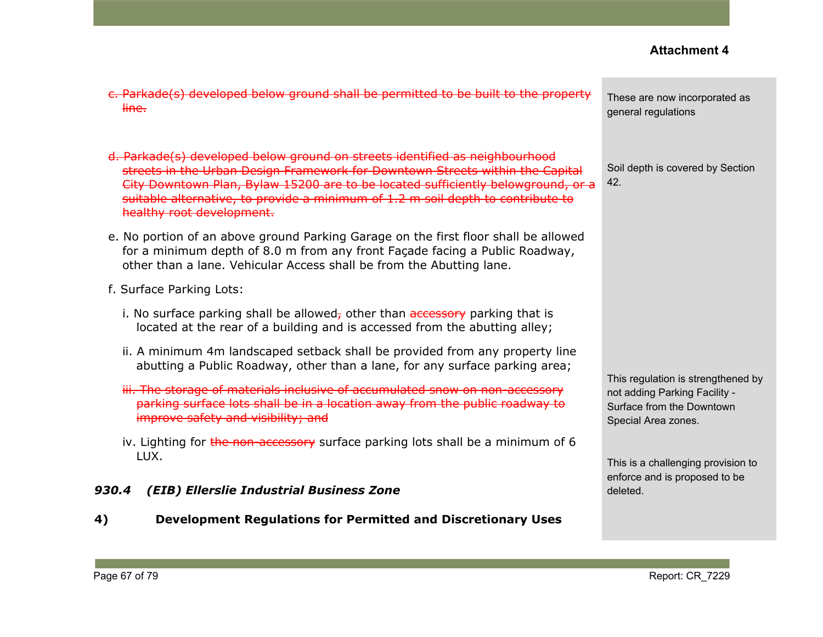| c. Parkade(s) developed below ground shall be permitted to be built to the property<br>line.                                                                                                                                                                                                                                                                     | These are now incorporated as<br>general regulations                                                                    |
|------------------------------------------------------------------------------------------------------------------------------------------------------------------------------------------------------------------------------------------------------------------------------------------------------------------------------------------------------------------|-------------------------------------------------------------------------------------------------------------------------|
| d. Parkade(s) developed below ground on streets identified as neighbourhood<br>streets in the Urban Design Framework for Downtown Streets within the Capital<br>City Downtown Plan, Bylaw 15200 are to be located sufficiently belowground, or a<br>suitable alternative, to provide a minimum of 1.2 m soil depth to contribute to<br>healthy root development. | Soil depth is covered by Section<br>42.                                                                                 |
| e. No portion of an above ground Parking Garage on the first floor shall be allowed<br>for a minimum depth of 8.0 m from any front Façade facing a Public Roadway,<br>other than a lane. Vehicular Access shall be from the Abutting lane.                                                                                                                       |                                                                                                                         |
| f. Surface Parking Lots:                                                                                                                                                                                                                                                                                                                                         |                                                                                                                         |
| i. No surface parking shall be allowed, other than accessory parking that is<br>located at the rear of a building and is accessed from the abutting alley;                                                                                                                                                                                                       |                                                                                                                         |
| ii. A minimum 4m landscaped setback shall be provided from any property line<br>abutting a Public Roadway, other than a lane, for any surface parking area;                                                                                                                                                                                                      | This regulation is strengthened by<br>not adding Parking Facility -<br>Surface from the Downtown<br>Special Area zones. |
| iii. The storage of materials inclusive of accumulated snow on non-accessory<br>parking surface lots shall be in a location away from the public roadway to<br>improve safety and visibility; and                                                                                                                                                                |                                                                                                                         |
| iv. Lighting for the non-accessory surface parking lots shall be a minimum of 6                                                                                                                                                                                                                                                                                  |                                                                                                                         |
| LUX.<br>(EIB) Ellerslie Industrial Business Zone<br>930.4                                                                                                                                                                                                                                                                                                        | This is a challenging provision to<br>enforce and is proposed to be<br>deleted.                                         |

**4) Development Regulations for Permitted and Discretionary Uses**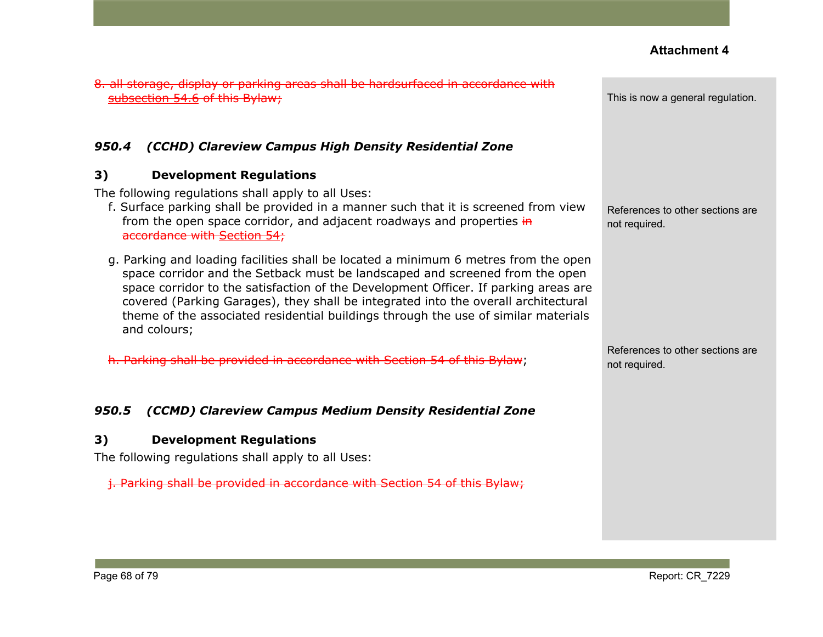| 8. all storage, display or parking areas shall be hardsurfaced in accordance with<br>bsection 54.6 of this Bylaw;                                                                                                                                                                                                                                                                                                                                      | This is now a general regulation.                 |
|--------------------------------------------------------------------------------------------------------------------------------------------------------------------------------------------------------------------------------------------------------------------------------------------------------------------------------------------------------------------------------------------------------------------------------------------------------|---------------------------------------------------|
| (CCHD) Clareview Campus High Density Residential Zone<br>950.4                                                                                                                                                                                                                                                                                                                                                                                         |                                                   |
| <b>Development Regulations</b><br>3)<br>The following regulations shall apply to all Uses:<br>f. Surface parking shall be provided in a manner such that it is screened from view<br>from the open space corridor, and adjacent roadways and properties in<br>accordance with Section 54;                                                                                                                                                              | References to other sections are<br>not required. |
| g. Parking and loading facilities shall be located a minimum 6 metres from the open<br>space corridor and the Setback must be landscaped and screened from the open<br>space corridor to the satisfaction of the Development Officer. If parking areas are<br>covered (Parking Garages), they shall be integrated into the overall architectural<br>theme of the associated residential buildings through the use of similar materials<br>and colours; |                                                   |
| h. Parking shall be provided in accordance with Section 54 of this Bylaw;                                                                                                                                                                                                                                                                                                                                                                              | References to other sections are<br>not required. |
| (CCMD) Clareview Campus Medium Density Residential Zone<br>950.5                                                                                                                                                                                                                                                                                                                                                                                       |                                                   |
| <b>Development Regulations</b><br>3)<br>The following regulations shall apply to all Uses:<br><i>i.</i> Parking shall be provided in accordance with Section 54 of this Bylaw;                                                                                                                                                                                                                                                                         |                                                   |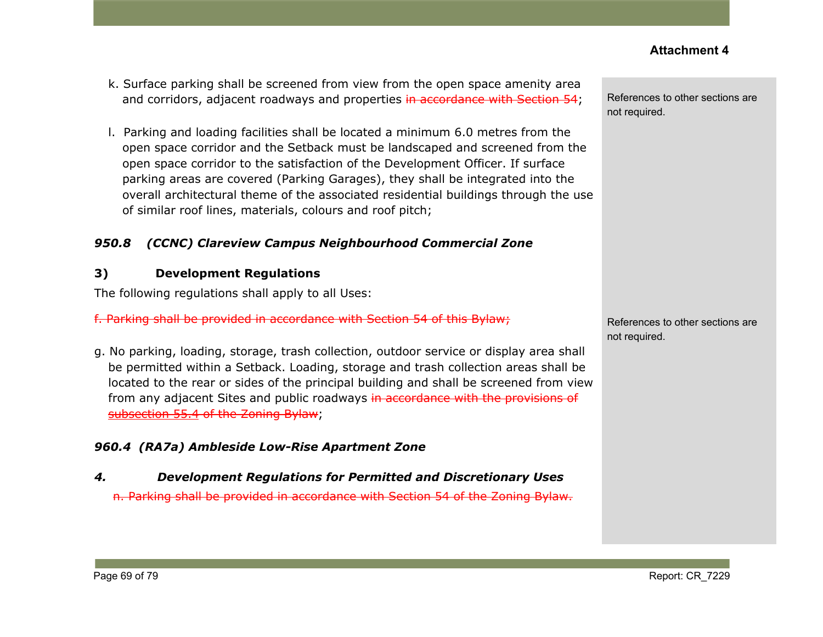- k. Surface parking shall be screened from view from the open space amenity area and corridors, adjacent roadways and properties in accordance with Section 54;
- l. Parking and loading facilities shall be located a minimum 6.0 metres from the open space corridor and the Setback must be landscaped and screened from the open space corridor to the satisfaction of the Development Officer. If surface parking areas are covered (Parking Garages), they shall be integrated into the overall architectural theme of the associated residential buildings through the use of similar roof lines, materials, colours and roof pitch;

## *950.8 (CCNC) Clareview Campus Neighbourhood Commercial Zone*

## **3) Development Regulations**

The following regulations shall apply to all Uses:

f. Parking shall be provided in accordance with Section 54 of this Bylaw;

g. No parking, loading, storage, trash collection, outdoor service or display area shall be permitted within a Setback. Loading, storage and trash collection areas shall be located to the rear or sides of the principal building and shall be screened from view from any adjacent Sites and public roadways in accordance with the provisions of [subsection](https://webdocs.edmonton.ca/InfraPlan/zoningbylaw/ZoningBylaw/Part1/Development/55__Landscaping.htm) 55.4 of the Zoning Bylaw;

# *960.4 (RA7a) Ambleside Low-Rise Apartment Zone*

# *4. Development Regulations for Permitted and Discretionary Uses*

n. Parking shall be provided in accordance with Section 54 of the Zoning Bylaw.

References to other sections are not required.

References to other sections are not required.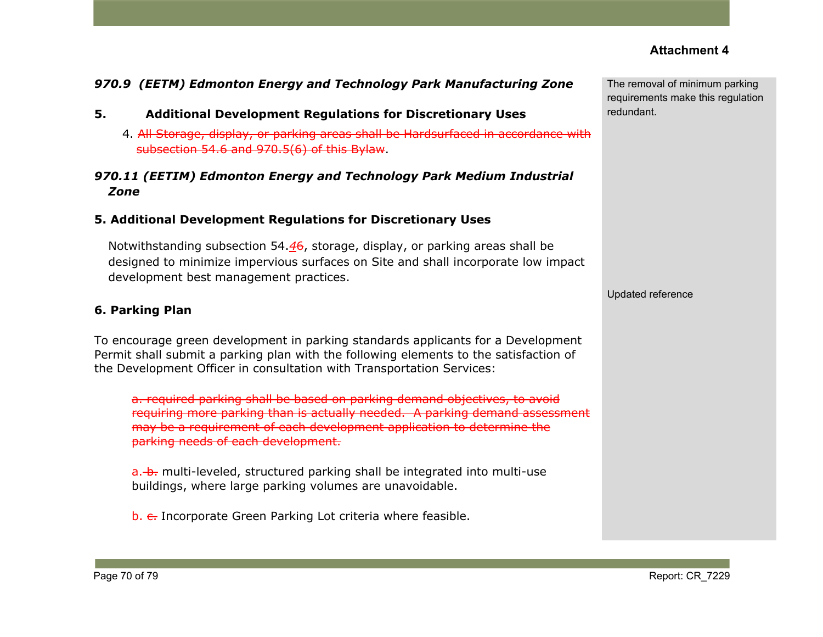## *970.9 (EETM) Edmonton Energy and Technology Park Manufacturing Zone*

- **5. Additional Development Regulations for Discretionary Uses**
	- 4. All Storage, display, or parking areas shall be Hardsurfaced in accordance with subsection 54.6 and 970.5(6) of this Bylaw.

## *970.11 (EETIM) Edmonton Energy and Technology Park Medium Industrial Zone*

#### **5. Additional Development Regulations for Discretionary Uses**

Notwithstanding subsection 54.*4*6, storage, display, or parking areas shall be designed to minimize impervious surfaces on Site and shall incorporate low impact development best management practices.

#### **6. Parking Plan**

To encourage green development in parking standards applicants for a Development Permit shall submit a parking plan with the following elements to the satisfaction of the Development Officer in consultation with Transportation Services:

a. required parking shall be based on parking demand objectives, to avoid requiring more parking than is actually needed. A parking demand assessment may be a requirement of each development application to determine the parking needs of each development.

a. b. multi-leveled, structured parking shall be integrated into multi-use buildings, where large parking volumes are unavoidable.

b. e. Incorporate Green Parking Lot criteria where feasible.

The removal of minimum parking requirements make this regulation redundant.

Updated reference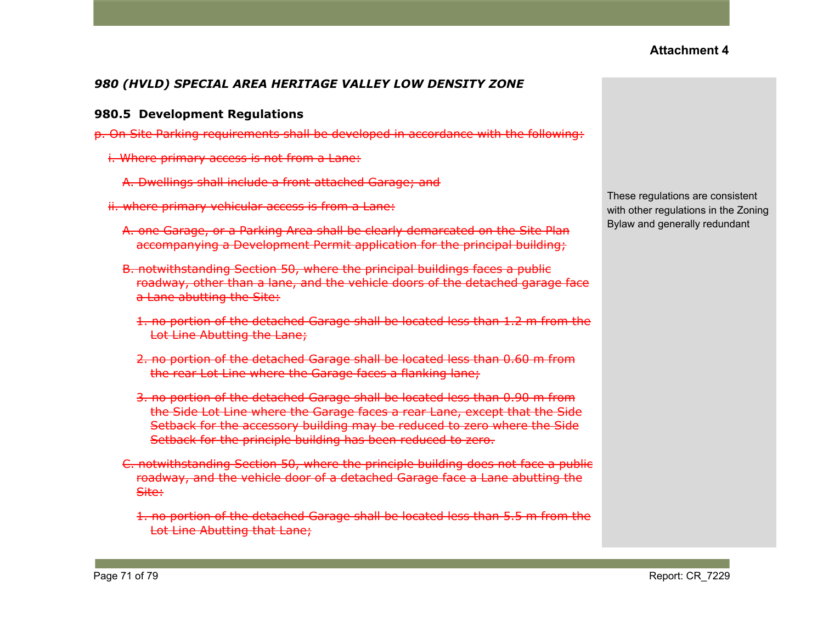## *980 (HVLD) SPECIAL AREA HERITAGE VALLEY LOW DENSITY ZONE*

#### **980.5 Development Regulations**

- p. On Site Parking requirements shall be developed in accordance with the following:
	- i. Where primary access is not from a Lane:
		- A. Dwellings shall include a front attached Garage; and
	- ii. where primary vehicular access is from a Lane:
		- A. one Garage, or a Parking Area shall be clearly demarcated on the Site Plan accompanying a Development Permit application for the principal building;
		- B. notwithstanding Section 50, where the principal buildings faces a public roadway, other than a lane, and the vehicle doors of the detached garage face a Lane abutting the Site:
			- 1. no portion of the detached Garage shall be located less than 1.2 m from the Lot Line Abutting the Lane;
			- 2. no portion of the detached Garage shall be located less than 0.60 m from the rear Lot Line where the Garage faces a flanking lane;
			- 3. no portion of the detached Garage shall be located less than 0.90 m from the Side Lot Line where the Garage faces a rear Lane, except that the Side Setback for the accessory building may be reduced to zero where the Side Setback for the principle building has been reduced to zero.
		- C. notwithstanding Section 50, where the principle building does not face a public roadway, and the vehicle door of a detached Garage face a Lane abutting the Site:
			- 1. no portion of the detached Garage shall be located less than 5.5 m from the Lot Line Abutting that Lane;

These regulations are consistent with other regulations in the Zoning Bylaw and generally redundant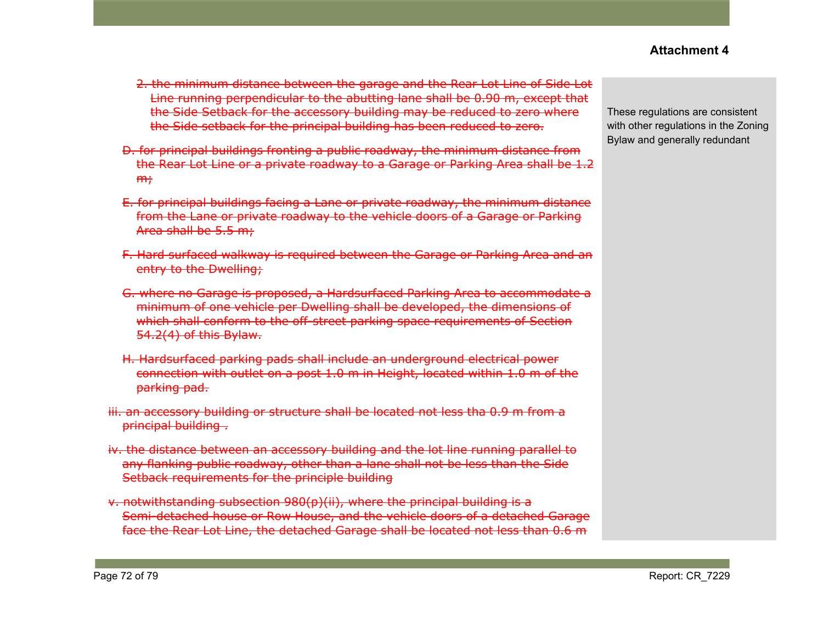- 2. the minimum distance between the garage and the Rear Lot Line of Side Lot Line running perpendicular to the abutting lane shall be 0.90 m, except that the Side Setback for the accessory building may be reduced to zero where the Side setback for the principal building has been reduced to zero.
- D. for principal buildings fronting a public roadway, the minimum distance from the Rear Lot Line or a private roadway to a Garage or Parking Area shall be 1.2  $m<sub>r</sub>$
- E. for principal buildings facing a Lane or private roadway, the minimum distance from the Lane or private roadway to the vehicle doors of a Garage or Parking Area shall be 5.5 m;
- F. Hard surfaced walkway is required between the Garage or Parking Area and an entry to the Dwelling;
- G. where no Garage is proposed, a Hardsurfaced Parking Area to accommodate a minimum of one vehicle per Dwelling shall be developed, the dimensions of which shall conform to the off-street parking space requirements of Section 54.2(4) of this Bylaw.
- H. Hardsurfaced parking pads shall include an underground electrical power connection with outlet on a post 1.0 m in Height, located within 1.0 m of the parking pad.
- iii. an accessory building or structure shall be located not less tha 0.9 m from a principal building .
- iv. the distance between an accessory building and the lot line running parallel to any flanking public roadway, other than a lane shall not be less than the Side Setback requirements for the principle building
- v. notwithstanding subsection 980(p)(ii), where the principal building is a Semi-detached house or Row House, and the vehicle doors of a detached Garage face the Rear Lot Line, the detached Garage shall be located not less than 0.6 m

These regulations are consistent with other regulations in the Zoning Bylaw and generally redundant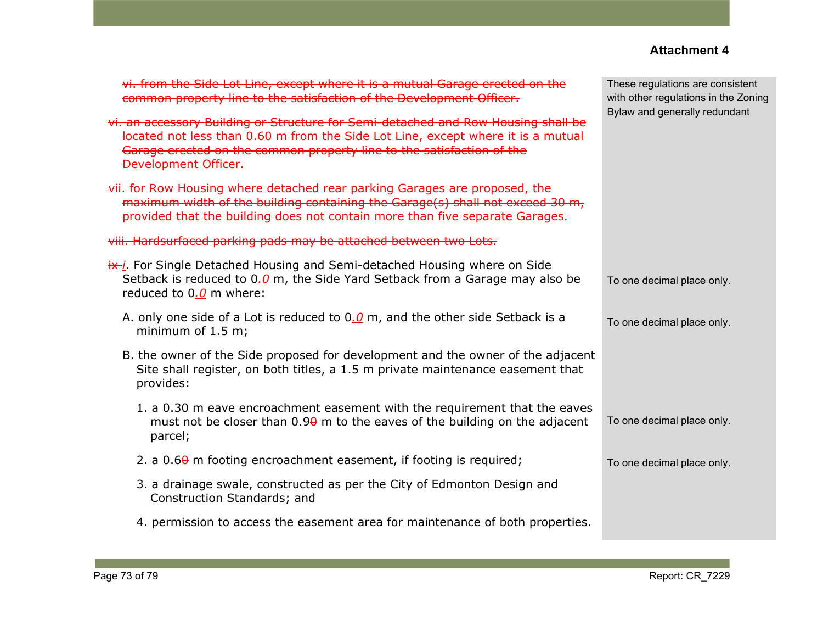| vi. from the Side Lot Line, except where it is a mutual Garage erected on the<br>common property line to the satisfaction of the Development Officer.                                                                                                                         | These regulations are consistent<br>with other regulations in the Zoning<br>Bylaw and generally redundant |  |
|-------------------------------------------------------------------------------------------------------------------------------------------------------------------------------------------------------------------------------------------------------------------------------|-----------------------------------------------------------------------------------------------------------|--|
| vi. an accessory Building or Structure for Semi-detached and Row Housing shall be<br>located not less than 0.60 m from the Side Lot Line, except where it is a mutual<br>Garage erected on the common property line to the satisfaction of the<br><b>Development Officer.</b> |                                                                                                           |  |
| vii. for Row Housing where detached rear parking Garages are proposed, the<br>maximum width of the building containing the Garage(s) shall not exceed 30 m,<br>provided that the building does not contain more than five separate Garages.                                   |                                                                                                           |  |
| viii. Hardsurfaced parking pads may be attached between two Lots.                                                                                                                                                                                                             |                                                                                                           |  |
| $\frac{dx}{i}$ . For Single Detached Housing and Semi-detached Housing where on Side<br>Setback is reduced to $0.0$ m, the Side Yard Setback from a Garage may also be<br>reduced to $0.0$ m where:                                                                           | To one decimal place only.                                                                                |  |
| A. only one side of a Lot is reduced to $0.0$ m, and the other side Setback is a<br>minimum of $1.5$ m;                                                                                                                                                                       | To one decimal place only.                                                                                |  |
| B. the owner of the Side proposed for development and the owner of the adjacent<br>Site shall register, on both titles, a 1.5 m private maintenance easement that<br>provides:                                                                                                |                                                                                                           |  |
| 1. a 0.30 m eave encroachment easement with the requirement that the eaves<br>must not be closer than $0.9\theta$ m to the eaves of the building on the adjacent<br>parcel;                                                                                                   | To one decimal place only.                                                                                |  |
| 2. a $0.6\theta$ m footing encroachment easement, if footing is required;                                                                                                                                                                                                     | To one decimal place only.                                                                                |  |
| 3. a drainage swale, constructed as per the City of Edmonton Design and<br>Construction Standards; and                                                                                                                                                                        |                                                                                                           |  |
| 4. permission to access the easement area for maintenance of both properties.                                                                                                                                                                                                 |                                                                                                           |  |
|                                                                                                                                                                                                                                                                               |                                                                                                           |  |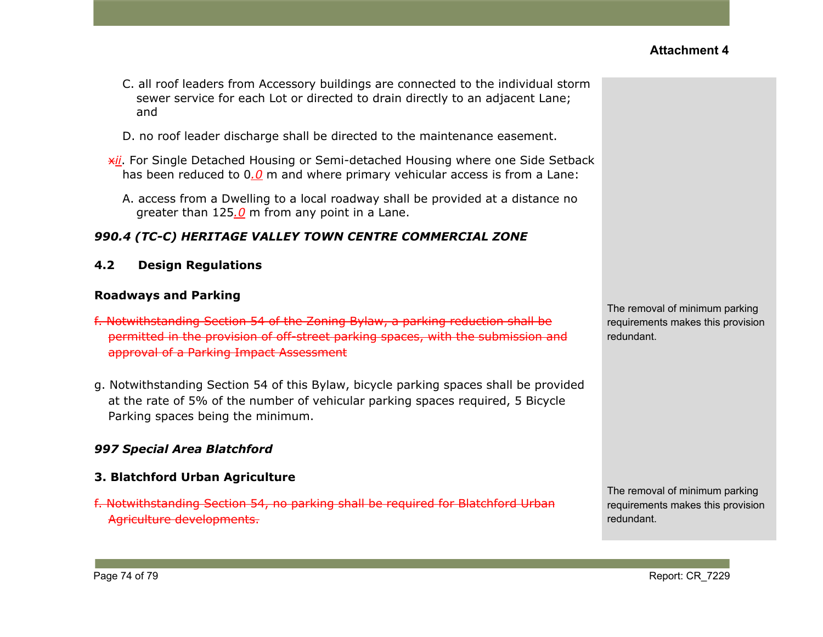- C. all roof leaders from Accessory buildings are connected to the individual storm sewer service for each Lot or directed to drain directly to an adjacent Lane; and
- D. no roof leader discharge shall be directed to the maintenance easement.
- x*ii*. For Single Detached Housing or Semi-detached Housing where one Side Setback has been reduced to 0*.0* m and where primary vehicular access is from a Lane:
	- A. access from a Dwelling to a local roadway shall be provided at a distance no greater than 125*.0* m from any point in a Lane.

### *990.4 (TC-C) HERITAGE VALLEY TOWN CENTRE COMMERCIAL ZONE*

**4.2 Design Regulations**

#### **Roadways and Parking**

- f. Notwithstanding Section 54 of the Zoning Bylaw, a parking reduction shall be permitted in the provision of off-street parking spaces, with the submission and approval of a Parking Impact Assessment
- g. Notwithstanding Section 54 of this Bylaw, bicycle parking spaces shall be provided at the rate of 5% of the number of vehicular parking spaces required, 5 Bicycle Parking spaces being the minimum.

### *997 Special Area Blatchford*

#### **3. Blatchford Urban Agriculture**

f. Notwithstanding Section 54, no parking shall be required for Blatchford Urban Agriculture developments.

The removal of minimum parking requirements makes this provision redundant.

The removal of minimum parking requirements makes this provision redundant.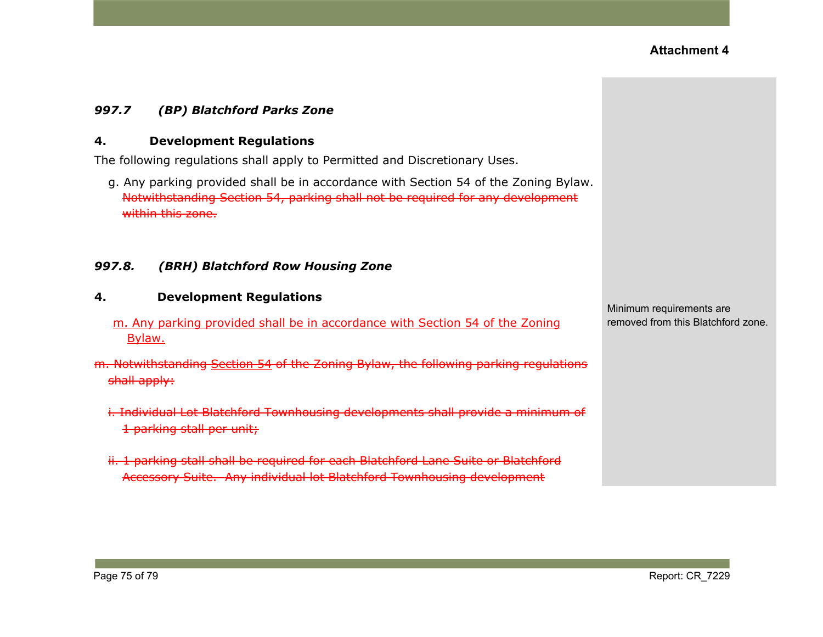### *997.7 (BP) Blatchford Parks Zone*

#### **4. Development Regulations**

The following regulations shall apply to Permitted and Discretionary Uses.

g. Any parking provided shall be in accordance with Section 54 of the Zoning Bylaw. Notwithstanding Section 54, parking shall not be required for any development within this zone.

#### *997.8. (BRH) Blatchford Row Housing Zone*

# **4. Development Regulations** m. Any parking provided shall be in accordance with Section 54 of the Zoning Bylaw. m. Notwithstanding [Section](https://webdocs.edmonton.ca/InfraPlan/zoningbylaw/ZoningBylaw/Part1/Development/54__Parking__Loading_and_Passenger_Drop-off.htm) 54 of the Zoning Bylaw, the following parking regulations shall apply:

- i. Individual Lot Blatchford Townhousing developments shall provide a minimum of 1 parking stall per unit;
- ii. 1 parking stall shall be required for each Blatchford Lane Suite or Blatchford Accessory Suite. Any individual lot Blatchford Townhousing development

Minimum requirements are removed from this Blatchford zone.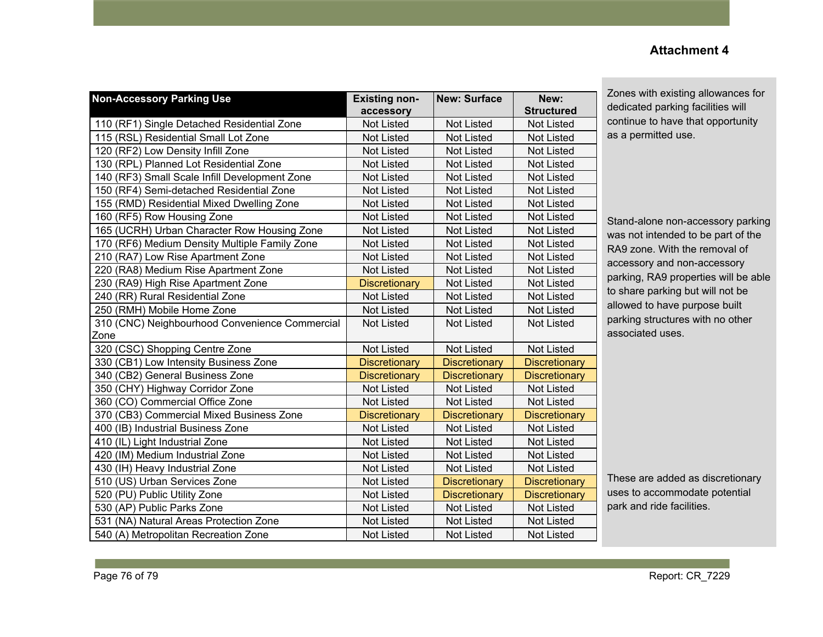#### **Non-Accessory Parking Use Existing nonaccessory New: Surface New: Structured** 110 (RF1) Single Detached Residential Zone | Not Listed | Not Listed | Not Listed 115 (RSL) Residential Small Lot Zone Not Listed Not Listed Not Listed Not Listed 120 (RF2) Low Density Infill Zone Not Listed Not Listed Not Listed Not Listed Not Listed 130 (RPL) Planned Lot Residential Zone Not Listed Not Listed Not Listed Not Listed 140 (RF3) Small Scale Infill Development Zone Not Listed Not Listed Not Listed Not Listed 150 (RF4) Semi-detached Residential Zone Not Listed Not Listed Not Listed Not Listed 155 (RMD) Residential Mixed Dwelling Zone | Not Listed | Not Listed | Not Listed 160 (RF5) Row Housing Zone Not Listed Not Listed Not Listed Not Listed Not Listed 165 (UCRH) Urban Character Row Housing Zone | Not Listed | Not Listed | Not Listed 170 (RF6) Medium Density Multiple Family Zone | Not Listed | Not Listed | Not Listed 210 (RA7) Low Rise Apartment Zone Not Listed Not Listed Not Listed Not Listed 220 (RA8) Medium Rise Apartment Zone Not Listed Not Listed Not Listed Not Listed 230 (RA9) High Rise Apartment Zone **Discretionary Not Listed Not Listed** Not Listed 240 (RR) Rural Residential Zone Not Not Listed Not Listed Not Listed Not Listed 250 (RMH) Mobile Home Zone Not Listed Not Listed Not Listed Not Listed Not Listed 310 (CNC) Neighbourhood Convenience Commercial Zone Not Listed | Not Listed | Not Listed 320 (CSC) Shopping Centre Zone Not Listed Not Listed Not Listed Not Listed 330 (CB1) Low Intensity Business Zone **Discretionary Discretionary Discretionary Discretionary** 340 (CB2) General Business Zone **Discretionary | Discretionary | Discretionary | Discretionary** 350 (CHY) Highway Corridor Zone Not Listed Not Listed Not Listed Not Listed Not Listed 360 (CO) Commercial Office Zone Not Listed Not Listed Not Listed Not Listed 370 (CB3) Commercial Mixed Business Zone Discretionary Discretionary Discretionary Discretionary 400 (IB) Industrial Business Zone Not Listed Not Listed Not Listed Not Listed Not Listed 410 (IL) Light Industrial Zone Not Listed Not Listed Not Listed Not Listed Not Listed 420 (IM) Medium Industrial Zone Notcomes Not Listed Not Listed Not Listed Not Listed 430 (IH) Heavy Industrial Zone Not Not Listed Not Listed Not Listed Not Listed 510 (US) Urban Services Zone Not Listed **Discretionary Discretionary** Discretionary Discretionary 520 (PU) Public Utility Zone Not Listed **Discretionary Discretionary Discretionary** Discretionary 530 (AP) Public Parks Zone Not Not Listed Not Listed Not Listed Not Listed Not Listed 531 (NA) Natural Areas Protection Zone Not Listed Not Listed Not Listed Not Listed 540 (A) Metropolitan Recreation Zone Not Listed Not Listed Not Listed Not Listed

### **Attachment 4**

Zones with existing allowances for dedicated parking facilities will continue to have that opportunity as a permitted use.

Stand-alone non-accessory parking was not intended to be part of the RA9 zone. With the removal of accessory and non-accessory parking, RA9 properties will be able to share parking but will not be allowed to have purpose built parking structures with no other associated uses.

These are added as discretionary uses to accommodate potential park and ride facilities.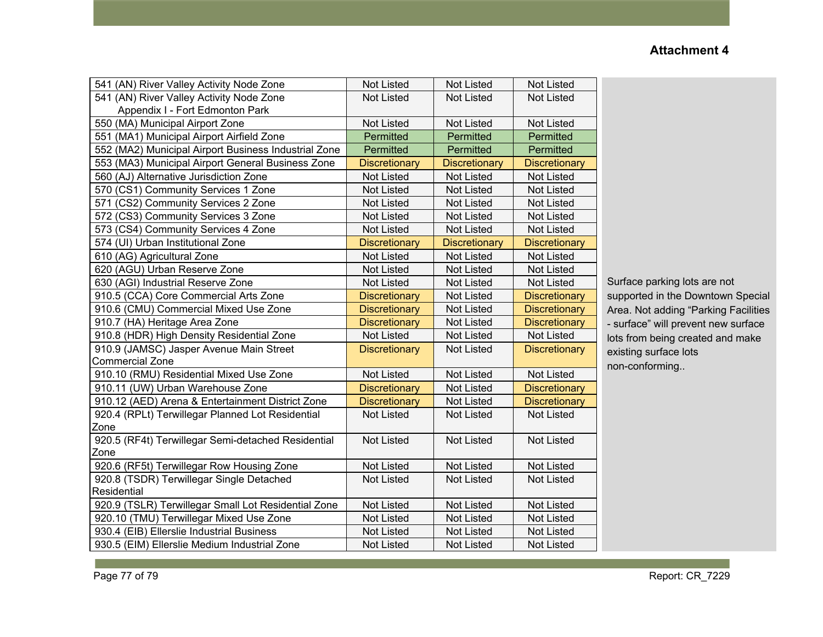| 541 (AN) River Valley Activity Node Zone             | <b>Not Listed</b>    | <b>Not Listed</b>    | <b>Not Listed</b>    |
|------------------------------------------------------|----------------------|----------------------|----------------------|
| 541 (AN) River Valley Activity Node Zone             | <b>Not Listed</b>    | <b>Not Listed</b>    | Not Listed           |
| Appendix I - Fort Edmonton Park                      |                      |                      |                      |
| 550 (MA) Municipal Airport Zone                      | <b>Not Listed</b>    | <b>Not Listed</b>    | <b>Not Listed</b>    |
| 551 (MA1) Municipal Airport Airfield Zone            | Permitted            | Permitted            | Permitted            |
| 552 (MA2) Municipal Airport Business Industrial Zone | Permitted            | Permitted            | Permitted            |
| 553 (MA3) Municipal Airport General Business Zone    | <b>Discretionary</b> | <b>Discretionary</b> | <b>Discretionary</b> |
| 560 (AJ) Alternative Jurisdiction Zone               | <b>Not Listed</b>    | <b>Not Listed</b>    | <b>Not Listed</b>    |
| 570 (CS1) Community Services 1 Zone                  | Not Listed           | <b>Not Listed</b>    | Not Listed           |
| 571 (CS2) Community Services 2 Zone                  | <b>Not Listed</b>    | <b>Not Listed</b>    | <b>Not Listed</b>    |
| 572 (CS3) Community Services 3 Zone                  | <b>Not Listed</b>    | <b>Not Listed</b>    | <b>Not Listed</b>    |
| 573 (CS4) Community Services 4 Zone                  | <b>Not Listed</b>    | <b>Not Listed</b>    | <b>Not Listed</b>    |
| 574 (UI) Urban Institutional Zone                    | <b>Discretionary</b> | <b>Discretionary</b> | <b>Discretionary</b> |
| 610 (AG) Agricultural Zone                           | <b>Not Listed</b>    | <b>Not Listed</b>    | <b>Not Listed</b>    |
| 620 (AGU) Urban Reserve Zone                         | <b>Not Listed</b>    | <b>Not Listed</b>    | <b>Not Listed</b>    |
| 630 (AGI) Industrial Reserve Zone                    | <b>Not Listed</b>    | <b>Not Listed</b>    | <b>Not Listed</b>    |
| 910.5 (CCA) Core Commercial Arts Zone                | <b>Discretionary</b> | <b>Not Listed</b>    | <b>Discretionary</b> |
| 910.6 (CMU) Commercial Mixed Use Zone                | <b>Discretionary</b> | <b>Not Listed</b>    | <b>Discretionary</b> |
| 910.7 (HA) Heritage Area Zone                        | <b>Discretionary</b> | <b>Not Listed</b>    | <b>Discretionary</b> |
| 910.8 (HDR) High Density Residential Zone            | <b>Not Listed</b>    | <b>Not Listed</b>    | <b>Not Listed</b>    |
| 910.9 (JAMSC) Jasper Avenue Main Street              | <b>Discretionary</b> | <b>Not Listed</b>    | <b>Discretionary</b> |
| Commercial Zone                                      |                      |                      |                      |
| 910.10 (RMU) Residential Mixed Use Zone              | Not Listed           | <b>Not Listed</b>    | Not Listed           |
| 910.11 (UW) Urban Warehouse Zone                     | <b>Discretionary</b> | <b>Not Listed</b>    | <b>Discretionary</b> |
| 910.12 (AED) Arena & Entertainment District Zone     | <b>Discretionary</b> | <b>Not Listed</b>    | <b>Discretionary</b> |
| 920.4 (RPLt) Terwillegar Planned Lot Residential     | <b>Not Listed</b>    | <b>Not Listed</b>    | <b>Not Listed</b>    |
| Zone                                                 |                      |                      |                      |
| 920.5 (RF4t) Terwillegar Semi-detached Residential   | <b>Not Listed</b>    | <b>Not Listed</b>    | <b>Not Listed</b>    |
| Zone                                                 |                      |                      |                      |
| 920.6 (RF5t) Terwillegar Row Housing Zone            | <b>Not Listed</b>    | <b>Not Listed</b>    | <b>Not Listed</b>    |
| 920.8 (TSDR) Terwillegar Single Detached             | <b>Not Listed</b>    | <b>Not Listed</b>    | <b>Not Listed</b>    |
| Residential                                          |                      |                      |                      |
| 920.9 (TSLR) Terwillegar Small Lot Residential Zone  | <b>Not Listed</b>    | <b>Not Listed</b>    | <b>Not Listed</b>    |
| 920.10 (TMU) Terwillegar Mixed Use Zone              | <b>Not Listed</b>    | <b>Not Listed</b>    | <b>Not Listed</b>    |
| 930.4 (EIB) Ellerslie Industrial Business            | Not Listed           | Not Listed           | Not Listed           |
| 930.5 (EIM) Ellerslie Medium Industrial Zone         | <b>Not Listed</b>    | <b>Not Listed</b>    | <b>Not Listed</b>    |

Surface parking lots are not supported in the Downtown Special Area. Not adding "Parking Facilities - surface" will prevent new surface lots from being created and make existing surface lots non-conforming..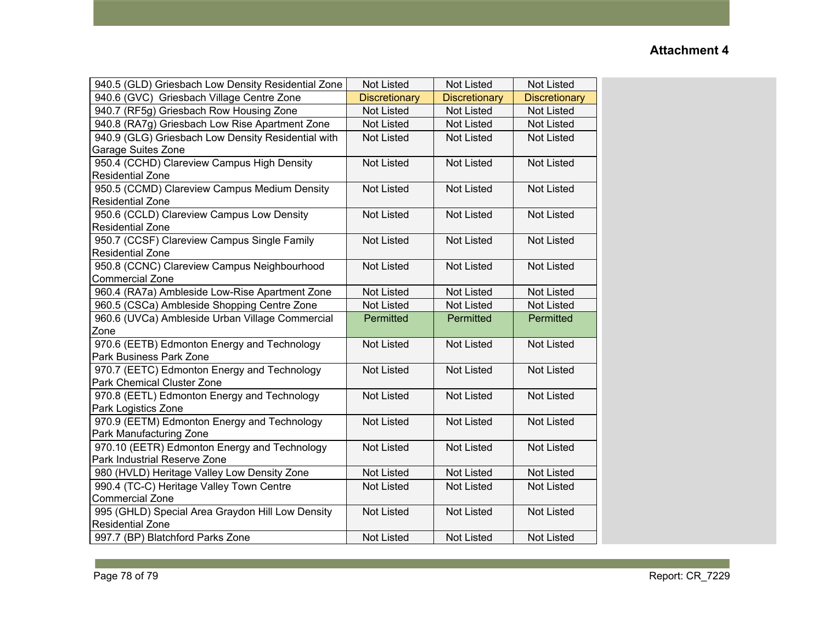| 940.5 (GLD) Griesbach Low Density Residential Zone | <b>Not Listed</b>    | <b>Not Listed</b>    | <b>Not Listed</b>    |
|----------------------------------------------------|----------------------|----------------------|----------------------|
| 940.6 (GVC) Griesbach Village Centre Zone          | <b>Discretionary</b> | <b>Discretionary</b> | <b>Discretionary</b> |
| 940.7 (RF5g) Griesbach Row Housing Zone            | <b>Not Listed</b>    | <b>Not Listed</b>    | <b>Not Listed</b>    |
| 940.8 (RA7g) Griesbach Low Rise Apartment Zone     | Not Listed           | <b>Not Listed</b>    | <b>Not Listed</b>    |
| 940.9 (GLG) Griesbach Low Density Residential with | <b>Not Listed</b>    | <b>Not Listed</b>    | <b>Not Listed</b>    |
| Garage Suites Zone                                 |                      |                      |                      |
| 950.4 (CCHD) Clareview Campus High Density         | <b>Not Listed</b>    | <b>Not Listed</b>    | <b>Not Listed</b>    |
| Residential Zone                                   |                      |                      |                      |
| 950.5 (CCMD) Clareview Campus Medium Density       | Not Listed           | <b>Not Listed</b>    | <b>Not Listed</b>    |
| <b>Residential Zone</b>                            |                      |                      |                      |
| 950.6 (CCLD) Clareview Campus Low Density          | <b>Not Listed</b>    | <b>Not Listed</b>    | <b>Not Listed</b>    |
| <b>Residential Zone</b>                            |                      |                      |                      |
| 950.7 (CCSF) Clareview Campus Single Family        | Not Listed           | <b>Not Listed</b>    | <b>Not Listed</b>    |
| <b>Residential Zone</b>                            |                      |                      |                      |
| 950.8 (CCNC) Clareview Campus Neighbourhood        | <b>Not Listed</b>    | <b>Not Listed</b>    | <b>Not Listed</b>    |
| <b>Commercial Zone</b>                             |                      |                      |                      |
| 960.4 (RA7a) Ambleside Low-Rise Apartment Zone     | <b>Not Listed</b>    | <b>Not Listed</b>    | <b>Not Listed</b>    |
| 960.5 (CSCa) Ambleside Shopping Centre Zone        | Not Listed           | <b>Not Listed</b>    | <b>Not Listed</b>    |
| 960.6 (UVCa) Ambleside Urban Village Commercial    | Permitted            | Permitted            | Permitted            |
| Zone                                               |                      |                      |                      |
| 970.6 (EETB) Edmonton Energy and Technology        | <b>Not Listed</b>    | <b>Not Listed</b>    | <b>Not Listed</b>    |
| Park Business Park Zone                            |                      |                      |                      |
| 970.7 (EETC) Edmonton Energy and Technology        | <b>Not Listed</b>    | <b>Not Listed</b>    | <b>Not Listed</b>    |
| Park Chemical Cluster Zone                         |                      |                      |                      |
| 970.8 (EETL) Edmonton Energy and Technology        | <b>Not Listed</b>    | <b>Not Listed</b>    | <b>Not Listed</b>    |
| Park Logistics Zone                                |                      |                      |                      |
| 970.9 (EETM) Edmonton Energy and Technology        | <b>Not Listed</b>    | <b>Not Listed</b>    | <b>Not Listed</b>    |
| Park Manufacturing Zone                            |                      |                      |                      |
| 970.10 (EETR) Edmonton Energy and Technology       | <b>Not Listed</b>    | <b>Not Listed</b>    | <b>Not Listed</b>    |
| Park Industrial Reserve Zone                       |                      |                      |                      |
| 980 (HVLD) Heritage Valley Low Density Zone        | <b>Not Listed</b>    | <b>Not Listed</b>    | <b>Not Listed</b>    |
| 990.4 (TC-C) Heritage Valley Town Centre           | <b>Not Listed</b>    | <b>Not Listed</b>    | <b>Not Listed</b>    |
| <b>Commercial Zone</b>                             |                      |                      |                      |
| 995 (GHLD) Special Area Graydon Hill Low Density   | <b>Not Listed</b>    | <b>Not Listed</b>    | <b>Not Listed</b>    |
| <b>Residential Zone</b>                            |                      |                      |                      |
| 997.7 (BP) Blatchford Parks Zone                   | <b>Not Listed</b>    | <b>Not Listed</b>    | <b>Not Listed</b>    |